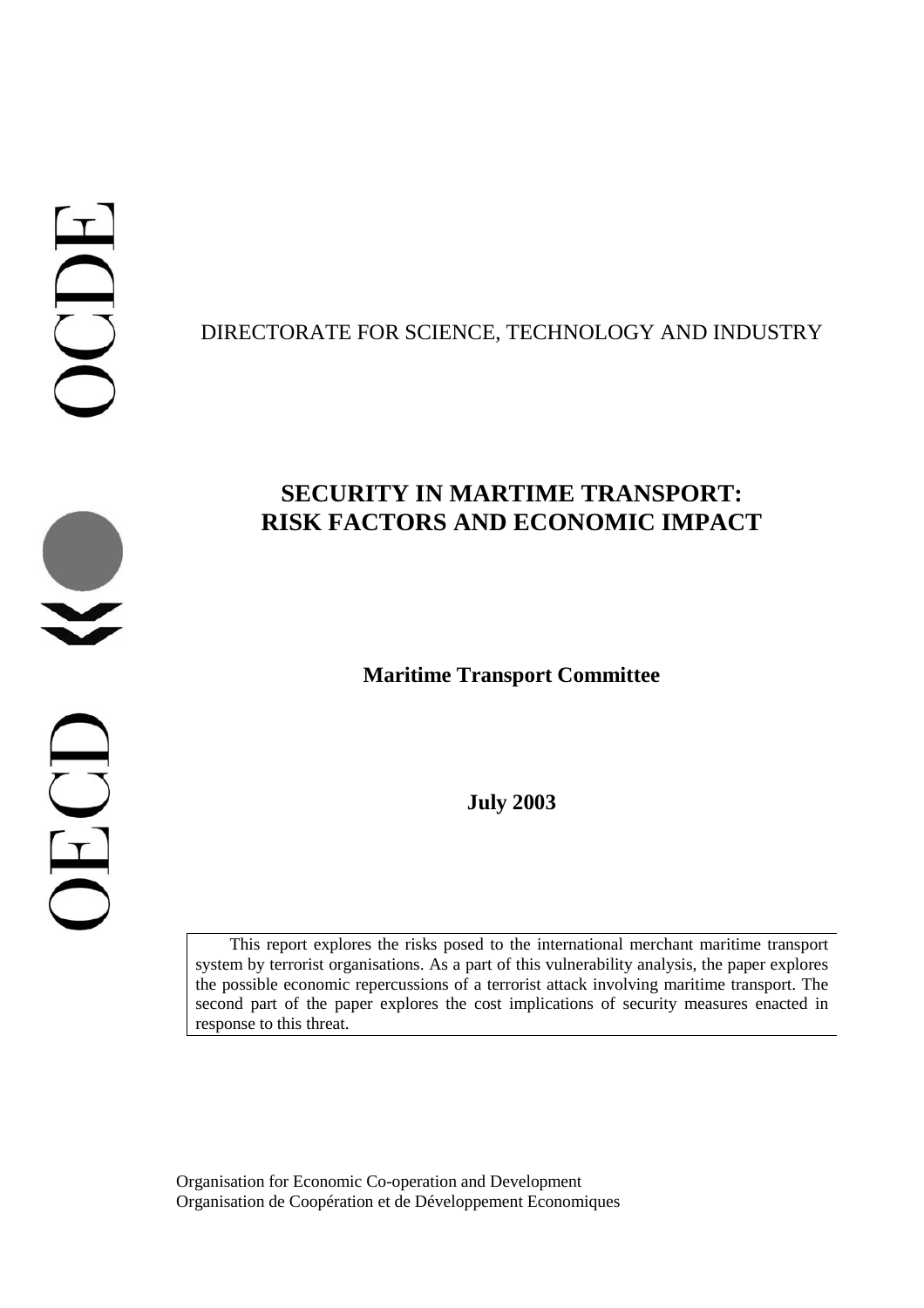# DIRECTORATE FOR SCIENCE, TECHNOLOGY AND INDUSTRY

# **SECURITY IN MARTIME TRANSPORT: RISK FACTORS AND ECONOMIC IMPACT**

# **Maritime Transport Committee**

**July 2003**

This report explores the risks posed to the international merchant maritime transport system by terrorist organisations. As a part of this vulnerability analysis, the paper explores the possible economic repercussions of a terrorist attack involving maritime transport. The second part of the paper explores the cost implications of security measures enacted in response to this threat.

Organisation for Economic Co-operation and Development Organisation de Coopération et de Développement Economiques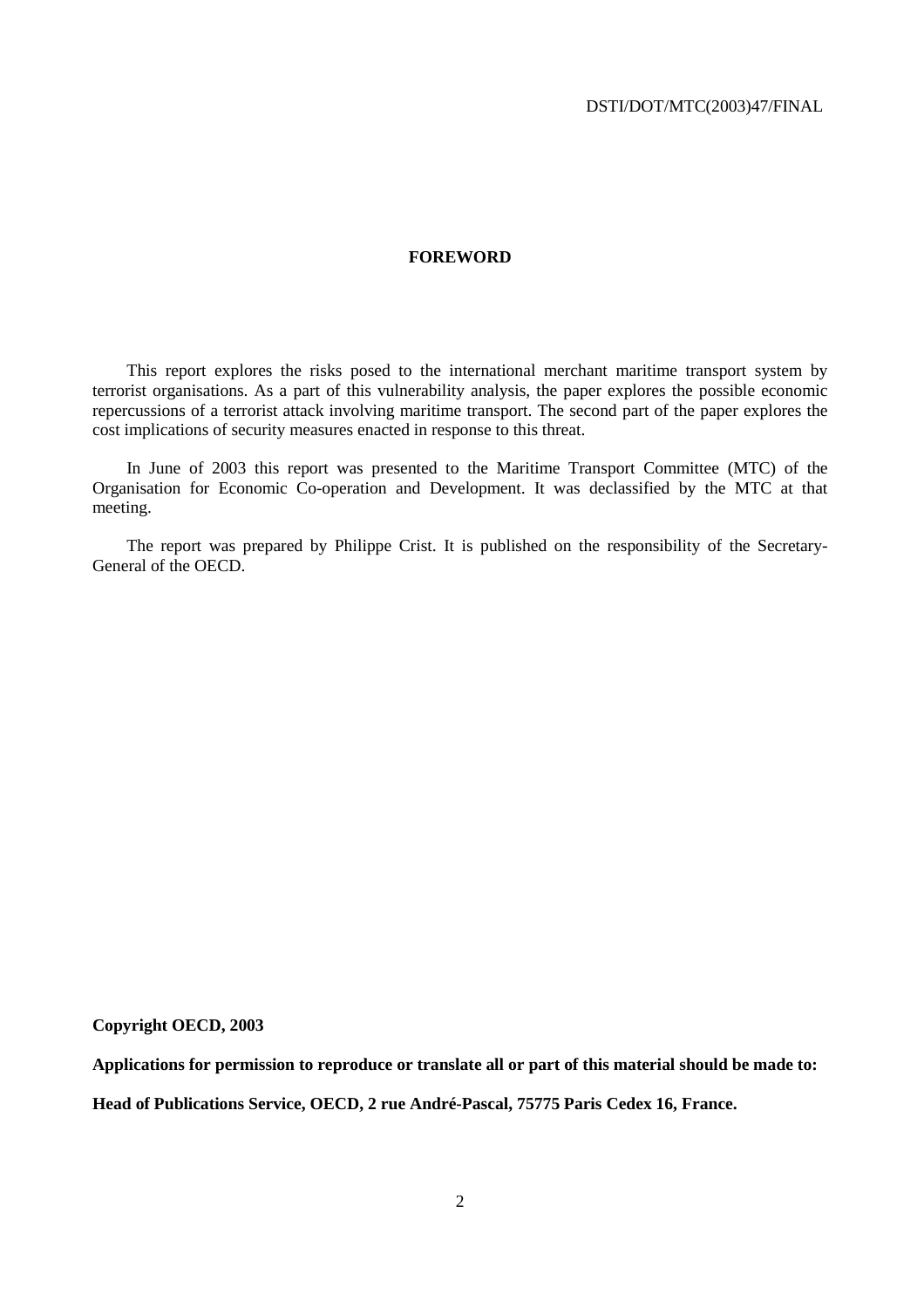#### **FOREWORD**

This report explores the risks posed to the international merchant maritime transport system by terrorist organisations. As a part of this vulnerability analysis, the paper explores the possible economic repercussions of a terrorist attack involving maritime transport. The second part of the paper explores the cost implications of security measures enacted in response to this threat.

In June of 2003 this report was presented to the Maritime Transport Committee (MTC) of the Organisation for Economic Co-operation and Development. It was declassified by the MTC at that meeting.

The report was prepared by Philippe Crist. It is published on the responsibility of the Secretary-General of the OECD.

#### **Copyright OECD, 2003**

**Applications for permission to reproduce or translate all or part of this material should be made to:** 

**Head of Publications Service, OECD, 2 rue André-Pascal, 75775 Paris Cedex 16, France.**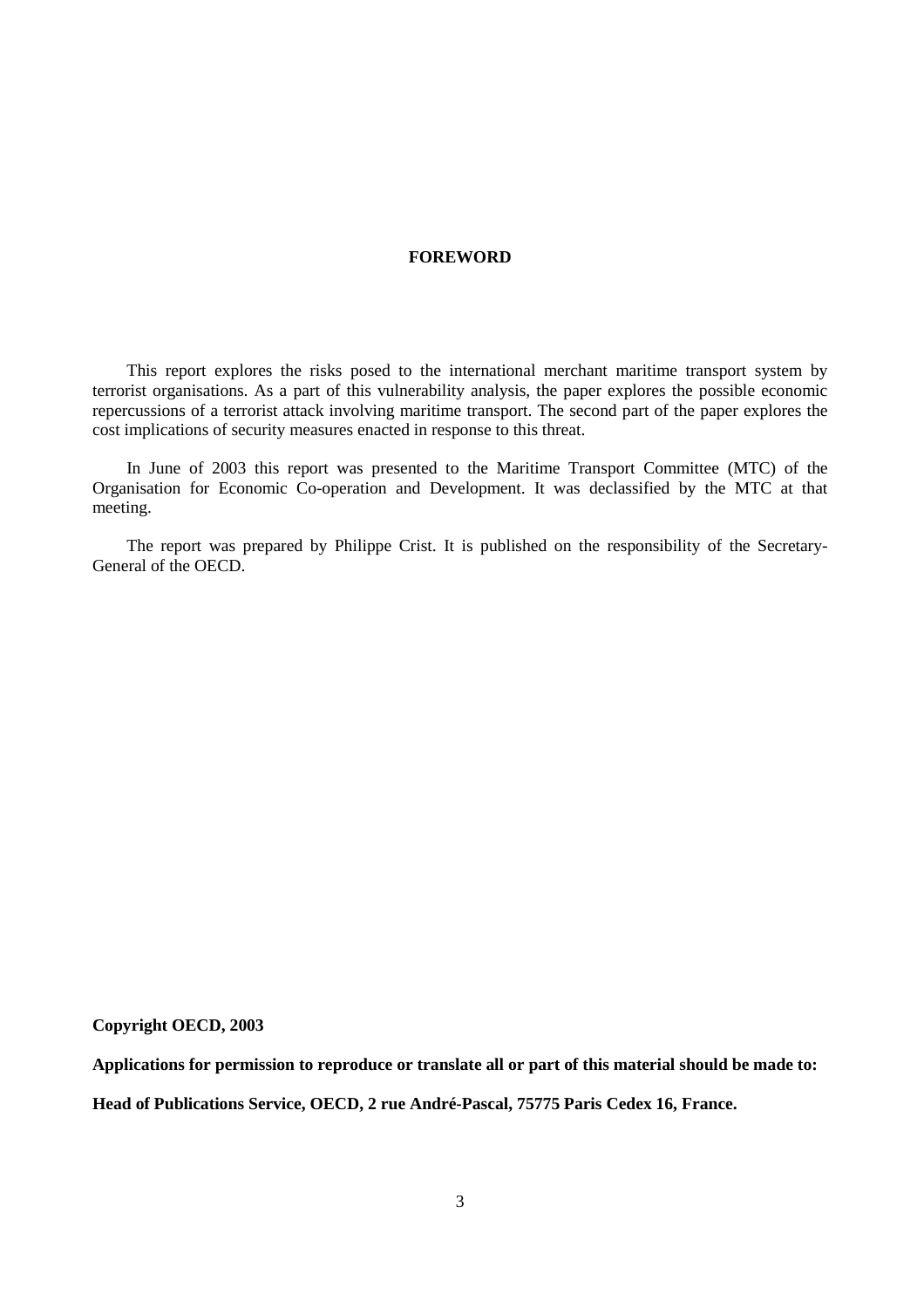#### **FOREWORD**

This report explores the risks posed to the international merchant maritime transport system by terrorist organisations. As a part of this vulnerability analysis, the paper explores the possible economic repercussions of a terrorist attack involving maritime transport. The second part of the paper explores the cost implications of security measures enacted in response to this threat.

In June of 2003 this report was presented to the Maritime Transport Committee (MTC) of the Organisation for Economic Co-operation and Development. It was declassified by the MTC at that meeting.

The report was prepared by Philippe Crist. It is published on the responsibility of the Secretary-General of the OECD.

#### **Copyright OECD, 2003**

**Applications for permission to reproduce or translate all or part of this material should be made to:** 

**Head of Publications Service, OECD, 2 rue André-Pascal, 75775 Paris Cedex 16, France.**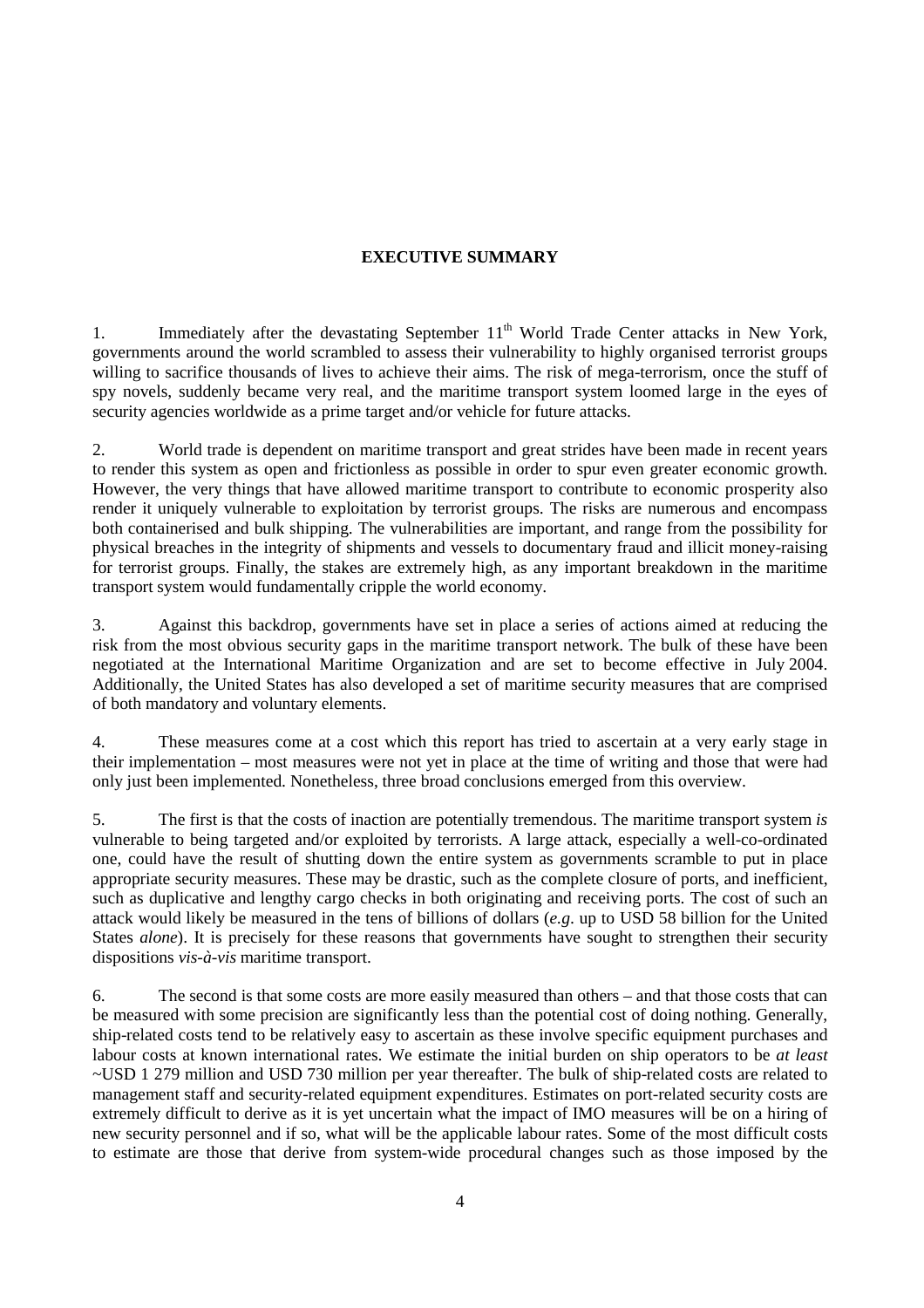# **EXECUTIVE SUMMARY**

1. Immediately after the devastating September 11<sup>th</sup> World Trade Center attacks in New York, governments around the world scrambled to assess their vulnerability to highly organised terrorist groups willing to sacrifice thousands of lives to achieve their aims. The risk of mega-terrorism, once the stuff of spy novels, suddenly became very real, and the maritime transport system loomed large in the eyes of security agencies worldwide as a prime target and/or vehicle for future attacks.

2. World trade is dependent on maritime transport and great strides have been made in recent years to render this system as open and frictionless as possible in order to spur even greater economic growth. However, the very things that have allowed maritime transport to contribute to economic prosperity also render it uniquely vulnerable to exploitation by terrorist groups. The risks are numerous and encompass both containerised and bulk shipping. The vulnerabilities are important, and range from the possibility for physical breaches in the integrity of shipments and vessels to documentary fraud and illicit money-raising for terrorist groups. Finally, the stakes are extremely high, as any important breakdown in the maritime transport system would fundamentally cripple the world economy.

3. Against this backdrop, governments have set in place a series of actions aimed at reducing the risk from the most obvious security gaps in the maritime transport network. The bulk of these have been negotiated at the International Maritime Organization and are set to become effective in July 2004. Additionally, the United States has also developed a set of maritime security measures that are comprised of both mandatory and voluntary elements.

4. These measures come at a cost which this report has tried to ascertain at a very early stage in their implementation – most measures were not yet in place at the time of writing and those that were had only just been implemented. Nonetheless, three broad conclusions emerged from this overview.

5. The first is that the costs of inaction are potentially tremendous. The maritime transport system *is* vulnerable to being targeted and/or exploited by terrorists. A large attack, especially a well-co-ordinated one, could have the result of shutting down the entire system as governments scramble to put in place appropriate security measures. These may be drastic, such as the complete closure of ports, and inefficient, such as duplicative and lengthy cargo checks in both originating and receiving ports. The cost of such an attack would likely be measured in the tens of billions of dollars (*e.g*. up to USD 58 billion for the United States *alone*). It is precisely for these reasons that governments have sought to strengthen their security dispositions *vis-à-vis* maritime transport.

6. The second is that some costs are more easily measured than others – and that those costs that can be measured with some precision are significantly less than the potential cost of doing nothing. Generally, ship-related costs tend to be relatively easy to ascertain as these involve specific equipment purchases and labour costs at known international rates. We estimate the initial burden on ship operators to be *at least* ~USD 1 279 million and USD 730 million per year thereafter. The bulk of ship-related costs are related to management staff and security-related equipment expenditures. Estimates on port-related security costs are extremely difficult to derive as it is yet uncertain what the impact of IMO measures will be on a hiring of new security personnel and if so, what will be the applicable labour rates. Some of the most difficult costs to estimate are those that derive from system-wide procedural changes such as those imposed by the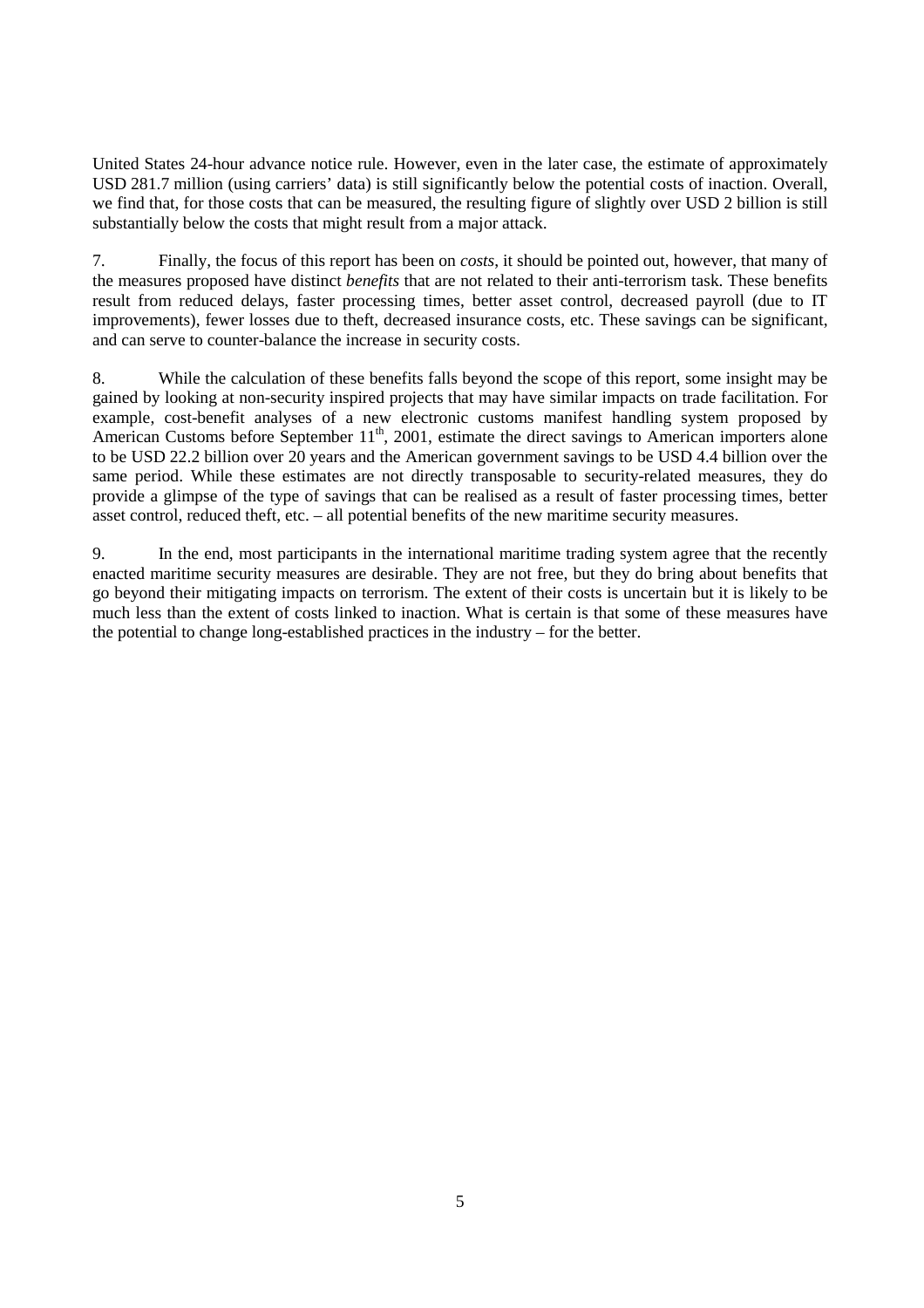United States 24-hour advance notice rule. However, even in the later case, the estimate of approximately USD 281.7 million (using carriers' data) is still significantly below the potential costs of inaction. Overall, we find that, for those costs that can be measured, the resulting figure of slightly over USD 2 billion is still substantially below the costs that might result from a major attack.

7. Finally, the focus of this report has been on *costs*, it should be pointed out, however, that many of the measures proposed have distinct *benefits* that are not related to their anti-terrorism task. These benefits result from reduced delays, faster processing times, better asset control, decreased payroll (due to IT improvements), fewer losses due to theft, decreased insurance costs, etc. These savings can be significant, and can serve to counter-balance the increase in security costs.

8. While the calculation of these benefits falls beyond the scope of this report, some insight may be gained by looking at non-security inspired projects that may have similar impacts on trade facilitation. For example, cost-benefit analyses of a new electronic customs manifest handling system proposed by American Customs before September  $11<sup>th</sup>$ , 2001, estimate the direct savings to American importers alone to be USD 22.2 billion over 20 years and the American government savings to be USD 4.4 billion over the same period. While these estimates are not directly transposable to security-related measures, they do provide a glimpse of the type of savings that can be realised as a result of faster processing times, better asset control, reduced theft, etc. – all potential benefits of the new maritime security measures.

9. In the end, most participants in the international maritime trading system agree that the recently enacted maritime security measures are desirable. They are not free, but they do bring about benefits that go beyond their mitigating impacts on terrorism. The extent of their costs is uncertain but it is likely to be much less than the extent of costs linked to inaction. What is certain is that some of these measures have the potential to change long-established practices in the industry – for the better.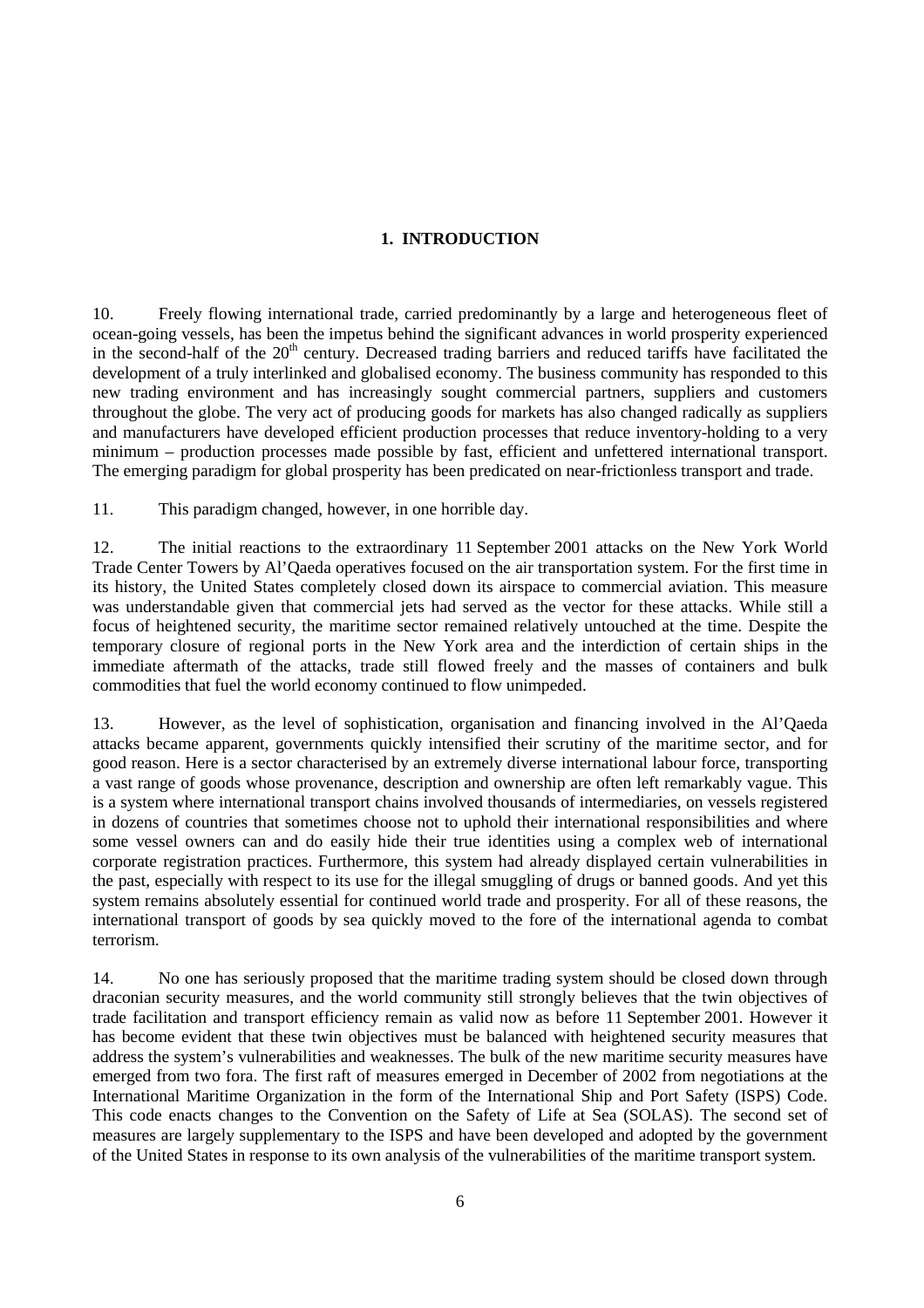# **1. INTRODUCTION**

10. Freely flowing international trade, carried predominantly by a large and heterogeneous fleet of ocean-going vessels, has been the impetus behind the significant advances in world prosperity experienced in the second-half of the  $20<sup>th</sup>$  century. Decreased trading barriers and reduced tariffs have facilitated the development of a truly interlinked and globalised economy. The business community has responded to this new trading environment and has increasingly sought commercial partners, suppliers and customers throughout the globe. The very act of producing goods for markets has also changed radically as suppliers and manufacturers have developed efficient production processes that reduce inventory-holding to a very minimum – production processes made possible by fast, efficient and unfettered international transport. The emerging paradigm for global prosperity has been predicated on near-frictionless transport and trade.

11. This paradigm changed, however, in one horrible day.

12. The initial reactions to the extraordinary 11 September 2001 attacks on the New York World Trade Center Towers by Al'Qaeda operatives focused on the air transportation system. For the first time in its history, the United States completely closed down its airspace to commercial aviation. This measure was understandable given that commercial jets had served as the vector for these attacks. While still a focus of heightened security, the maritime sector remained relatively untouched at the time. Despite the temporary closure of regional ports in the New York area and the interdiction of certain ships in the immediate aftermath of the attacks, trade still flowed freely and the masses of containers and bulk commodities that fuel the world economy continued to flow unimpeded.

13. However, as the level of sophistication, organisation and financing involved in the Al'Qaeda attacks became apparent, governments quickly intensified their scrutiny of the maritime sector, and for good reason. Here is a sector characterised by an extremely diverse international labour force, transporting a vast range of goods whose provenance, description and ownership are often left remarkably vague. This is a system where international transport chains involved thousands of intermediaries, on vessels registered in dozens of countries that sometimes choose not to uphold their international responsibilities and where some vessel owners can and do easily hide their true identities using a complex web of international corporate registration practices. Furthermore, this system had already displayed certain vulnerabilities in the past, especially with respect to its use for the illegal smuggling of drugs or banned goods. And yet this system remains absolutely essential for continued world trade and prosperity. For all of these reasons, the international transport of goods by sea quickly moved to the fore of the international agenda to combat terrorism.

14. No one has seriously proposed that the maritime trading system should be closed down through draconian security measures, and the world community still strongly believes that the twin objectives of trade facilitation and transport efficiency remain as valid now as before 11 September 2001. However it has become evident that these twin objectives must be balanced with heightened security measures that address the system's vulnerabilities and weaknesses. The bulk of the new maritime security measures have emerged from two fora. The first raft of measures emerged in December of 2002 from negotiations at the International Maritime Organization in the form of the International Ship and Port Safety (ISPS) Code. This code enacts changes to the Convention on the Safety of Life at Sea (SOLAS). The second set of measures are largely supplementary to the ISPS and have been developed and adopted by the government of the United States in response to its own analysis of the vulnerabilities of the maritime transport system.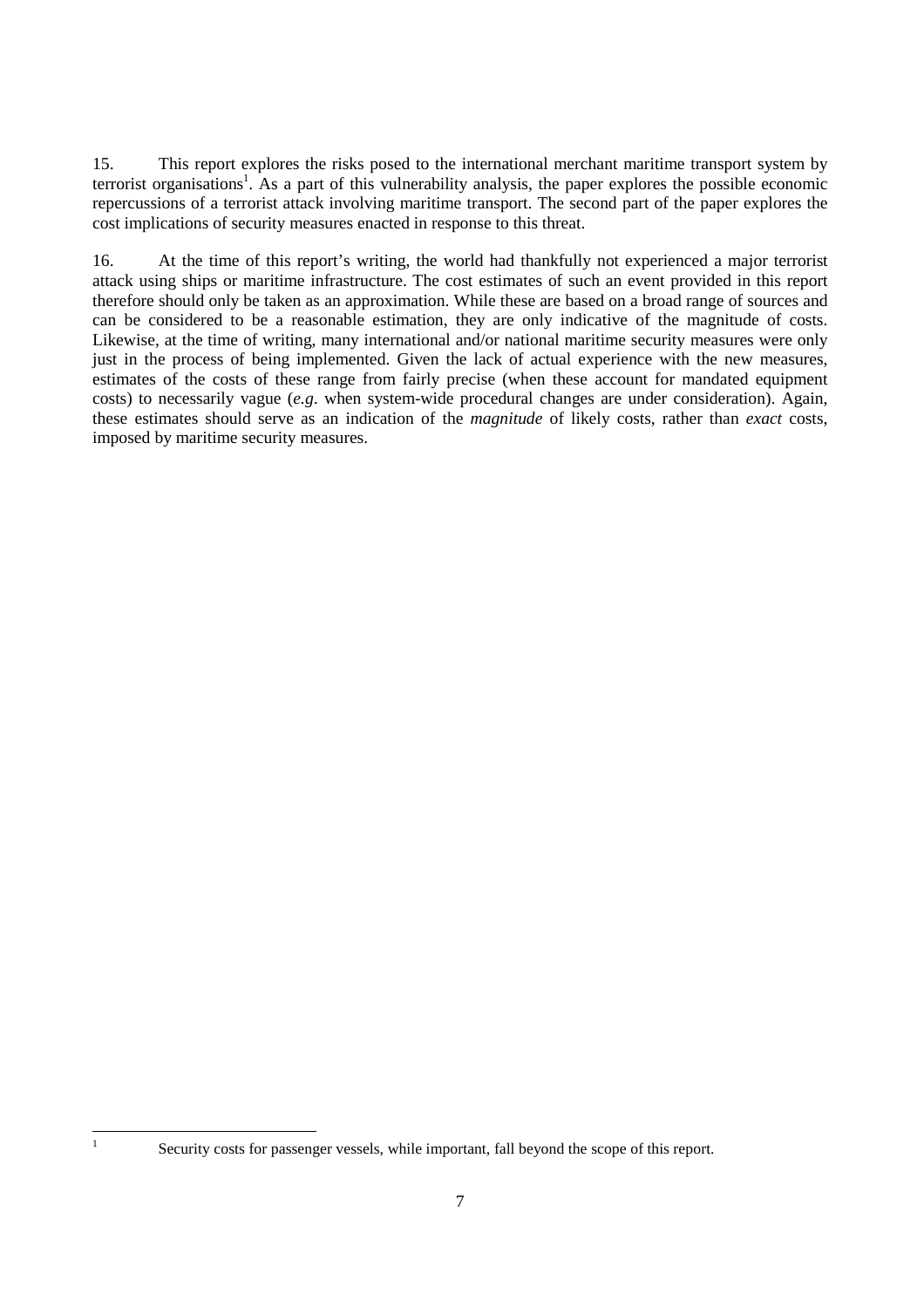15. This report explores the risks posed to the international merchant maritime transport system by terrorist organisations<sup>1</sup>. As a part of this vulnerability analysis, the paper explores the possible economic repercussions of a terrorist attack involving maritime transport. The second part of the paper explores the cost implications of security measures enacted in response to this threat.

16. At the time of this report's writing, the world had thankfully not experienced a major terrorist attack using ships or maritime infrastructure. The cost estimates of such an event provided in this report therefore should only be taken as an approximation. While these are based on a broad range of sources and can be considered to be a reasonable estimation, they are only indicative of the magnitude of costs. Likewise, at the time of writing, many international and/or national maritime security measures were only just in the process of being implemented. Given the lack of actual experience with the new measures, estimates of the costs of these range from fairly precise (when these account for mandated equipment costs) to necessarily vague (*e.g*. when system-wide procedural changes are under consideration). Again, these estimates should serve as an indication of the *magnitude* of likely costs, rather than *exact* costs, imposed by maritime security measures.

 $\frac{1}{1}$ 

Security costs for passenger vessels, while important, fall beyond the scope of this report.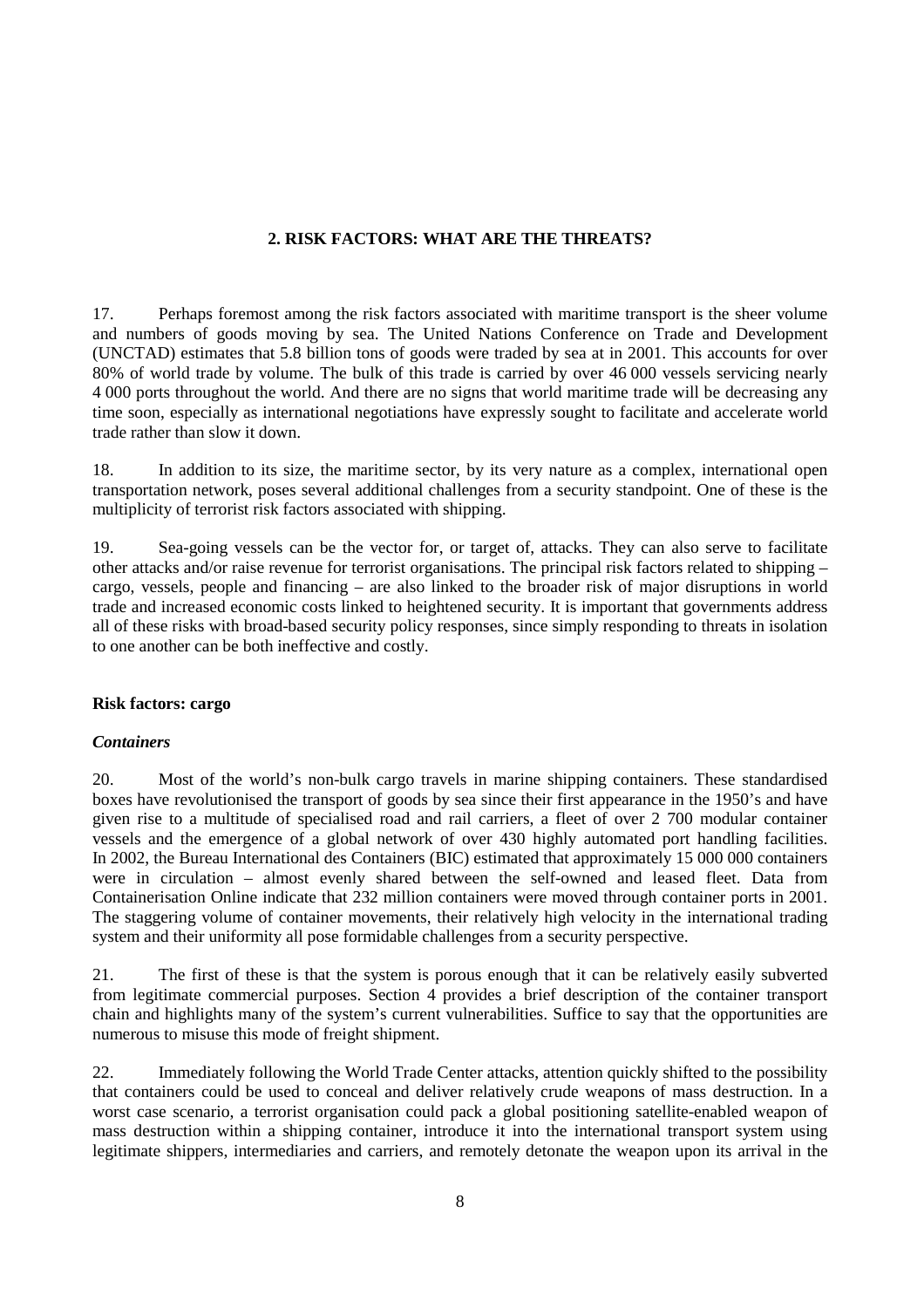# **2. RISK FACTORS: WHAT ARE THE THREATS?**

17. Perhaps foremost among the risk factors associated with maritime transport is the sheer volume and numbers of goods moving by sea. The United Nations Conference on Trade and Development (UNCTAD) estimates that 5.8 billion tons of goods were traded by sea at in 2001. This accounts for over 80% of world trade by volume. The bulk of this trade is carried by over 46 000 vessels servicing nearly 4 000 ports throughout the world. And there are no signs that world maritime trade will be decreasing any time soon, especially as international negotiations have expressly sought to facilitate and accelerate world trade rather than slow it down.

18. In addition to its size, the maritime sector, by its very nature as a complex, international open transportation network, poses several additional challenges from a security standpoint. One of these is the multiplicity of terrorist risk factors associated with shipping.

19. Sea-going vessels can be the vector for, or target of, attacks. They can also serve to facilitate other attacks and/or raise revenue for terrorist organisations. The principal risk factors related to shipping – cargo, vessels, people and financing – are also linked to the broader risk of major disruptions in world trade and increased economic costs linked to heightened security. It is important that governments address all of these risks with broad-based security policy responses, since simply responding to threats in isolation to one another can be both ineffective and costly.

# **Risk factors: cargo**

# *Containers*

20. Most of the world's non-bulk cargo travels in marine shipping containers. These standardised boxes have revolutionised the transport of goods by sea since their first appearance in the 1950's and have given rise to a multitude of specialised road and rail carriers, a fleet of over 2 700 modular container vessels and the emergence of a global network of over 430 highly automated port handling facilities. In 2002, the Bureau International des Containers (BIC) estimated that approximately 15 000 000 containers were in circulation – almost evenly shared between the self-owned and leased fleet. Data from Containerisation Online indicate that 232 million containers were moved through container ports in 2001. The staggering volume of container movements, their relatively high velocity in the international trading system and their uniformity all pose formidable challenges from a security perspective.

21. The first of these is that the system is porous enough that it can be relatively easily subverted from legitimate commercial purposes. Section 4 provides a brief description of the container transport chain and highlights many of the system's current vulnerabilities. Suffice to say that the opportunities are numerous to misuse this mode of freight shipment.

22. Immediately following the World Trade Center attacks, attention quickly shifted to the possibility that containers could be used to conceal and deliver relatively crude weapons of mass destruction. In a worst case scenario, a terrorist organisation could pack a global positioning satellite-enabled weapon of mass destruction within a shipping container, introduce it into the international transport system using legitimate shippers, intermediaries and carriers, and remotely detonate the weapon upon its arrival in the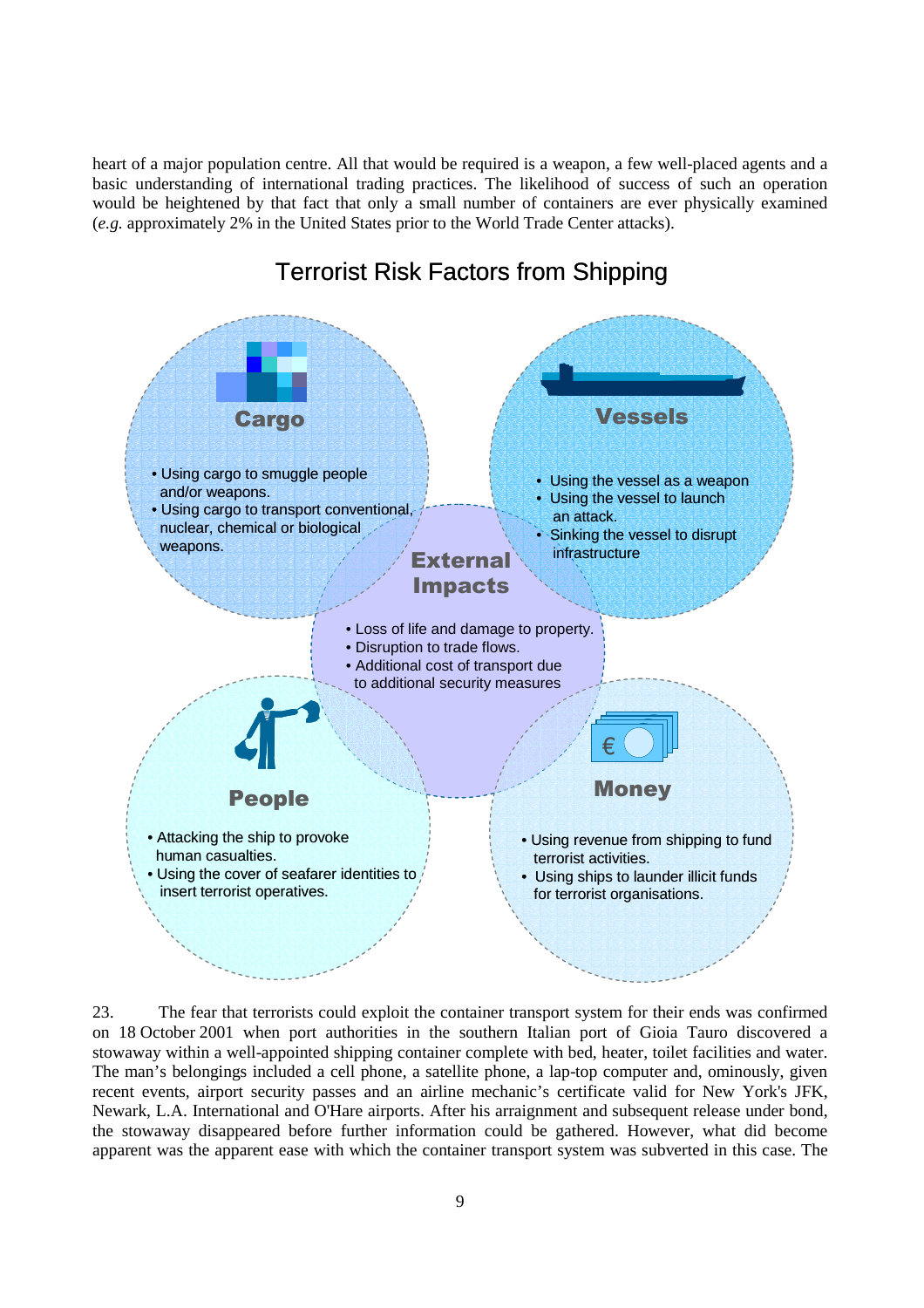heart of a major population centre. All that would be required is a weapon, a few well-placed agents and a basic understanding of international trading practices. The likelihood of success of such an operation would be heightened by that fact that only a small number of containers are ever physically examined (*e.g.* approximately 2% in the United States prior to the World Trade Center attacks).



# Terrorist Risk Factors from Shipping

23. The fear that terrorists could exploit the container transport system for their ends was confirmed on 18 October 2001 when port authorities in the southern Italian port of Gioia Tauro discovered a stowaway within a well-appointed shipping container complete with bed, heater, toilet facilities and water. The man's belongings included a cell phone, a satellite phone, a lap-top computer and, ominously, given recent events, airport security passes and an airline mechanic's certificate valid for New York's JFK, Newark, L.A. International and O'Hare airports. After his arraignment and subsequent release under bond, the stowaway disappeared before further information could be gathered. However, what did become apparent was the apparent ease with which the container transport system was subverted in this case. The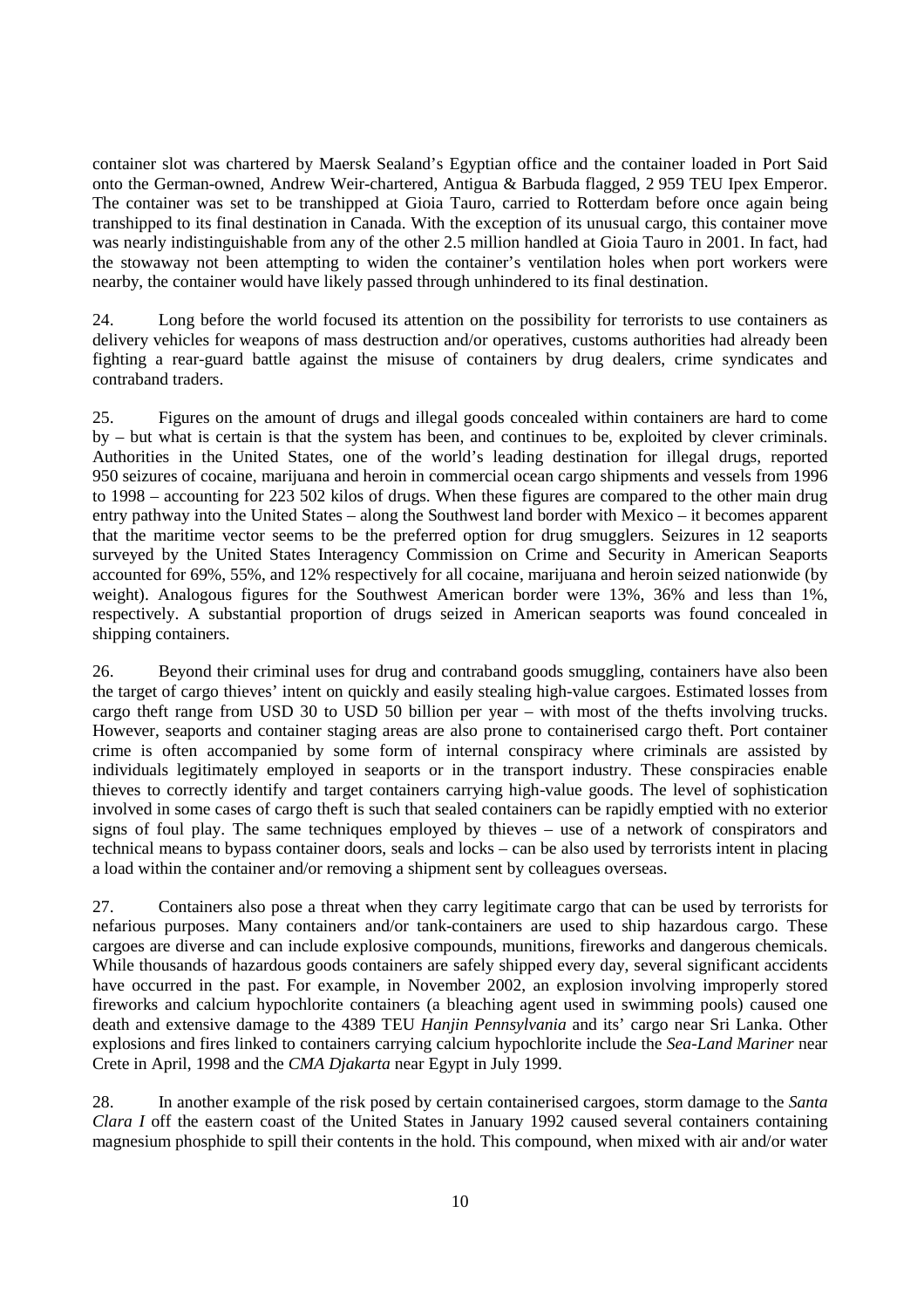container slot was chartered by Maersk Sealand's Egyptian office and the container loaded in Port Said onto the German-owned, Andrew Weir-chartered, Antigua & Barbuda flagged, 2 959 TEU Ipex Emperor. The container was set to be transhipped at Gioia Tauro, carried to Rotterdam before once again being transhipped to its final destination in Canada. With the exception of its unusual cargo, this container move was nearly indistinguishable from any of the other 2.5 million handled at Gioia Tauro in 2001. In fact, had the stowaway not been attempting to widen the container's ventilation holes when port workers were nearby, the container would have likely passed through unhindered to its final destination.

24. Long before the world focused its attention on the possibility for terrorists to use containers as delivery vehicles for weapons of mass destruction and/or operatives, customs authorities had already been fighting a rear-guard battle against the misuse of containers by drug dealers, crime syndicates and contraband traders.

25. Figures on the amount of drugs and illegal goods concealed within containers are hard to come by – but what is certain is that the system has been, and continues to be, exploited by clever criminals. Authorities in the United States, one of the world's leading destination for illegal drugs, reported 950 seizures of cocaine, marijuana and heroin in commercial ocean cargo shipments and vessels from 1996 to 1998 – accounting for 223 502 kilos of drugs. When these figures are compared to the other main drug entry pathway into the United States – along the Southwest land border with Mexico – it becomes apparent that the maritime vector seems to be the preferred option for drug smugglers. Seizures in 12 seaports surveyed by the United States Interagency Commission on Crime and Security in American Seaports accounted for 69%, 55%, and 12% respectively for all cocaine, marijuana and heroin seized nationwide (by weight). Analogous figures for the Southwest American border were 13%, 36% and less than 1%, respectively. A substantial proportion of drugs seized in American seaports was found concealed in shipping containers.

26. Beyond their criminal uses for drug and contraband goods smuggling, containers have also been the target of cargo thieves' intent on quickly and easily stealing high-value cargoes. Estimated losses from cargo theft range from USD 30 to USD 50 billion per year – with most of the thefts involving trucks. However, seaports and container staging areas are also prone to containerised cargo theft. Port container crime is often accompanied by some form of internal conspiracy where criminals are assisted by individuals legitimately employed in seaports or in the transport industry. These conspiracies enable thieves to correctly identify and target containers carrying high-value goods. The level of sophistication involved in some cases of cargo theft is such that sealed containers can be rapidly emptied with no exterior signs of foul play. The same techniques employed by thieves – use of a network of conspirators and technical means to bypass container doors, seals and locks – can be also used by terrorists intent in placing a load within the container and/or removing a shipment sent by colleagues overseas.

27. Containers also pose a threat when they carry legitimate cargo that can be used by terrorists for nefarious purposes. Many containers and/or tank-containers are used to ship hazardous cargo. These cargoes are diverse and can include explosive compounds, munitions, fireworks and dangerous chemicals. While thousands of hazardous goods containers are safely shipped every day, several significant accidents have occurred in the past. For example, in November 2002, an explosion involving improperly stored fireworks and calcium hypochlorite containers (a bleaching agent used in swimming pools) caused one death and extensive damage to the 4389 TEU *Hanjin Pennsylvania* and its' cargo near Sri Lanka. Other explosions and fires linked to containers carrying calcium hypochlorite include the *Sea-Land Mariner* near Crete in April, 1998 and the *CMA Djakarta* near Egypt in July 1999.

28. In another example of the risk posed by certain containerised cargoes, storm damage to the *Santa Clara I* off the eastern coast of the United States in January 1992 caused several containers containing magnesium phosphide to spill their contents in the hold. This compound, when mixed with air and/or water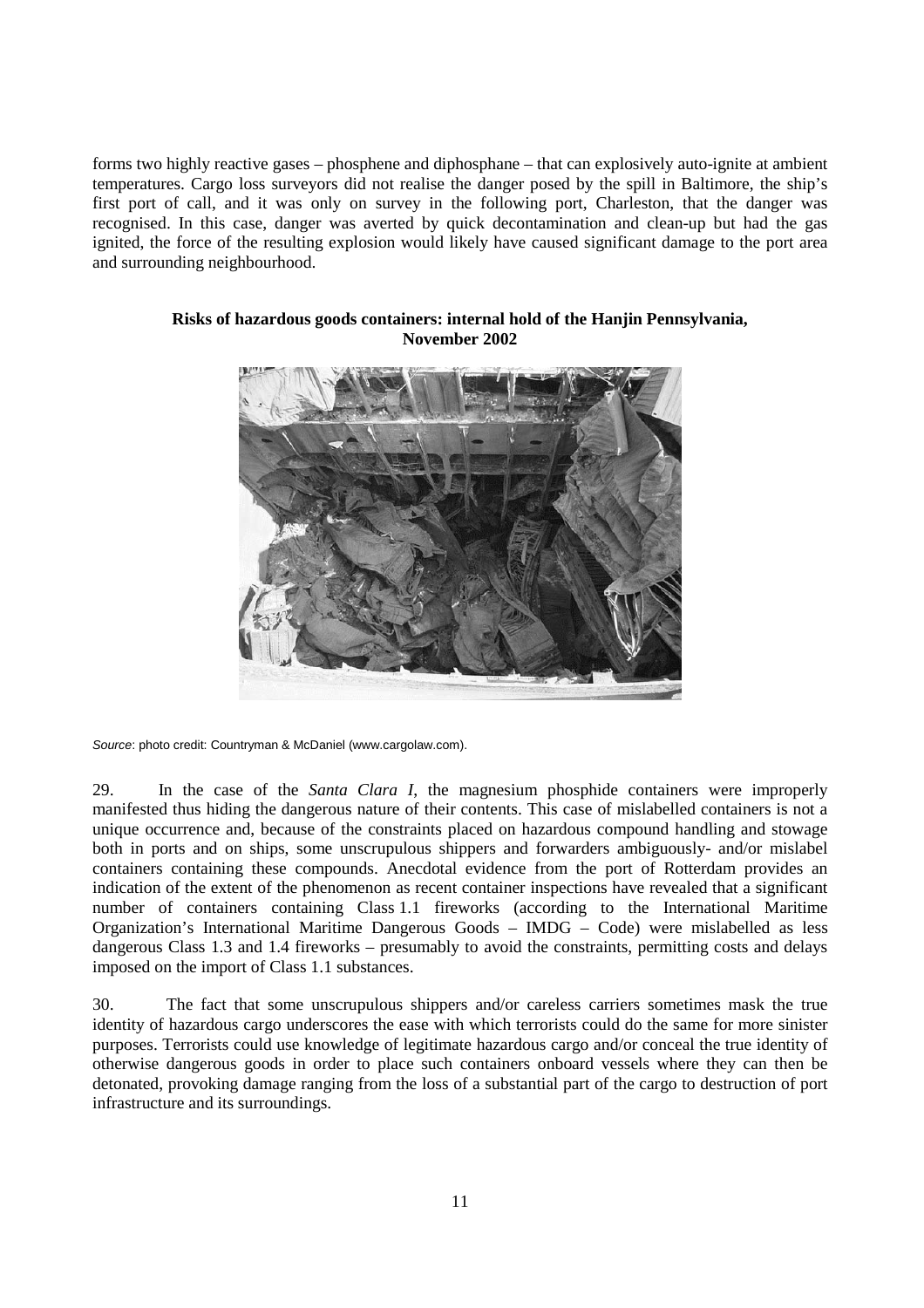forms two highly reactive gases – phosphene and diphosphane – that can explosively auto-ignite at ambient temperatures. Cargo loss surveyors did not realise the danger posed by the spill in Baltimore, the ship's first port of call, and it was only on survey in the following port, Charleston, that the danger was recognised. In this case, danger was averted by quick decontamination and clean-up but had the gas ignited, the force of the resulting explosion would likely have caused significant damage to the port area and surrounding neighbourhood.



# **Risks of hazardous goods containers: internal hold of the Hanjin Pennsylvania, November 2002**

Source: photo credit: Countryman & McDaniel (www.cargolaw.com).

29. In the case of the *Santa Clara I*, the magnesium phosphide containers were improperly manifested thus hiding the dangerous nature of their contents. This case of mislabelled containers is not a unique occurrence and, because of the constraints placed on hazardous compound handling and stowage both in ports and on ships, some unscrupulous shippers and forwarders ambiguously- and/or mislabel containers containing these compounds. Anecdotal evidence from the port of Rotterdam provides an indication of the extent of the phenomenon as recent container inspections have revealed that a significant number of containers containing Class 1.1 fireworks (according to the International Maritime Organization's International Maritime Dangerous Goods – IMDG – Code) were mislabelled as less dangerous Class 1.3 and 1.4 fireworks – presumably to avoid the constraints, permitting costs and delays imposed on the import of Class 1.1 substances.

30. The fact that some unscrupulous shippers and/or careless carriers sometimes mask the true identity of hazardous cargo underscores the ease with which terrorists could do the same for more sinister purposes. Terrorists could use knowledge of legitimate hazardous cargo and/or conceal the true identity of otherwise dangerous goods in order to place such containers onboard vessels where they can then be detonated, provoking damage ranging from the loss of a substantial part of the cargo to destruction of port infrastructure and its surroundings.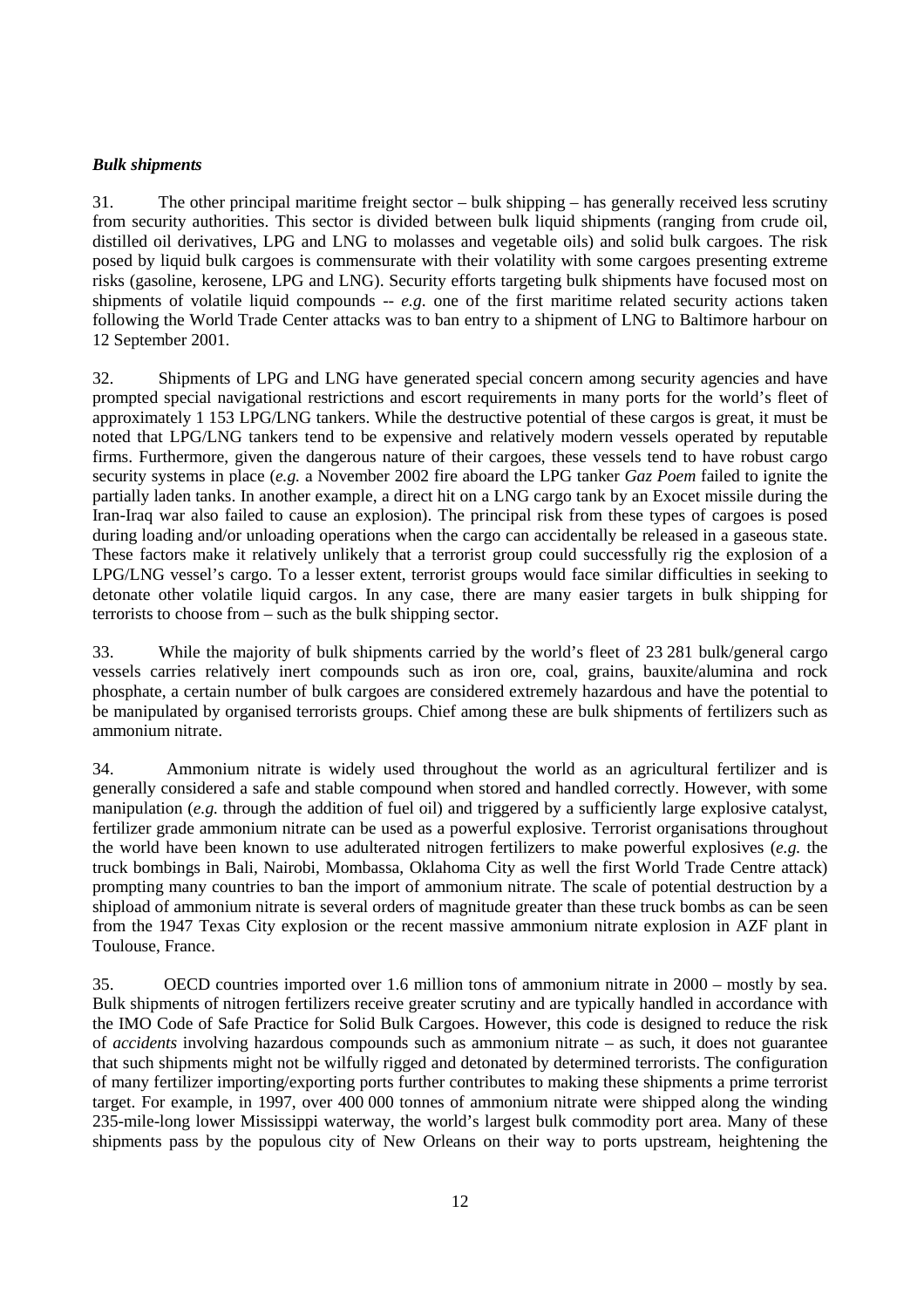# *Bulk shipments*

31. The other principal maritime freight sector – bulk shipping – has generally received less scrutiny from security authorities. This sector is divided between bulk liquid shipments (ranging from crude oil, distilled oil derivatives, LPG and LNG to molasses and vegetable oils) and solid bulk cargoes. The risk posed by liquid bulk cargoes is commensurate with their volatility with some cargoes presenting extreme risks (gasoline, kerosene, LPG and LNG). Security efforts targeting bulk shipments have focused most on shipments of volatile liquid compounds -- *e.g*. one of the first maritime related security actions taken following the World Trade Center attacks was to ban entry to a shipment of LNG to Baltimore harbour on 12 September 2001.

32. Shipments of LPG and LNG have generated special concern among security agencies and have prompted special navigational restrictions and escort requirements in many ports for the world's fleet of approximately 1 153 LPG/LNG tankers. While the destructive potential of these cargos is great, it must be noted that LPG/LNG tankers tend to be expensive and relatively modern vessels operated by reputable firms. Furthermore, given the dangerous nature of their cargoes, these vessels tend to have robust cargo security systems in place (*e.g.* a November 2002 fire aboard the LPG tanker *Gaz Poem* failed to ignite the partially laden tanks. In another example, a direct hit on a LNG cargo tank by an Exocet missile during the Iran-Iraq war also failed to cause an explosion). The principal risk from these types of cargoes is posed during loading and/or unloading operations when the cargo can accidentally be released in a gaseous state. These factors make it relatively unlikely that a terrorist group could successfully rig the explosion of a LPG/LNG vessel's cargo. To a lesser extent, terrorist groups would face similar difficulties in seeking to detonate other volatile liquid cargos. In any case, there are many easier targets in bulk shipping for terrorists to choose from – such as the bulk shipping sector.

33. While the majority of bulk shipments carried by the world's fleet of 23 281 bulk/general cargo vessels carries relatively inert compounds such as iron ore, coal, grains, bauxite/alumina and rock phosphate, a certain number of bulk cargoes are considered extremely hazardous and have the potential to be manipulated by organised terrorists groups. Chief among these are bulk shipments of fertilizers such as ammonium nitrate.

34. Ammonium nitrate is widely used throughout the world as an agricultural fertilizer and is generally considered a safe and stable compound when stored and handled correctly. However, with some manipulation (*e.g.* through the addition of fuel oil) and triggered by a sufficiently large explosive catalyst, fertilizer grade ammonium nitrate can be used as a powerful explosive. Terrorist organisations throughout the world have been known to use adulterated nitrogen fertilizers to make powerful explosives (*e.g.* the truck bombings in Bali, Nairobi, Mombassa, Oklahoma City as well the first World Trade Centre attack) prompting many countries to ban the import of ammonium nitrate. The scale of potential destruction by a shipload of ammonium nitrate is several orders of magnitude greater than these truck bombs as can be seen from the 1947 Texas City explosion or the recent massive ammonium nitrate explosion in AZF plant in Toulouse, France.

35. OECD countries imported over 1.6 million tons of ammonium nitrate in 2000 – mostly by sea. Bulk shipments of nitrogen fertilizers receive greater scrutiny and are typically handled in accordance with the IMO Code of Safe Practice for Solid Bulk Cargoes. However, this code is designed to reduce the risk of *accidents* involving hazardous compounds such as ammonium nitrate – as such, it does not guarantee that such shipments might not be wilfully rigged and detonated by determined terrorists. The configuration of many fertilizer importing/exporting ports further contributes to making these shipments a prime terrorist target. For example, in 1997, over 400 000 tonnes of ammonium nitrate were shipped along the winding 235-mile-long lower Mississippi waterway, the world's largest bulk commodity port area. Many of these shipments pass by the populous city of New Orleans on their way to ports upstream, heightening the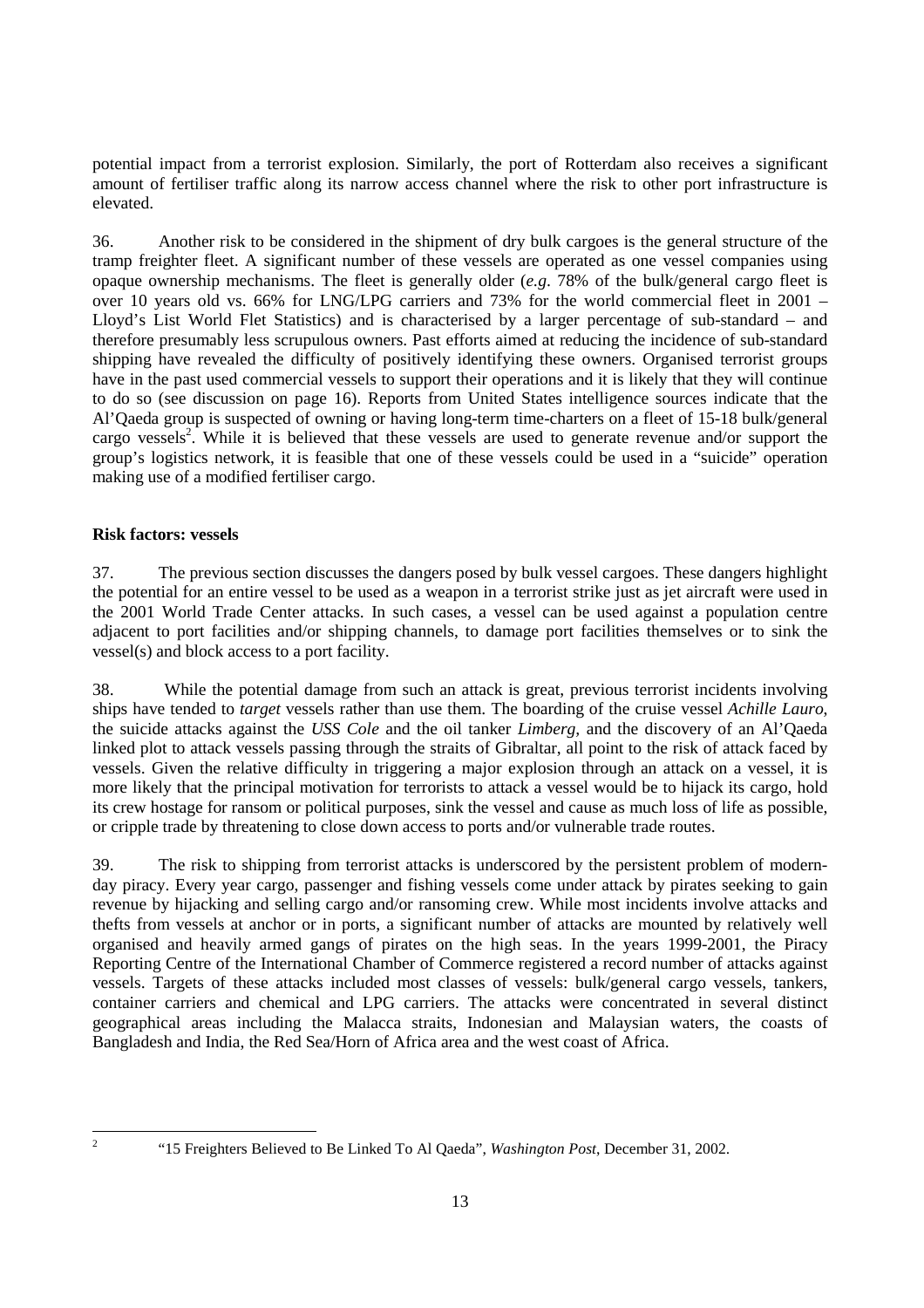potential impact from a terrorist explosion. Similarly, the port of Rotterdam also receives a significant amount of fertiliser traffic along its narrow access channel where the risk to other port infrastructure is elevated.

36. Another risk to be considered in the shipment of dry bulk cargoes is the general structure of the tramp freighter fleet. A significant number of these vessels are operated as one vessel companies using opaque ownership mechanisms. The fleet is generally older (*e.g*. 78% of the bulk/general cargo fleet is over 10 years old vs. 66% for LNG/LPG carriers and 73% for the world commercial fleet in 2001 – Lloyd's List World Flet Statistics) and is characterised by a larger percentage of sub-standard – and therefore presumably less scrupulous owners. Past efforts aimed at reducing the incidence of sub-standard shipping have revealed the difficulty of positively identifying these owners. Organised terrorist groups have in the past used commercial vessels to support their operations and it is likely that they will continue to do so (see discussion on page 16). Reports from United States intelligence sources indicate that the Al'Qaeda group is suspected of owning or having long-term time-charters on a fleet of 15-18 bulk/general cargo vessels<sup>2</sup>. While it is believed that these vessels are used to generate revenue and/or support the group's logistics network, it is feasible that one of these vessels could be used in a "suicide" operation making use of a modified fertiliser cargo.

# **Risk factors: vessels**

37. The previous section discusses the dangers posed by bulk vessel cargoes. These dangers highlight the potential for an entire vessel to be used as a weapon in a terrorist strike just as jet aircraft were used in the 2001 World Trade Center attacks. In such cases, a vessel can be used against a population centre adjacent to port facilities and/or shipping channels, to damage port facilities themselves or to sink the vessel(s) and block access to a port facility.

38. While the potential damage from such an attack is great, previous terrorist incidents involving ships have tended to *target* vessels rather than use them. The boarding of the cruise vessel *Achille Lauro*, the suicide attacks against the *USS Cole* and the oil tanker *Limberg,* and the discovery of an Al'Qaeda linked plot to attack vessels passing through the straits of Gibraltar, all point to the risk of attack faced by vessels. Given the relative difficulty in triggering a major explosion through an attack on a vessel, it is more likely that the principal motivation for terrorists to attack a vessel would be to hijack its cargo, hold its crew hostage for ransom or political purposes, sink the vessel and cause as much loss of life as possible, or cripple trade by threatening to close down access to ports and/or vulnerable trade routes.

39. The risk to shipping from terrorist attacks is underscored by the persistent problem of modernday piracy. Every year cargo, passenger and fishing vessels come under attack by pirates seeking to gain revenue by hijacking and selling cargo and/or ransoming crew. While most incidents involve attacks and thefts from vessels at anchor or in ports, a significant number of attacks are mounted by relatively well organised and heavily armed gangs of pirates on the high seas. In the years 1999-2001, the Piracy Reporting Centre of the International Chamber of Commerce registered a record number of attacks against vessels. Targets of these attacks included most classes of vessels: bulk/general cargo vessels, tankers, container carriers and chemical and LPG carriers. The attacks were concentrated in several distinct geographical areas including the Malacca straits, Indonesian and Malaysian waters, the coasts of Bangladesh and India, the Red Sea/Horn of Africa area and the west coast of Africa.

 $\frac{1}{2}$ 

 <sup>&</sup>quot;15 Freighters Believed to Be Linked To Al Qaeda", *Washington Post*, December 31, 2002.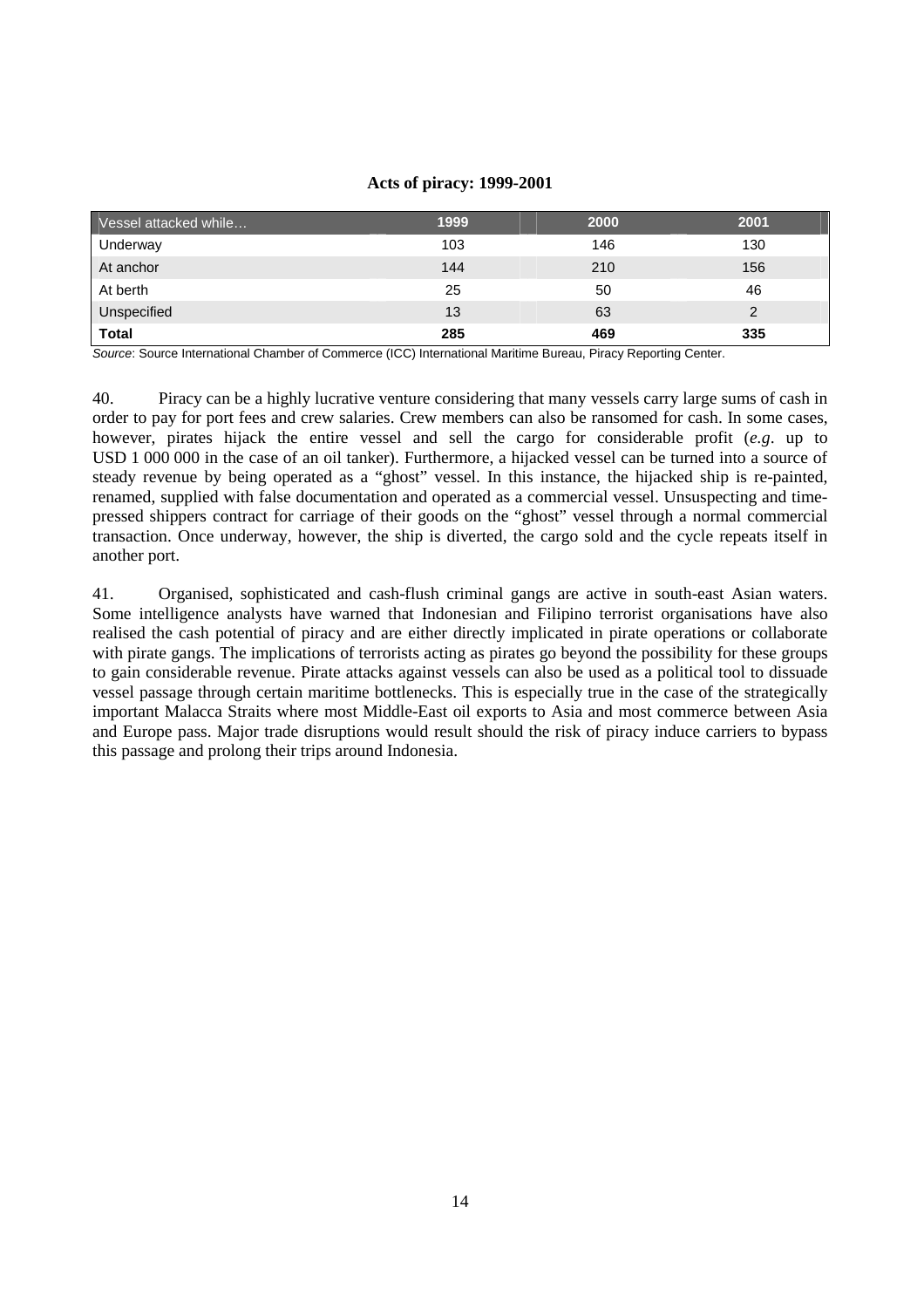#### **Acts of piracy: 1999-2001**

| Vessel attacked while | 1999 | 2000 | 2001 |
|-----------------------|------|------|------|
| Underway              | 103  | 146  | 130  |
| At anchor             | 144  | 210  | 156  |
| At berth              | 25   | 50   | 46   |
| Unspecified           | 13   | 63   |      |
| <b>Total</b>          | 285  | 469  | 335  |

Source: Source International Chamber of Commerce (ICC) International Maritime Bureau, Piracy Reporting Center.

40. Piracy can be a highly lucrative venture considering that many vessels carry large sums of cash in order to pay for port fees and crew salaries. Crew members can also be ransomed for cash. In some cases, however, pirates hijack the entire vessel and sell the cargo for considerable profit (*e.g*. up to USD 1 000 000 in the case of an oil tanker). Furthermore, a hijacked vessel can be turned into a source of steady revenue by being operated as a "ghost" vessel. In this instance, the hijacked ship is re-painted, renamed, supplied with false documentation and operated as a commercial vessel. Unsuspecting and timepressed shippers contract for carriage of their goods on the "ghost" vessel through a normal commercial transaction. Once underway, however, the ship is diverted, the cargo sold and the cycle repeats itself in another port.

41. Organised, sophisticated and cash-flush criminal gangs are active in south-east Asian waters. Some intelligence analysts have warned that Indonesian and Filipino terrorist organisations have also realised the cash potential of piracy and are either directly implicated in pirate operations or collaborate with pirate gangs. The implications of terrorists acting as pirates go beyond the possibility for these groups to gain considerable revenue. Pirate attacks against vessels can also be used as a political tool to dissuade vessel passage through certain maritime bottlenecks. This is especially true in the case of the strategically important Malacca Straits where most Middle-East oil exports to Asia and most commerce between Asia and Europe pass. Major trade disruptions would result should the risk of piracy induce carriers to bypass this passage and prolong their trips around Indonesia.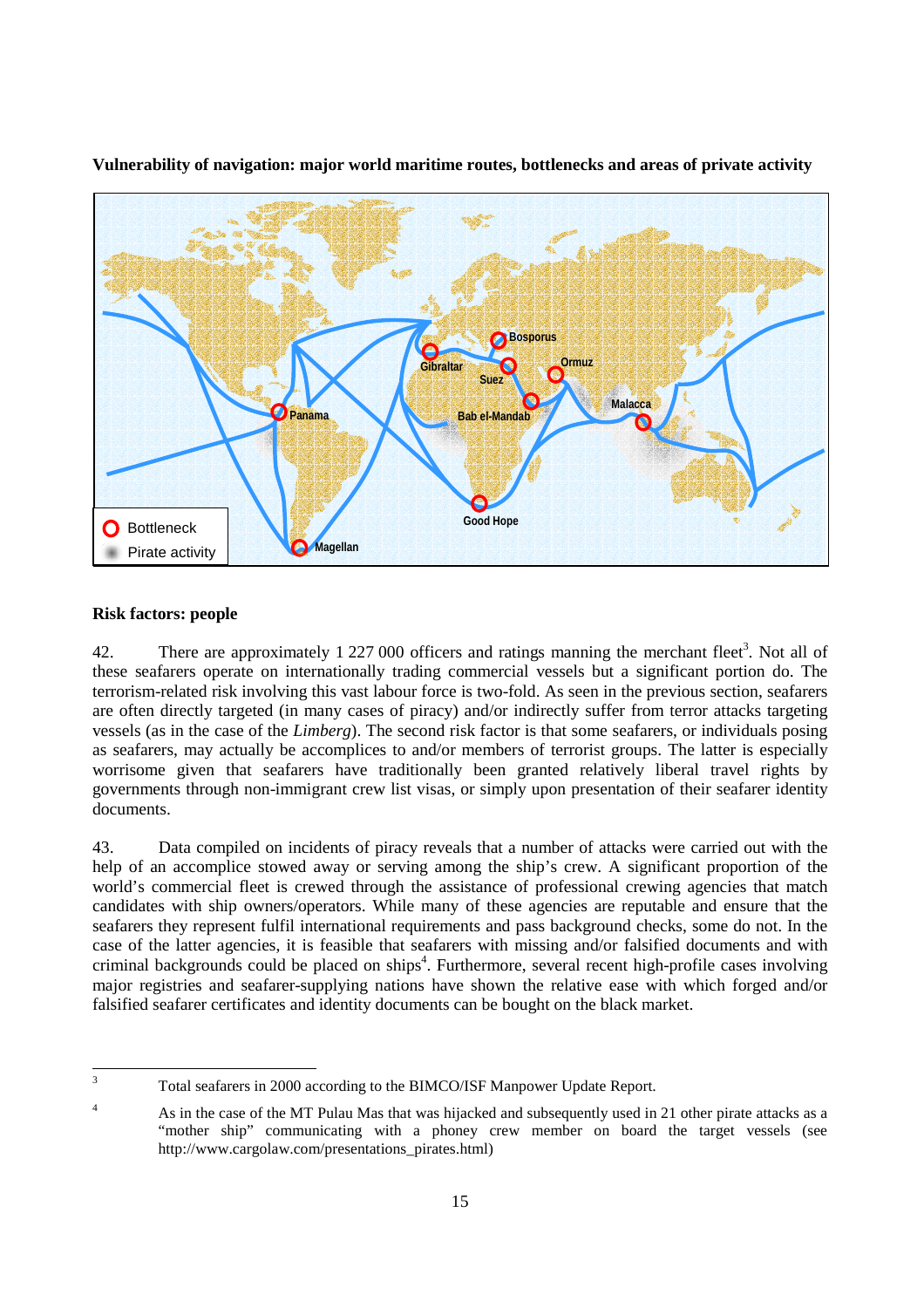

**Vulnerability of navigation: major world maritime routes, bottlenecks and areas of private activity** 

# **Risk factors: people**

42. There are approximately 1 227 000 officers and ratings manning the merchant fleet<sup>3</sup>. Not all of these seafarers operate on internationally trading commercial vessels but a significant portion do. The terrorism-related risk involving this vast labour force is two-fold. As seen in the previous section, seafarers are often directly targeted (in many cases of piracy) and/or indirectly suffer from terror attacks targeting vessels (as in the case of the *Limberg*). The second risk factor is that some seafarers, or individuals posing as seafarers, may actually be accomplices to and/or members of terrorist groups. The latter is especially worrisome given that seafarers have traditionally been granted relatively liberal travel rights by governments through non-immigrant crew list visas, or simply upon presentation of their seafarer identity documents.

43. Data compiled on incidents of piracy reveals that a number of attacks were carried out with the help of an accomplice stowed away or serving among the ship's crew. A significant proportion of the world's commercial fleet is crewed through the assistance of professional crewing agencies that match candidates with ship owners/operators. While many of these agencies are reputable and ensure that the seafarers they represent fulfil international requirements and pass background checks, some do not. In the case of the latter agencies, it is feasible that seafarers with missing and/or falsified documents and with criminal backgrounds could be placed on ships<sup>4</sup>. Furthermore, several recent high-profile cases involving major registries and seafarer-supplying nations have shown the relative ease with which forged and/or falsified seafarer certificates and identity documents can be bought on the black market.

 3 Total seafarers in 2000 according to the BIMCO/ISF Manpower Update Report.

<sup>4</sup> As in the case of the MT Pulau Mas that was hijacked and subsequently used in 21 other pirate attacks as a "mother ship" communicating with a phoney crew member on board the target vessels (see http://www.cargolaw.com/presentations\_pirates.html)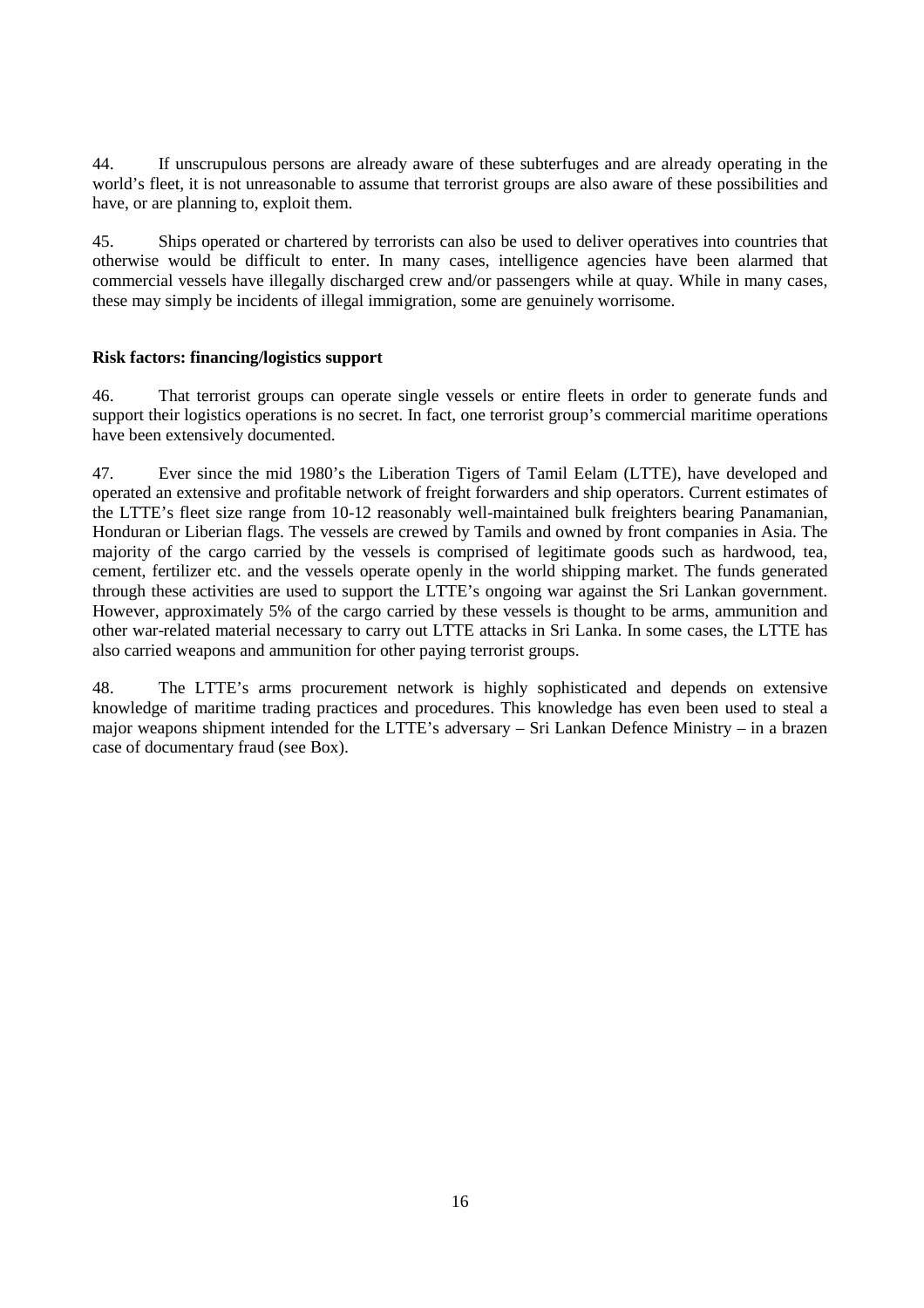44. If unscrupulous persons are already aware of these subterfuges and are already operating in the world's fleet, it is not unreasonable to assume that terrorist groups are also aware of these possibilities and have, or are planning to, exploit them.

45. Ships operated or chartered by terrorists can also be used to deliver operatives into countries that otherwise would be difficult to enter. In many cases, intelligence agencies have been alarmed that commercial vessels have illegally discharged crew and/or passengers while at quay. While in many cases, these may simply be incidents of illegal immigration, some are genuinely worrisome.

# **Risk factors: financing/logistics support**

46. That terrorist groups can operate single vessels or entire fleets in order to generate funds and support their logistics operations is no secret. In fact, one terrorist group's commercial maritime operations have been extensively documented.

47. Ever since the mid 1980's the Liberation Tigers of Tamil Eelam (LTTE), have developed and operated an extensive and profitable network of freight forwarders and ship operators. Current estimates of the LTTE's fleet size range from 10-12 reasonably well-maintained bulk freighters bearing Panamanian, Honduran or Liberian flags. The vessels are crewed by Tamils and owned by front companies in Asia. The majority of the cargo carried by the vessels is comprised of legitimate goods such as hardwood, tea, cement, fertilizer etc. and the vessels operate openly in the world shipping market. The funds generated through these activities are used to support the LTTE's ongoing war against the Sri Lankan government. However, approximately 5% of the cargo carried by these vessels is thought to be arms, ammunition and other war-related material necessary to carry out LTTE attacks in Sri Lanka. In some cases, the LTTE has also carried weapons and ammunition for other paying terrorist groups.

48. The LTTE's arms procurement network is highly sophisticated and depends on extensive knowledge of maritime trading practices and procedures. This knowledge has even been used to steal a major weapons shipment intended for the LTTE's adversary – Sri Lankan Defence Ministry – in a brazen case of documentary fraud (see Box).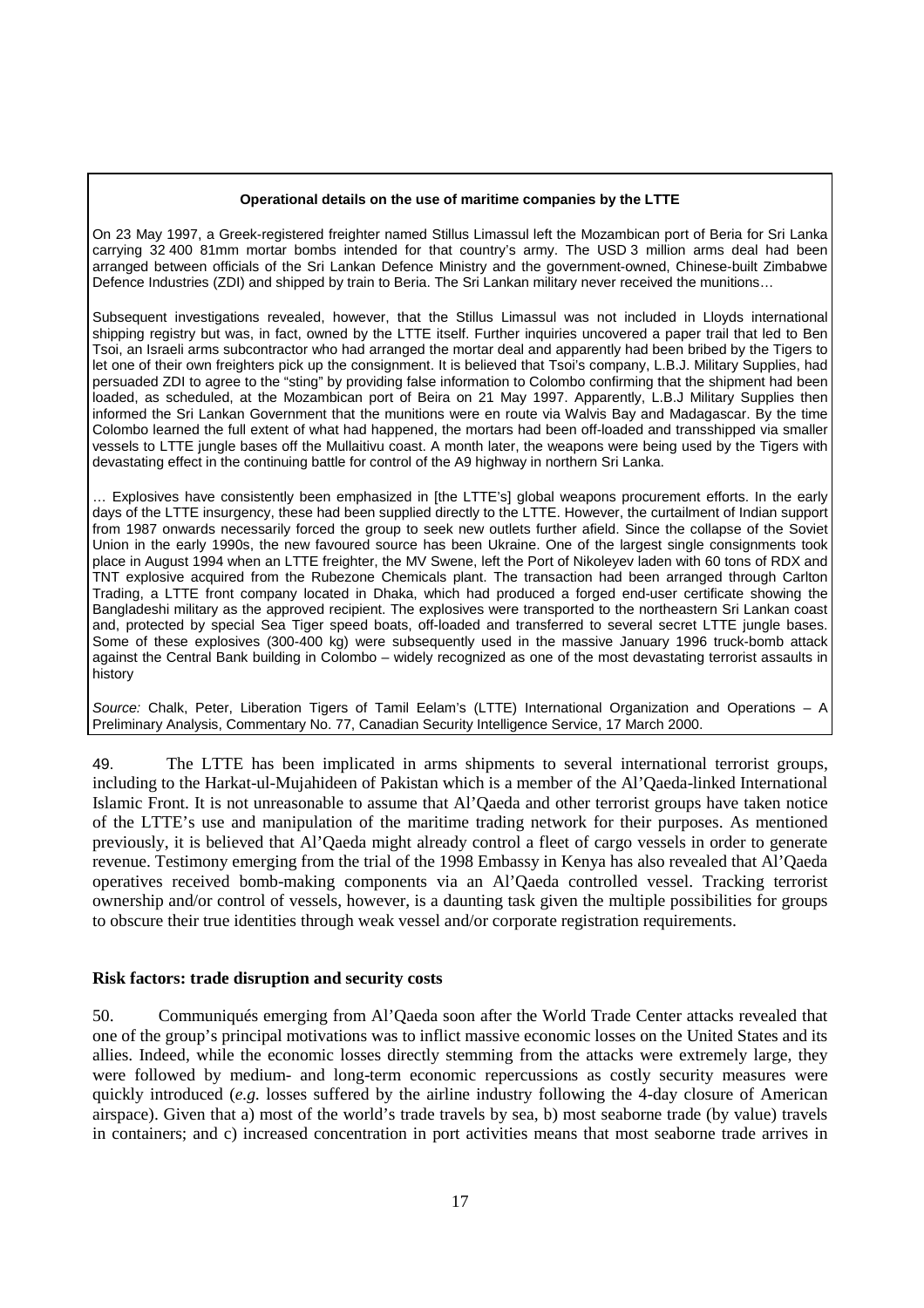#### **Operational details on the use of maritime companies by the LTTE**

On 23 May 1997, a Greek-registered freighter named Stillus Limassul left the Mozambican port of Beria for Sri Lanka carrying 32 400 81mm mortar bombs intended for that country's army. The USD 3 million arms deal had been arranged between officials of the Sri Lankan Defence Ministry and the government-owned, Chinese-built Zimbabwe Defence Industries (ZDI) and shipped by train to Beria. The Sri Lankan military never received the munitions…

Subsequent investigations revealed, however, that the Stillus Limassul was not included in Lloyds international shipping registry but was, in fact, owned by the LTTE itself. Further inquiries uncovered a paper trail that led to Ben Tsoi, an Israeli arms subcontractor who had arranged the mortar deal and apparently had been bribed by the Tigers to let one of their own freighters pick up the consignment. It is believed that Tsoi's company, L.B.J. Military Supplies, had persuaded ZDI to agree to the "sting" by providing false information to Colombo confirming that the shipment had been loaded, as scheduled, at the Mozambican port of Beira on 21 May 1997. Apparently, L.B.J Military Supplies then informed the Sri Lankan Government that the munitions were en route via Walvis Bay and Madagascar. By the time Colombo learned the full extent of what had happened, the mortars had been off-loaded and transshipped via smaller vessels to LTTE jungle bases off the Mullaitivu coast. A month later, the weapons were being used by the Tigers with devastating effect in the continuing battle for control of the A9 highway in northern Sri Lanka.

… Explosives have consistently been emphasized in [the LTTE's] global weapons procurement efforts. In the early days of the LTTE insurgency, these had been supplied directly to the LTTE. However, the curtailment of Indian support from 1987 onwards necessarily forced the group to seek new outlets further afield. Since the collapse of the Soviet Union in the early 1990s, the new favoured source has been Ukraine. One of the largest single consignments took place in August 1994 when an LTTE freighter, the MV Swene, left the Port of Nikoleyev laden with 60 tons of RDX and TNT explosive acquired from the Rubezone Chemicals plant. The transaction had been arranged through Carlton Trading, a LTTE front company located in Dhaka, which had produced a forged end-user certificate showing the Bangladeshi military as the approved recipient. The explosives were transported to the northeastern Sri Lankan coast and, protected by special Sea Tiger speed boats, off-loaded and transferred to several secret LTTE jungle bases. Some of these explosives (300-400 kg) were subsequently used in the massive January 1996 truck-bomb attack against the Central Bank building in Colombo – widely recognized as one of the most devastating terrorist assaults in history

Source: Chalk, Peter, Liberation Tigers of Tamil Eelam's (LTTE) International Organization and Operations – A Preliminary Analysis, Commentary No. 77, Canadian Security Intelligence Service, 17 March 2000.

49. The LTTE has been implicated in arms shipments to several international terrorist groups, including to the Harkat-ul-Mujahideen of Pakistan which is a member of the Al'Qaeda-linked International Islamic Front. It is not unreasonable to assume that Al'Qaeda and other terrorist groups have taken notice of the LTTE's use and manipulation of the maritime trading network for their purposes. As mentioned previously, it is believed that Al'Qaeda might already control a fleet of cargo vessels in order to generate revenue. Testimony emerging from the trial of the 1998 Embassy in Kenya has also revealed that Al'Qaeda operatives received bomb-making components via an Al'Qaeda controlled vessel. Tracking terrorist ownership and/or control of vessels, however, is a daunting task given the multiple possibilities for groups to obscure their true identities through weak vessel and/or corporate registration requirements.

### **Risk factors: trade disruption and security costs**

50. Communiqués emerging from Al'Qaeda soon after the World Trade Center attacks revealed that one of the group's principal motivations was to inflict massive economic losses on the United States and its allies. Indeed, while the economic losses directly stemming from the attacks were extremely large, they were followed by medium- and long-term economic repercussions as costly security measures were quickly introduced (*e.g.* losses suffered by the airline industry following the 4-day closure of American airspace). Given that a) most of the world's trade travels by sea, b) most seaborne trade (by value) travels in containers; and c) increased concentration in port activities means that most seaborne trade arrives in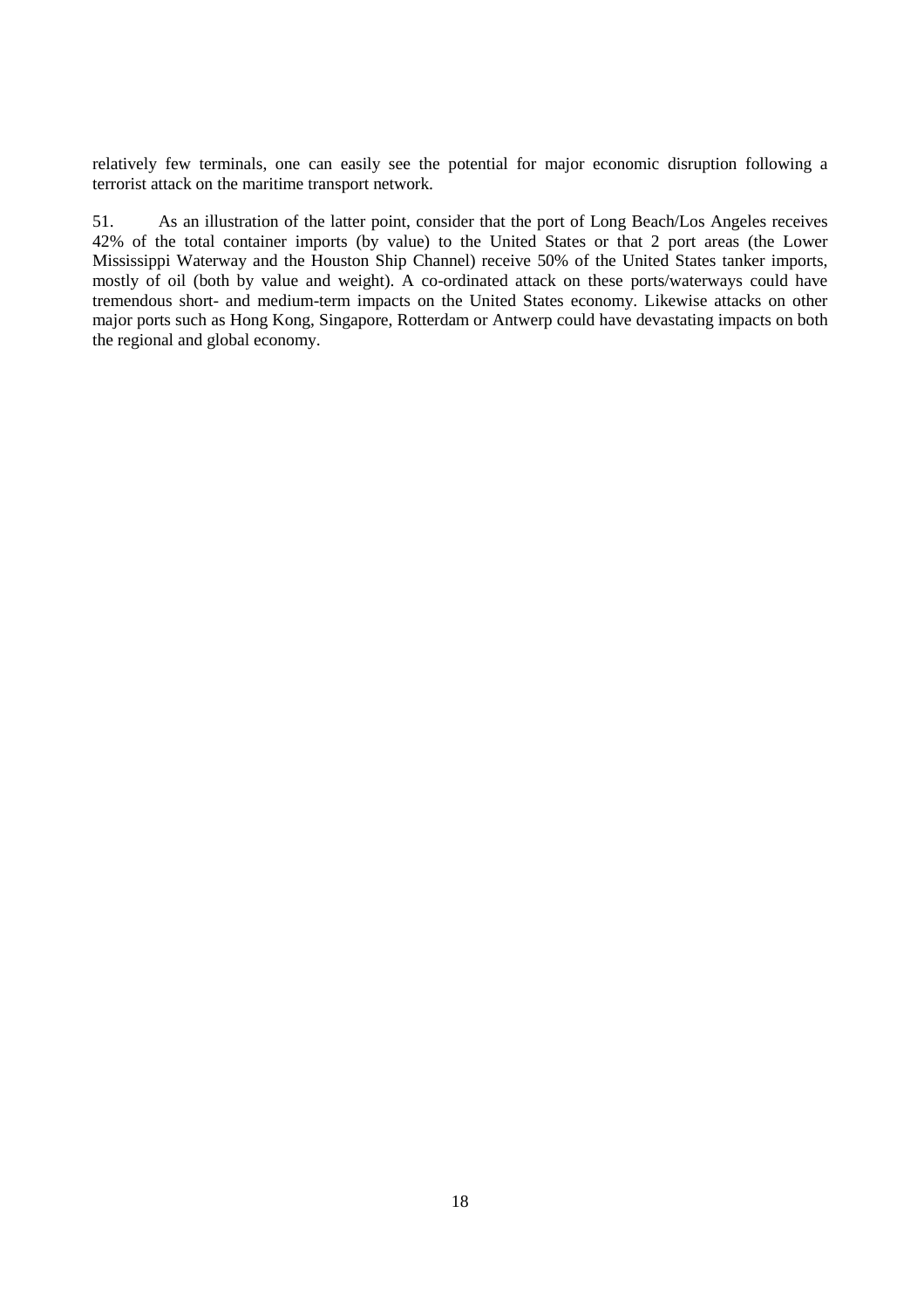relatively few terminals, one can easily see the potential for major economic disruption following a terrorist attack on the maritime transport network.

51. As an illustration of the latter point, consider that the port of Long Beach/Los Angeles receives 42% of the total container imports (by value) to the United States or that 2 port areas (the Lower Mississippi Waterway and the Houston Ship Channel) receive 50% of the United States tanker imports, mostly of oil (both by value and weight). A co-ordinated attack on these ports/waterways could have tremendous short- and medium-term impacts on the United States economy. Likewise attacks on other major ports such as Hong Kong, Singapore, Rotterdam or Antwerp could have devastating impacts on both the regional and global economy.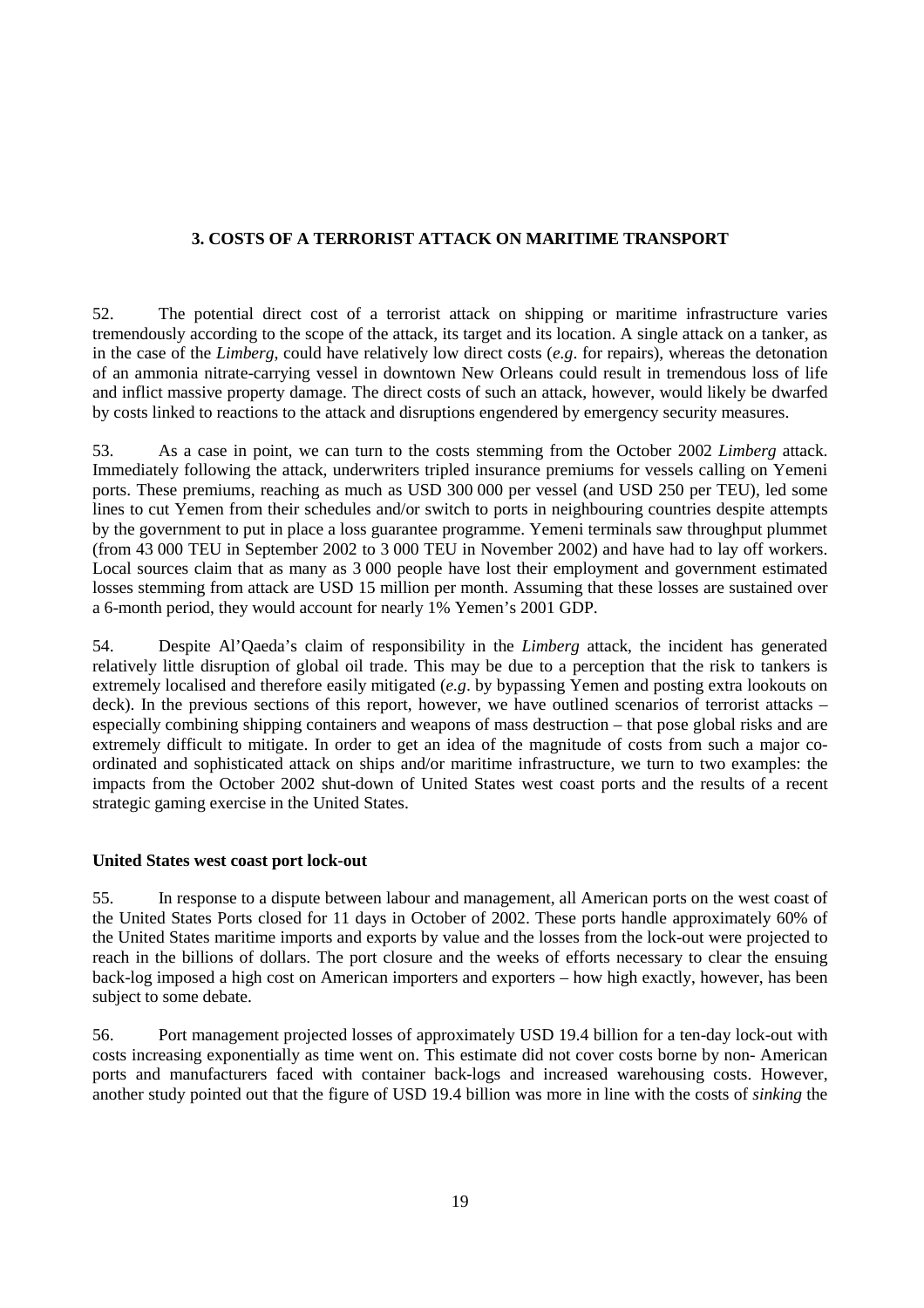# **3. COSTS OF A TERRORIST ATTACK ON MARITIME TRANSPORT**

52. The potential direct cost of a terrorist attack on shipping or maritime infrastructure varies tremendously according to the scope of the attack, its target and its location. A single attack on a tanker, as in the case of the *Limberg*, could have relatively low direct costs (*e.g*. for repairs), whereas the detonation of an ammonia nitrate-carrying vessel in downtown New Orleans could result in tremendous loss of life and inflict massive property damage. The direct costs of such an attack, however, would likely be dwarfed by costs linked to reactions to the attack and disruptions engendered by emergency security measures.

53. As a case in point, we can turn to the costs stemming from the October 2002 *Limberg* attack. Immediately following the attack, underwriters tripled insurance premiums for vessels calling on Yemeni ports. These premiums, reaching as much as USD 300 000 per vessel (and USD 250 per TEU), led some lines to cut Yemen from their schedules and/or switch to ports in neighbouring countries despite attempts by the government to put in place a loss guarantee programme. Yemeni terminals saw throughput plummet (from 43 000 TEU in September 2002 to 3 000 TEU in November 2002) and have had to lay off workers. Local sources claim that as many as 3 000 people have lost their employment and government estimated losses stemming from attack are USD 15 million per month. Assuming that these losses are sustained over a 6-month period, they would account for nearly 1% Yemen's 2001 GDP.

54. Despite Al'Qaeda's claim of responsibility in the *Limberg* attack, the incident has generated relatively little disruption of global oil trade. This may be due to a perception that the risk to tankers is extremely localised and therefore easily mitigated (*e.g*. by bypassing Yemen and posting extra lookouts on deck). In the previous sections of this report, however, we have outlined scenarios of terrorist attacks – especially combining shipping containers and weapons of mass destruction – that pose global risks and are extremely difficult to mitigate. In order to get an idea of the magnitude of costs from such a major coordinated and sophisticated attack on ships and/or maritime infrastructure, we turn to two examples: the impacts from the October 2002 shut-down of United States west coast ports and the results of a recent strategic gaming exercise in the United States.

# **United States west coast port lock-out**

55. In response to a dispute between labour and management, all American ports on the west coast of the United States Ports closed for 11 days in October of 2002. These ports handle approximately 60% of the United States maritime imports and exports by value and the losses from the lock-out were projected to reach in the billions of dollars. The port closure and the weeks of efforts necessary to clear the ensuing back-log imposed a high cost on American importers and exporters – how high exactly, however, has been subject to some debate.

56. Port management projected losses of approximately USD 19.4 billion for a ten-day lock-out with costs increasing exponentially as time went on. This estimate did not cover costs borne by non- American ports and manufacturers faced with container back-logs and increased warehousing costs. However, another study pointed out that the figure of USD 19.4 billion was more in line with the costs of *sinking* the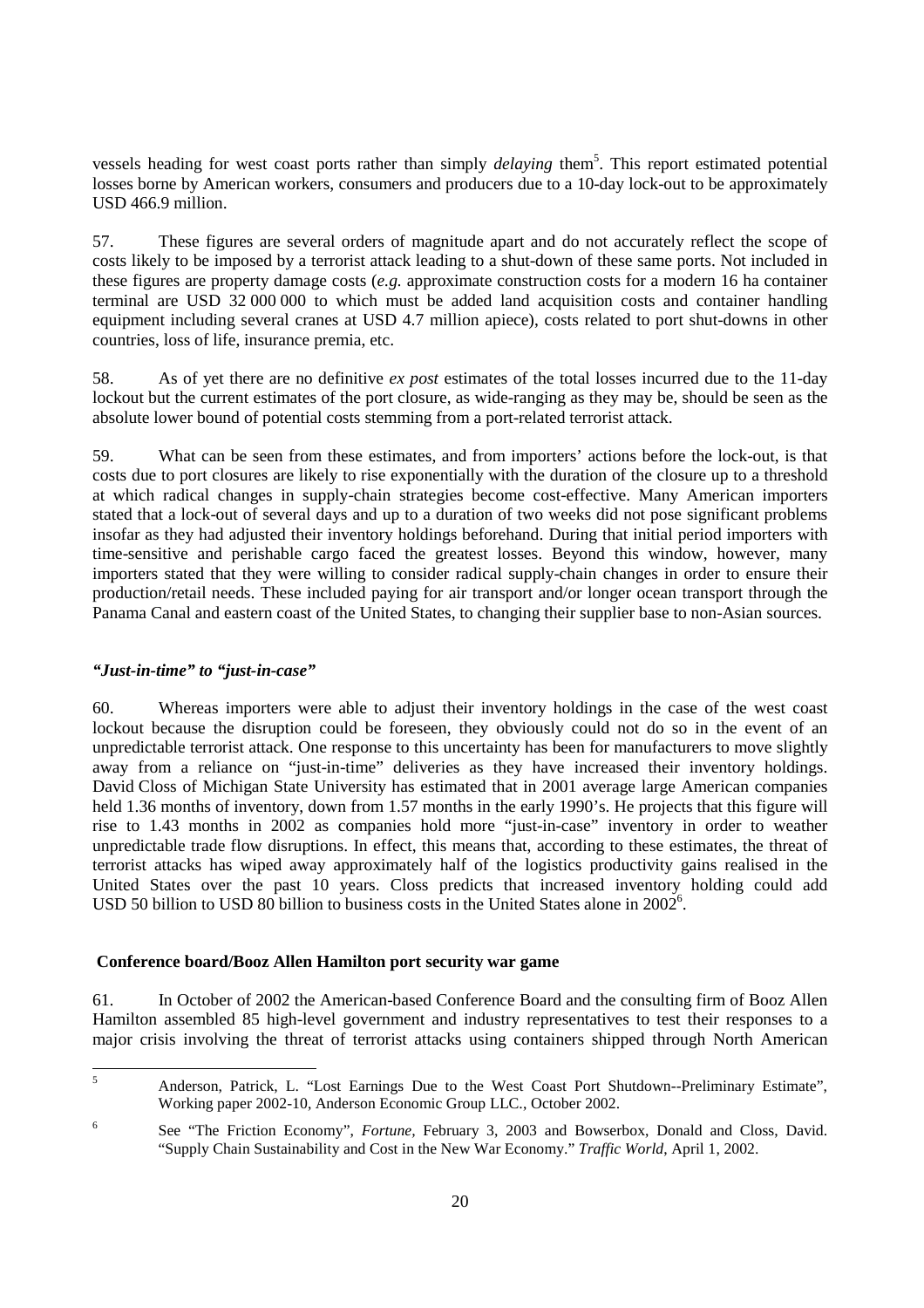vessels heading for west coast ports rather than simply *delaying* them<sup>5</sup>. This report estimated potential losses borne by American workers, consumers and producers due to a 10-day lock-out to be approximately USD 466.9 million.

57. These figures are several orders of magnitude apart and do not accurately reflect the scope of costs likely to be imposed by a terrorist attack leading to a shut-down of these same ports. Not included in these figures are property damage costs (*e.g.* approximate construction costs for a modern 16 ha container terminal are USD 32 000 000 to which must be added land acquisition costs and container handling equipment including several cranes at USD 4.7 million apiece), costs related to port shut-downs in other countries, loss of life, insurance premia, etc.

58. As of yet there are no definitive *ex post* estimates of the total losses incurred due to the 11-day lockout but the current estimates of the port closure, as wide-ranging as they may be, should be seen as the absolute lower bound of potential costs stemming from a port-related terrorist attack.

59. What can be seen from these estimates, and from importers' actions before the lock-out, is that costs due to port closures are likely to rise exponentially with the duration of the closure up to a threshold at which radical changes in supply-chain strategies become cost-effective. Many American importers stated that a lock-out of several days and up to a duration of two weeks did not pose significant problems insofar as they had adjusted their inventory holdings beforehand. During that initial period importers with time-sensitive and perishable cargo faced the greatest losses. Beyond this window, however, many importers stated that they were willing to consider radical supply-chain changes in order to ensure their production/retail needs. These included paying for air transport and/or longer ocean transport through the Panama Canal and eastern coast of the United States, to changing their supplier base to non-Asian sources.

# *"Just-in-time" to "just-in-case"*

60. Whereas importers were able to adjust their inventory holdings in the case of the west coast lockout because the disruption could be foreseen, they obviously could not do so in the event of an unpredictable terrorist attack. One response to this uncertainty has been for manufacturers to move slightly away from a reliance on "just-in-time" deliveries as they have increased their inventory holdings. David Closs of Michigan State University has estimated that in 2001 average large American companies held 1.36 months of inventory, down from 1.57 months in the early 1990's. He projects that this figure will rise to 1.43 months in 2002 as companies hold more "just-in-case" inventory in order to weather unpredictable trade flow disruptions. In effect, this means that, according to these estimates, the threat of terrorist attacks has wiped away approximately half of the logistics productivity gains realised in the United States over the past 10 years. Closs predicts that increased inventory holding could add USD 50 billion to USD 80 billion to business costs in the United States alone in 2002<sup>6</sup>.

#### **Conference board/Booz Allen Hamilton port security war game**

61. In October of 2002 the American-based Conference Board and the consulting firm of Booz Allen Hamilton assembled 85 high-level government and industry representatives to test their responses to a major crisis involving the threat of terrorist attacks using containers shipped through North American

 5 Anderson, Patrick, L. "Lost Earnings Due to the West Coast Port Shutdown--Preliminary Estimate", Working paper 2002-10, Anderson Economic Group LLC., October 2002.

<sup>6</sup> See "The Friction Economy", *Fortune,* February 3, 2003 and Bowserbox, Donald and Closs, David. "Supply Chain Sustainability and Cost in the New War Economy." *Traffic World*, April 1, 2002.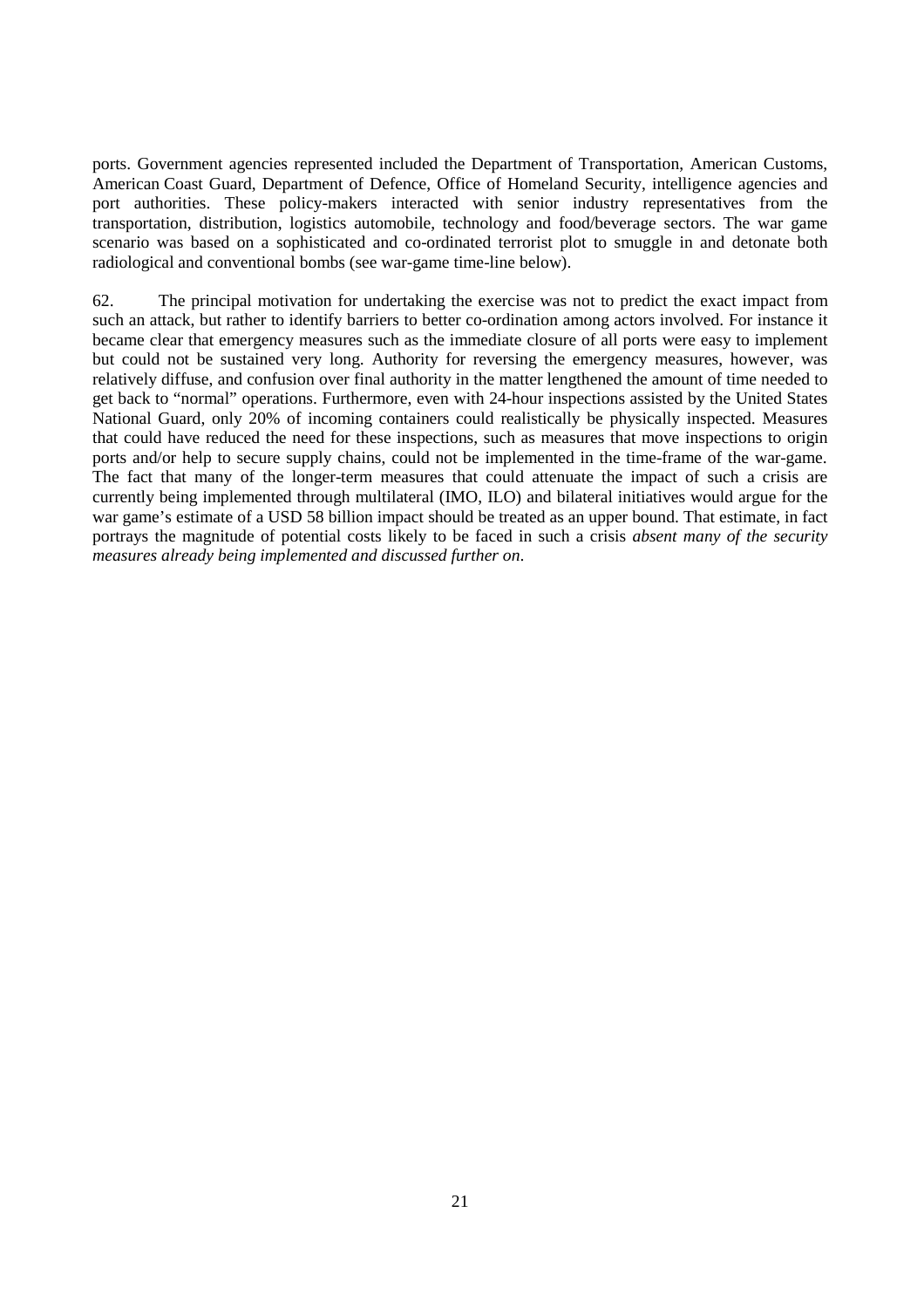ports. Government agencies represented included the Department of Transportation, American Customs, American Coast Guard, Department of Defence, Office of Homeland Security, intelligence agencies and port authorities. These policy-makers interacted with senior industry representatives from the transportation, distribution, logistics automobile, technology and food/beverage sectors. The war game scenario was based on a sophisticated and co-ordinated terrorist plot to smuggle in and detonate both radiological and conventional bombs (see war-game time-line below).

62. The principal motivation for undertaking the exercise was not to predict the exact impact from such an attack, but rather to identify barriers to better co-ordination among actors involved. For instance it became clear that emergency measures such as the immediate closure of all ports were easy to implement but could not be sustained very long. Authority for reversing the emergency measures, however, was relatively diffuse, and confusion over final authority in the matter lengthened the amount of time needed to get back to "normal" operations. Furthermore, even with 24-hour inspections assisted by the United States National Guard, only 20% of incoming containers could realistically be physically inspected. Measures that could have reduced the need for these inspections, such as measures that move inspections to origin ports and/or help to secure supply chains, could not be implemented in the time-frame of the war-game. The fact that many of the longer-term measures that could attenuate the impact of such a crisis are currently being implemented through multilateral (IMO, ILO) and bilateral initiatives would argue for the war game's estimate of a USD 58 billion impact should be treated as an upper bound. That estimate, in fact portrays the magnitude of potential costs likely to be faced in such a crisis *absent many of the security measures already being implemented and discussed further on*.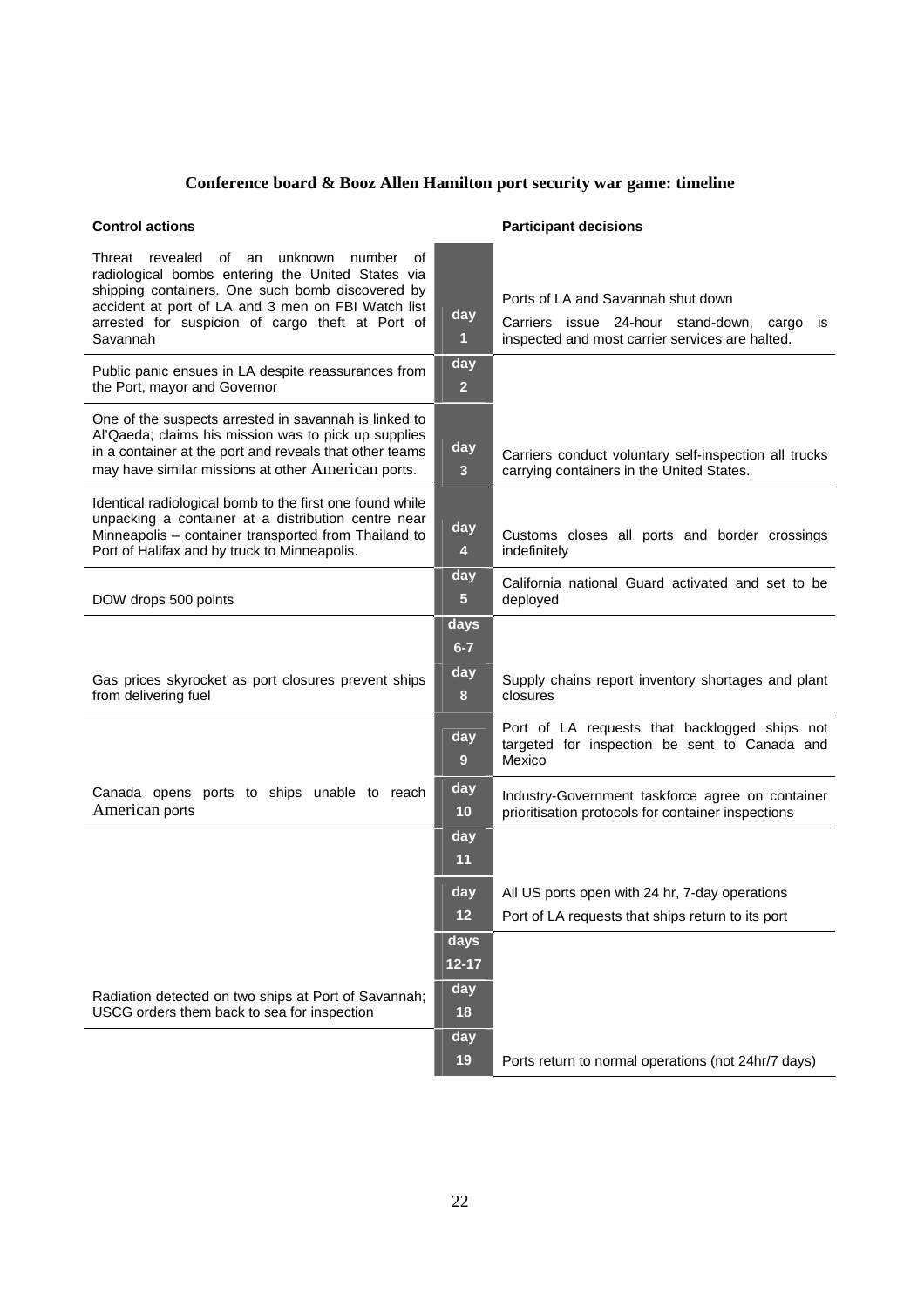# **Conference board & Booz Allen Hamilton port security war game: timeline**

# **Control actions Control actions Actions Actions Participant decisions**

| unknown number<br>Threat revealed of an<br>οf<br>radiological bombs entering the United States via<br>shipping containers. One such bomb discovered by<br>accident at port of LA and 3 men on FBI Watch list<br>arrested for suspicion of cargo theft at Port of<br>Savannah | day<br>1                       | Ports of LA and Savannah shut down<br>Carriers issue 24-hour stand-down, cargo<br>is<br>inspected and most carrier services are halted. |
|------------------------------------------------------------------------------------------------------------------------------------------------------------------------------------------------------------------------------------------------------------------------------|--------------------------------|-----------------------------------------------------------------------------------------------------------------------------------------|
| Public panic ensues in LA despite reassurances from<br>the Port, mayor and Governor                                                                                                                                                                                          | day<br>$\overline{2}$          |                                                                                                                                         |
| One of the suspects arrested in savannah is linked to<br>Al'Qaeda; claims his mission was to pick up supplies<br>in a container at the port and reveals that other teams<br>may have similar missions at other American ports.                                               | day<br>3 <sup>2</sup>          | Carriers conduct voluntary self-inspection all trucks<br>carrying containers in the United States.                                      |
| Identical radiological bomb to the first one found while<br>unpacking a container at a distribution centre near<br>Minneapolis - container transported from Thailand to<br>Port of Halifax and by truck to Minneapolis.                                                      | day<br>4                       | Customs closes all ports and border crossings<br>indefinitely                                                                           |
| DOW drops 500 points                                                                                                                                                                                                                                                         | day<br>$\overline{\mathbf{5}}$ | California national Guard activated and set to be<br>deployed                                                                           |
|                                                                                                                                                                                                                                                                              | days<br>$6 - 7$                |                                                                                                                                         |
| Gas prices skyrocket as port closures prevent ships<br>from delivering fuel                                                                                                                                                                                                  | day<br>8                       | Supply chains report inventory shortages and plant<br>closures                                                                          |
|                                                                                                                                                                                                                                                                              | day<br>9                       | Port of LA requests that backlogged ships not<br>targeted for inspection be sent to Canada and<br>Mexico                                |
| Canada opens ports to ships unable to reach<br>American ports                                                                                                                                                                                                                | day<br>10                      | Industry-Government taskforce agree on container<br>prioritisation protocols for container inspections                                  |
|                                                                                                                                                                                                                                                                              | day<br>11                      |                                                                                                                                         |
|                                                                                                                                                                                                                                                                              | day<br>12                      | All US ports open with 24 hr, 7-day operations<br>Port of LA requests that ships return to its port                                     |
|                                                                                                                                                                                                                                                                              | days<br>$12 - 17$              |                                                                                                                                         |
| Radiation detected on two ships at Port of Savannah;<br>USCG orders them back to sea for inspection                                                                                                                                                                          | day<br>18                      |                                                                                                                                         |
|                                                                                                                                                                                                                                                                              | day<br>19                      | Ports return to normal operations (not 24hr/7 days)                                                                                     |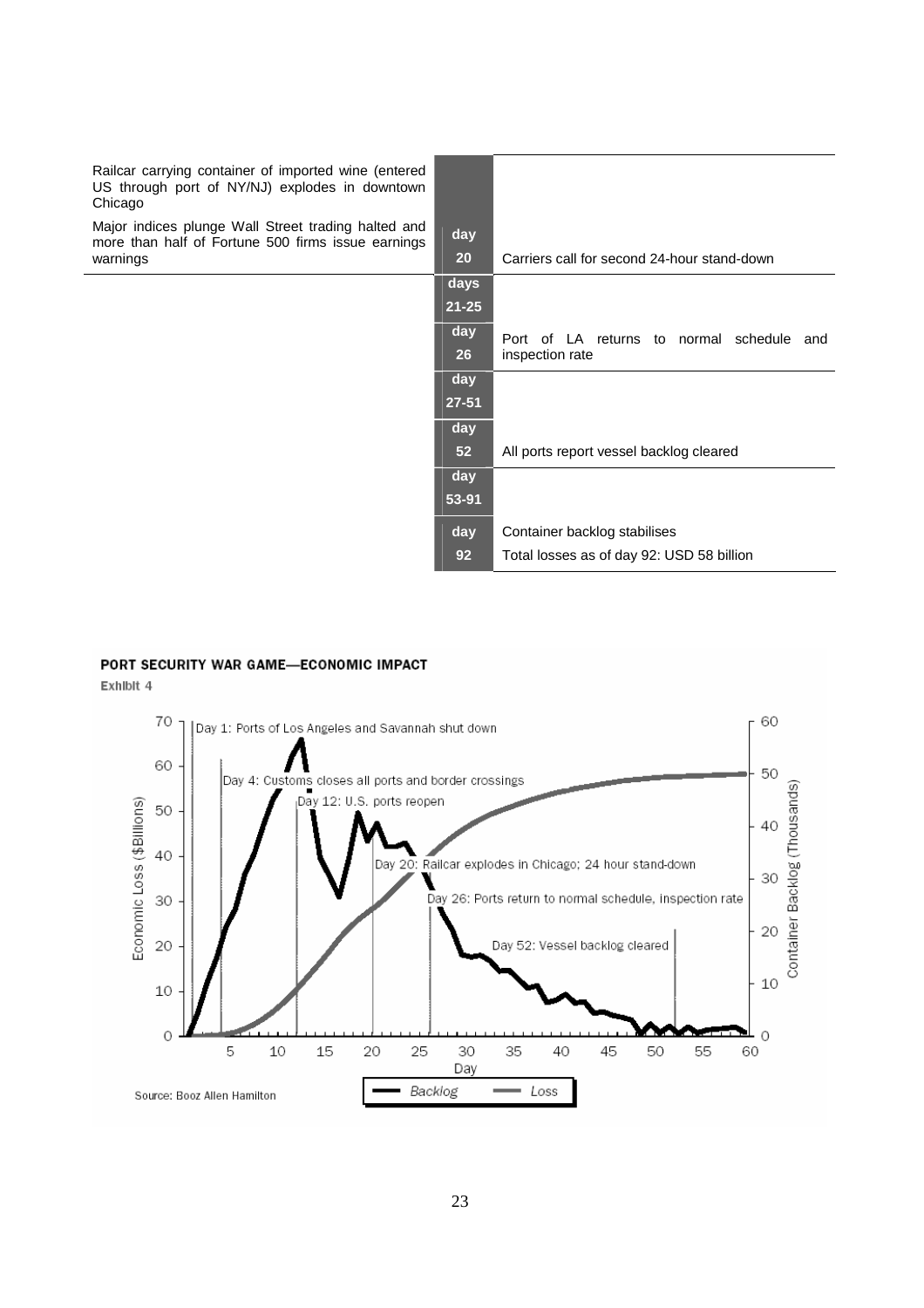| Railcar carrying container of imported wine (entered<br>US through port of NY/NJ) explodes in downtown<br>Chicago |           |                                                                 |
|-------------------------------------------------------------------------------------------------------------------|-----------|-----------------------------------------------------------------|
| Major indices plunge Wall Street trading halted and<br>more than half of Fortune 500 firms issue earnings         | day       |                                                                 |
| warnings                                                                                                          | 20        | Carriers call for second 24-hour stand-down                     |
|                                                                                                                   | days      |                                                                 |
|                                                                                                                   | $21 - 25$ |                                                                 |
|                                                                                                                   | day<br>26 | Port of LA returns to normal schedule<br>and<br>inspection rate |
|                                                                                                                   | day       |                                                                 |
|                                                                                                                   | $27 - 51$ |                                                                 |
|                                                                                                                   | day       |                                                                 |
|                                                                                                                   | 52        | All ports report vessel backlog cleared                         |
|                                                                                                                   | day       |                                                                 |
|                                                                                                                   | 53-91     |                                                                 |
|                                                                                                                   | day       | Container backlog stabilises                                    |
|                                                                                                                   | 92        | Total losses as of day 92: USD 58 billion                       |

#### PORT SECURITY WAR GAME-ECONOMIC IMPACT

Exhibit 4

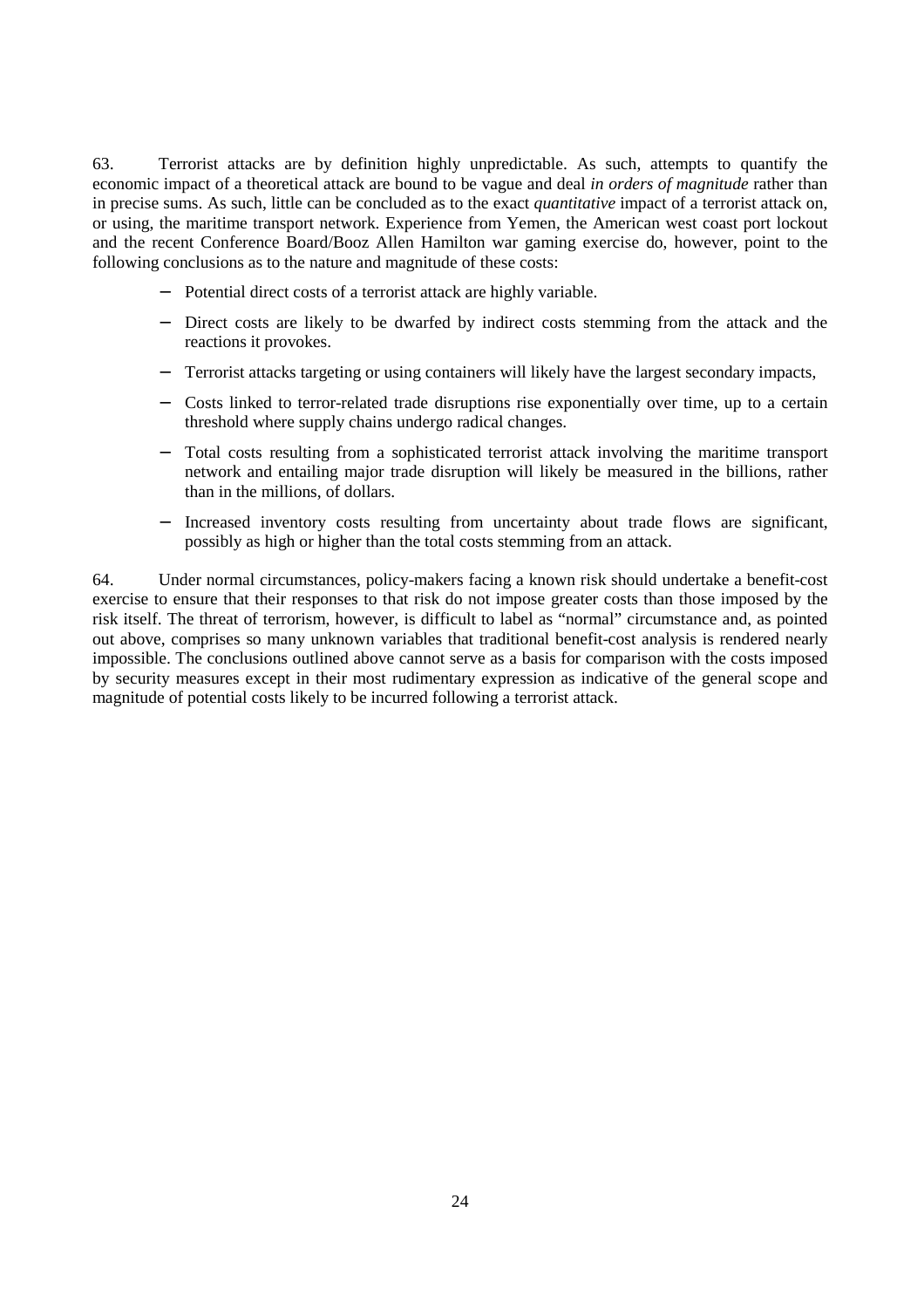63. Terrorist attacks are by definition highly unpredictable. As such, attempts to quantify the economic impact of a theoretical attack are bound to be vague and deal *in orders of magnitude* rather than in precise sums. As such, little can be concluded as to the exact *quantitative* impact of a terrorist attack on, or using, the maritime transport network. Experience from Yemen, the American west coast port lockout and the recent Conference Board/Booz Allen Hamilton war gaming exercise do, however, point to the following conclusions as to the nature and magnitude of these costs:

- Potential direct costs of a terrorist attack are highly variable.
- − Direct costs are likely to be dwarfed by indirect costs stemming from the attack and the reactions it provokes.
- − Terrorist attacks targeting or using containers will likely have the largest secondary impacts,
- − Costs linked to terror-related trade disruptions rise exponentially over time, up to a certain threshold where supply chains undergo radical changes.
- Total costs resulting from a sophisticated terrorist attack involving the maritime transport network and entailing major trade disruption will likely be measured in the billions, rather than in the millions, of dollars.
- Increased inventory costs resulting from uncertainty about trade flows are significant, possibly as high or higher than the total costs stemming from an attack.

64. Under normal circumstances, policy-makers facing a known risk should undertake a benefit-cost exercise to ensure that their responses to that risk do not impose greater costs than those imposed by the risk itself. The threat of terrorism, however, is difficult to label as "normal" circumstance and, as pointed out above, comprises so many unknown variables that traditional benefit-cost analysis is rendered nearly impossible. The conclusions outlined above cannot serve as a basis for comparison with the costs imposed by security measures except in their most rudimentary expression as indicative of the general scope and magnitude of potential costs likely to be incurred following a terrorist attack.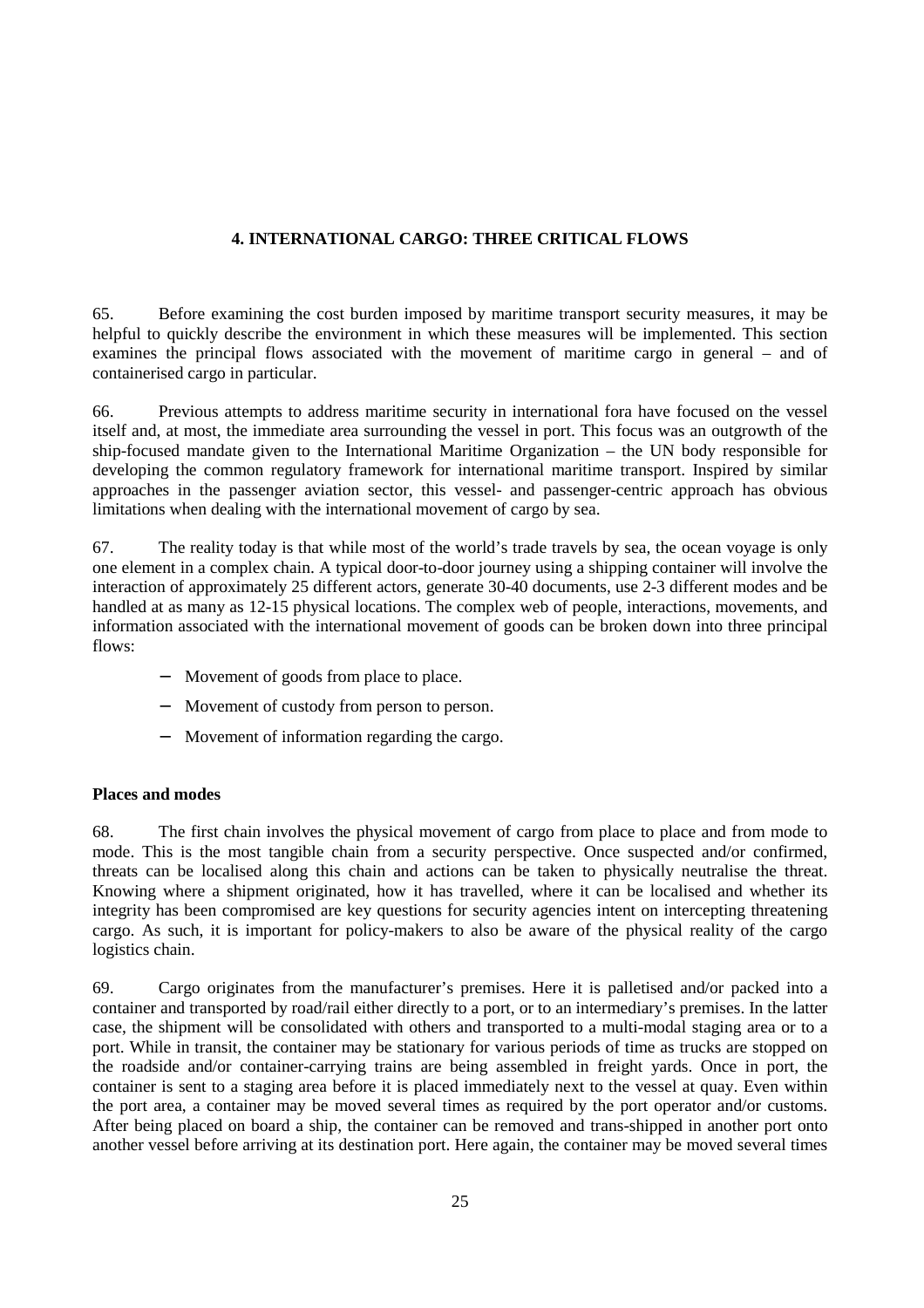# **4. INTERNATIONAL CARGO: THREE CRITICAL FLOWS**

65. Before examining the cost burden imposed by maritime transport security measures, it may be helpful to quickly describe the environment in which these measures will be implemented. This section examines the principal flows associated with the movement of maritime cargo in general – and of containerised cargo in particular.

66. Previous attempts to address maritime security in international fora have focused on the vessel itself and, at most, the immediate area surrounding the vessel in port. This focus was an outgrowth of the ship-focused mandate given to the International Maritime Organization – the UN body responsible for developing the common regulatory framework for international maritime transport. Inspired by similar approaches in the passenger aviation sector, this vessel- and passenger-centric approach has obvious limitations when dealing with the international movement of cargo by sea.

67. The reality today is that while most of the world's trade travels by sea, the ocean voyage is only one element in a complex chain. A typical door-to-door journey using a shipping container will involve the interaction of approximately 25 different actors, generate 30-40 documents, use 2-3 different modes and be handled at as many as 12-15 physical locations. The complex web of people, interactions, movements, and information associated with the international movement of goods can be broken down into three principal flows:

- − Movement of goods from place to place.
- − Movement of custody from person to person.
- − Movement of information regarding the cargo.

# **Places and modes**

68. The first chain involves the physical movement of cargo from place to place and from mode to mode. This is the most tangible chain from a security perspective. Once suspected and/or confirmed, threats can be localised along this chain and actions can be taken to physically neutralise the threat. Knowing where a shipment originated, how it has travelled, where it can be localised and whether its integrity has been compromised are key questions for security agencies intent on intercepting threatening cargo. As such, it is important for policy-makers to also be aware of the physical reality of the cargo logistics chain.

69. Cargo originates from the manufacturer's premises. Here it is palletised and/or packed into a container and transported by road/rail either directly to a port, or to an intermediary's premises. In the latter case, the shipment will be consolidated with others and transported to a multi-modal staging area or to a port. While in transit, the container may be stationary for various periods of time as trucks are stopped on the roadside and/or container-carrying trains are being assembled in freight yards. Once in port, the container is sent to a staging area before it is placed immediately next to the vessel at quay. Even within the port area, a container may be moved several times as required by the port operator and/or customs. After being placed on board a ship, the container can be removed and trans-shipped in another port onto another vessel before arriving at its destination port. Here again, the container may be moved several times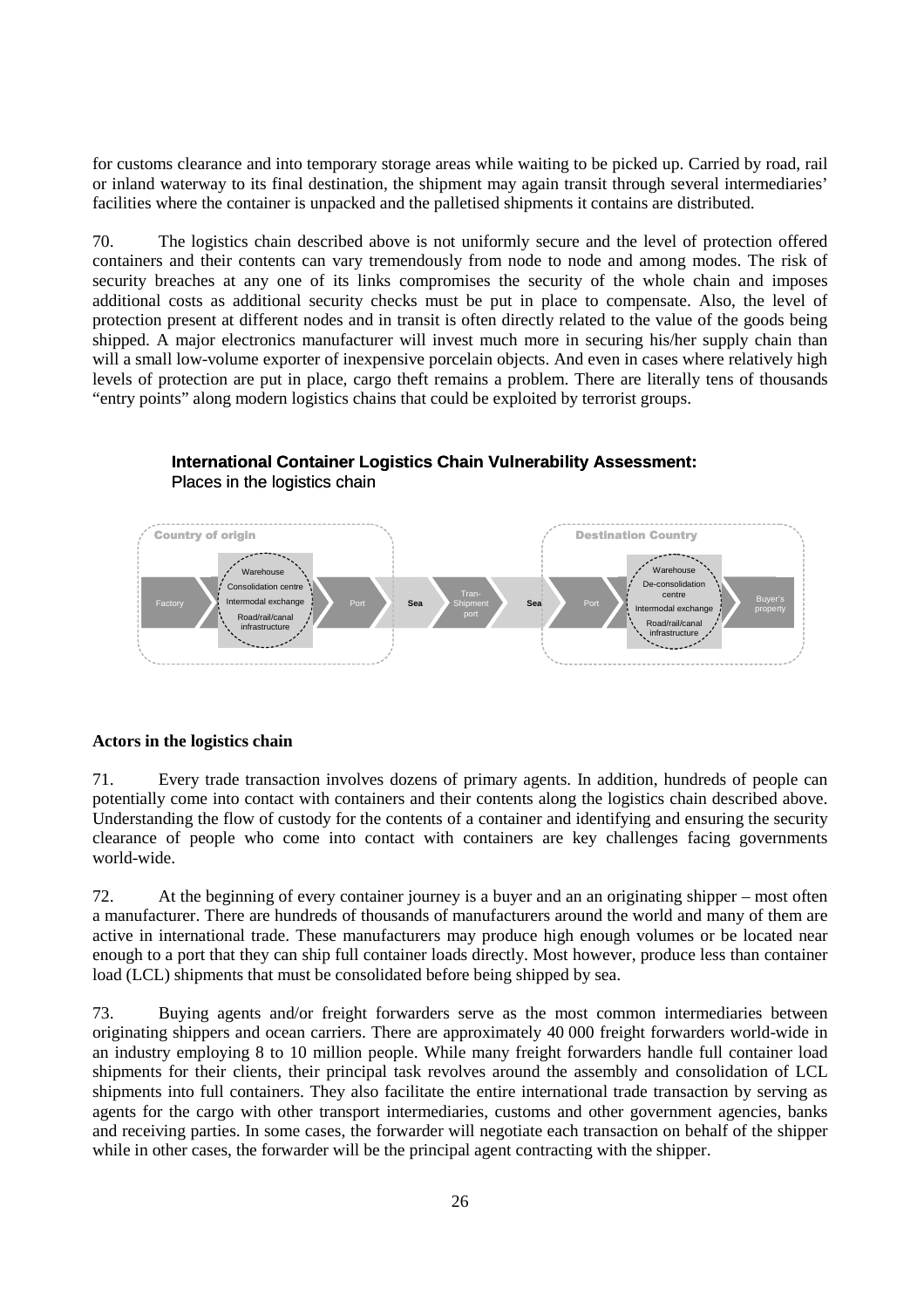for customs clearance and into temporary storage areas while waiting to be picked up. Carried by road, rail or inland waterway to its final destination, the shipment may again transit through several intermediaries' facilities where the container is unpacked and the palletised shipments it contains are distributed.

70. The logistics chain described above is not uniformly secure and the level of protection offered containers and their contents can vary tremendously from node to node and among modes. The risk of security breaches at any one of its links compromises the security of the whole chain and imposes additional costs as additional security checks must be put in place to compensate. Also, the level of protection present at different nodes and in transit is often directly related to the value of the goods being shipped. A major electronics manufacturer will invest much more in securing his/her supply chain than will a small low-volume exporter of inexpensive porcelain objects. And even in cases where relatively high levels of protection are put in place, cargo theft remains a problem. There are literally tens of thousands "entry points" along modern logistics chains that could be exploited by terrorist groups.



# **International Container Logistics Chain Vulnerability Assessment:** Places in the logistics chain

#### **Actors in the logistics chain**

71. Every trade transaction involves dozens of primary agents. In addition, hundreds of people can potentially come into contact with containers and their contents along the logistics chain described above. Understanding the flow of custody for the contents of a container and identifying and ensuring the security clearance of people who come into contact with containers are key challenges facing governments world-wide.

72. At the beginning of every container journey is a buyer and an an originating shipper – most often a manufacturer. There are hundreds of thousands of manufacturers around the world and many of them are active in international trade. These manufacturers may produce high enough volumes or be located near enough to a port that they can ship full container loads directly. Most however, produce less than container load (LCL) shipments that must be consolidated before being shipped by sea.

73. Buying agents and/or freight forwarders serve as the most common intermediaries between originating shippers and ocean carriers. There are approximately 40 000 freight forwarders world-wide in an industry employing 8 to 10 million people. While many freight forwarders handle full container load shipments for their clients, their principal task revolves around the assembly and consolidation of LCL shipments into full containers. They also facilitate the entire international trade transaction by serving as agents for the cargo with other transport intermediaries, customs and other government agencies, banks and receiving parties. In some cases, the forwarder will negotiate each transaction on behalf of the shipper while in other cases, the forwarder will be the principal agent contracting with the shipper.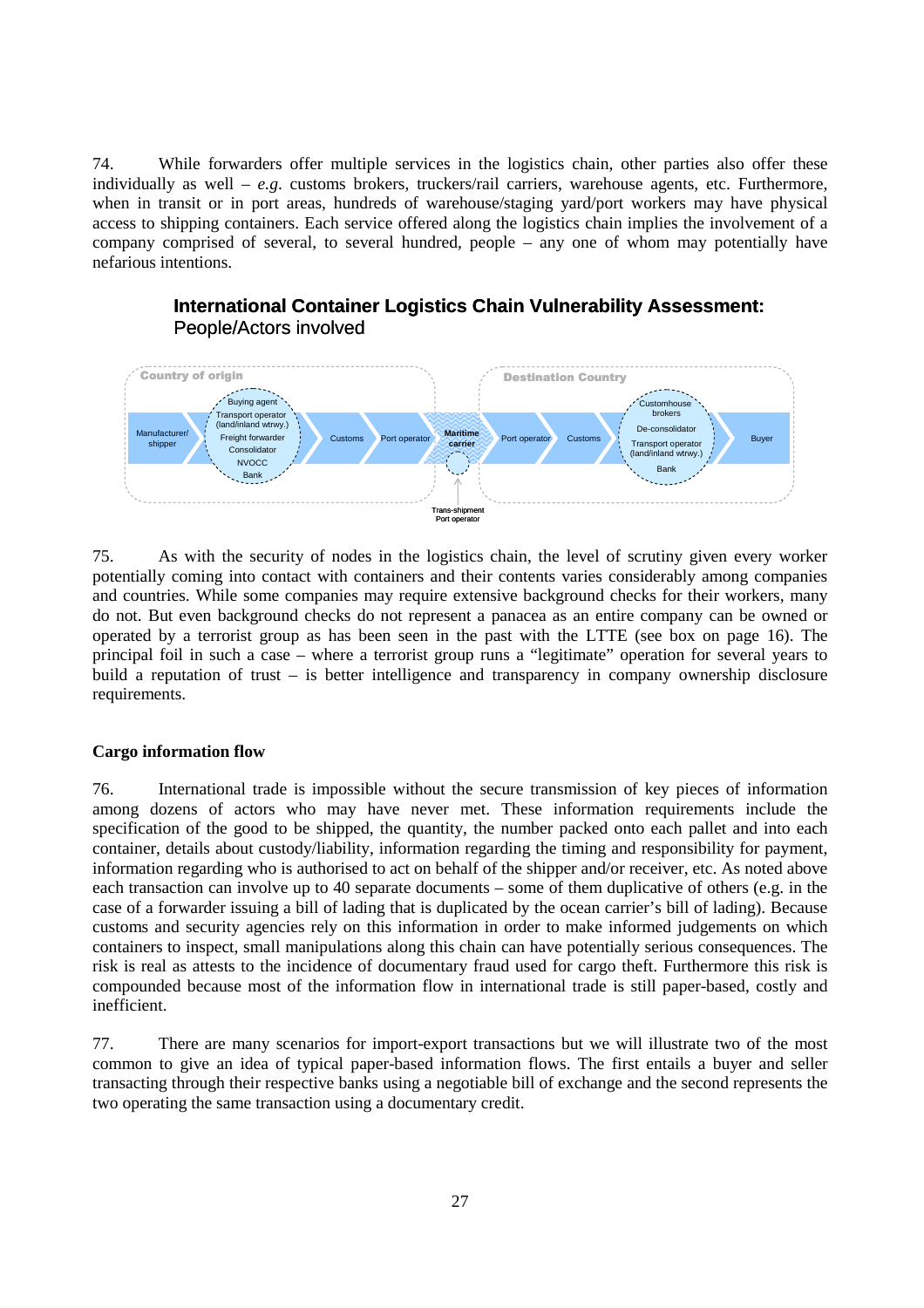74. While forwarders offer multiple services in the logistics chain, other parties also offer these individually as well – *e.g*. customs brokers, truckers/rail carriers, warehouse agents, etc. Furthermore, when in transit or in port areas, hundreds of warehouse/staging yard/port workers may have physical access to shipping containers. Each service offered along the logistics chain implies the involvement of a company comprised of several, to several hundred, people – any one of whom may potentially have nefarious intentions.



**International Container Logistics Chain Vulnerability Assessment:** People/Actors involved

75. As with the security of nodes in the logistics chain, the level of scrutiny given every worker potentially coming into contact with containers and their contents varies considerably among companies and countries. While some companies may require extensive background checks for their workers, many do not. But even background checks do not represent a panacea as an entire company can be owned or operated by a terrorist group as has been seen in the past with the LTTE (see box on page 16). The principal foil in such a case – where a terrorist group runs a "legitimate" operation for several years to build a reputation of trust – is better intelligence and transparency in company ownership disclosure requirements.

#### **Cargo information flow**

76. International trade is impossible without the secure transmission of key pieces of information among dozens of actors who may have never met. These information requirements include the specification of the good to be shipped, the quantity, the number packed onto each pallet and into each container, details about custody/liability, information regarding the timing and responsibility for payment, information regarding who is authorised to act on behalf of the shipper and/or receiver, etc. As noted above each transaction can involve up to 40 separate documents – some of them duplicative of others (e.g. in the case of a forwarder issuing a bill of lading that is duplicated by the ocean carrier's bill of lading). Because customs and security agencies rely on this information in order to make informed judgements on which containers to inspect, small manipulations along this chain can have potentially serious consequences. The risk is real as attests to the incidence of documentary fraud used for cargo theft. Furthermore this risk is compounded because most of the information flow in international trade is still paper-based, costly and inefficient.

77. There are many scenarios for import-export transactions but we will illustrate two of the most common to give an idea of typical paper-based information flows. The first entails a buyer and seller transacting through their respective banks using a negotiable bill of exchange and the second represents the two operating the same transaction using a documentary credit.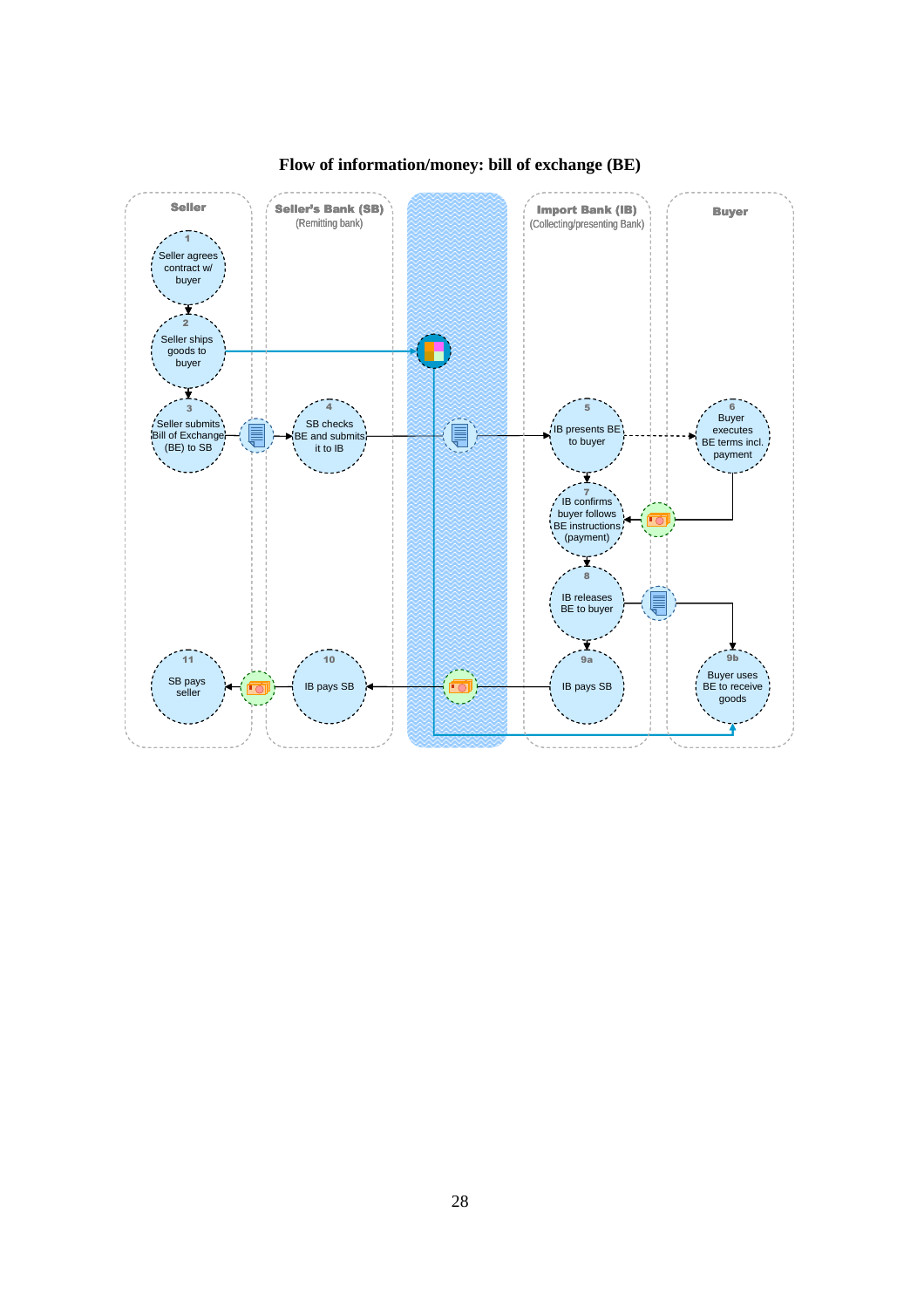

# **Flow of information/money: bill of exchange (BE)**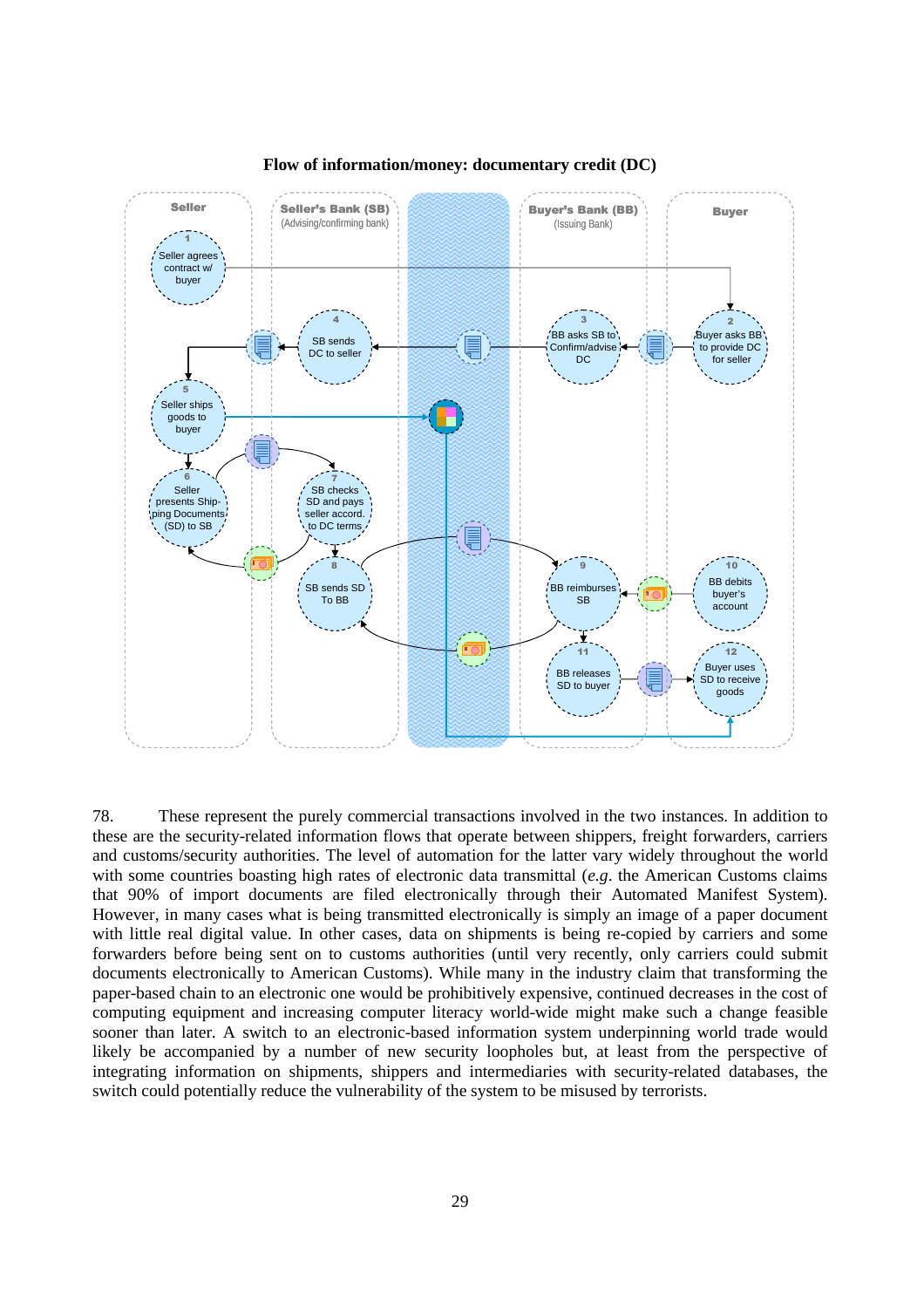

**Flow of information/money: documentary credit (DC)** 

78. These represent the purely commercial transactions involved in the two instances. In addition to these are the security-related information flows that operate between shippers, freight forwarders, carriers and customs/security authorities. The level of automation for the latter vary widely throughout the world with some countries boasting high rates of electronic data transmittal (*e.g*. the American Customs claims that 90% of import documents are filed electronically through their Automated Manifest System). However, in many cases what is being transmitted electronically is simply an image of a paper document with little real digital value. In other cases, data on shipments is being re-copied by carriers and some forwarders before being sent on to customs authorities (until very recently, only carriers could submit documents electronically to American Customs). While many in the industry claim that transforming the paper-based chain to an electronic one would be prohibitively expensive, continued decreases in the cost of computing equipment and increasing computer literacy world-wide might make such a change feasible sooner than later. A switch to an electronic-based information system underpinning world trade would likely be accompanied by a number of new security loopholes but, at least from the perspective of integrating information on shipments, shippers and intermediaries with security-related databases, the switch could potentially reduce the vulnerability of the system to be misused by terrorists.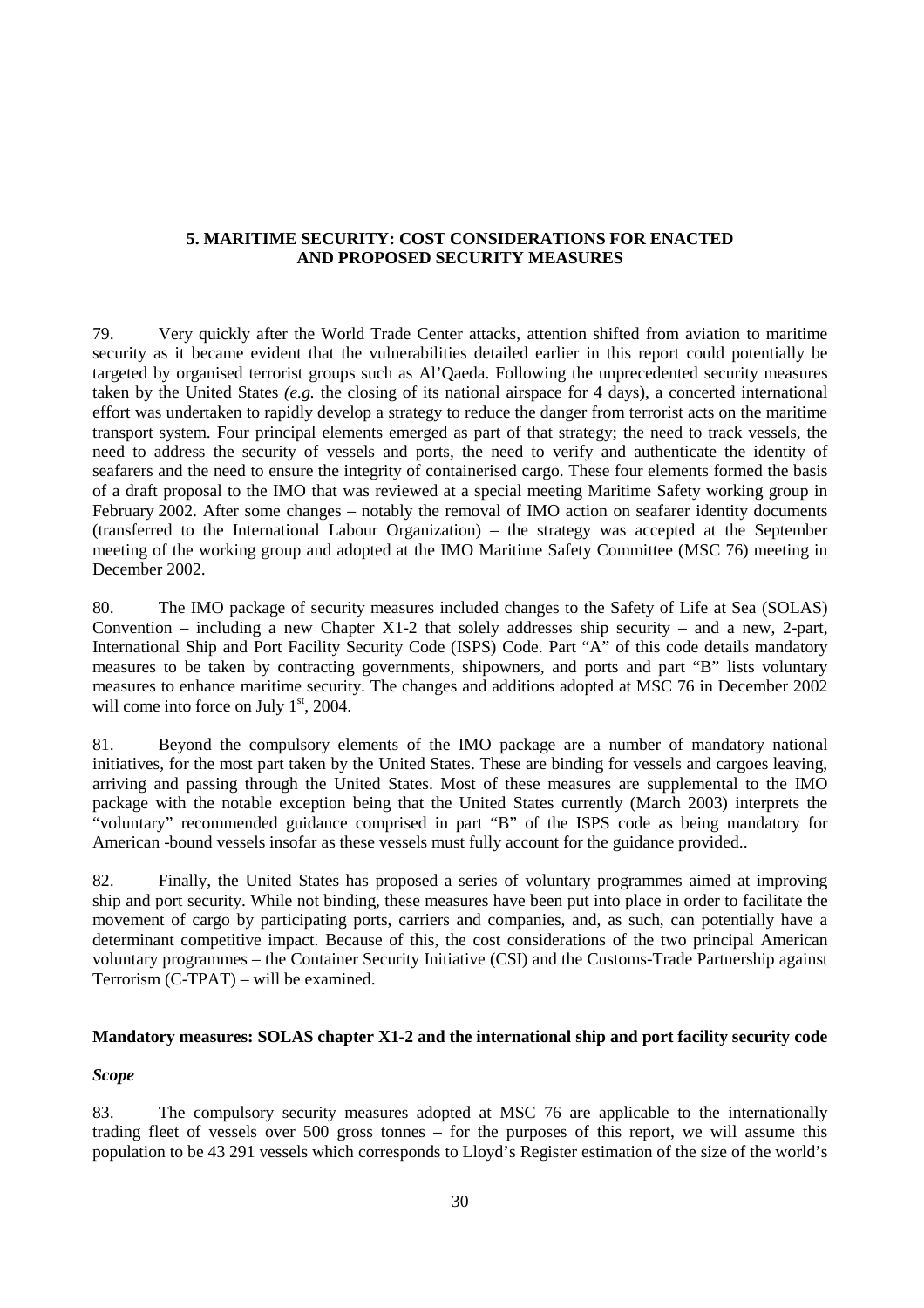# **5. MARITIME SECURITY: COST CONSIDERATIONS FOR ENACTED AND PROPOSED SECURITY MEASURES**

79. Very quickly after the World Trade Center attacks, attention shifted from aviation to maritime security as it became evident that the vulnerabilities detailed earlier in this report could potentially be targeted by organised terrorist groups such as Al'Qaeda. Following the unprecedented security measures taken by the United States *(e.g.* the closing of its national airspace for 4 days), a concerted international effort was undertaken to rapidly develop a strategy to reduce the danger from terrorist acts on the maritime transport system. Four principal elements emerged as part of that strategy; the need to track vessels, the need to address the security of vessels and ports, the need to verify and authenticate the identity of seafarers and the need to ensure the integrity of containerised cargo. These four elements formed the basis of a draft proposal to the IMO that was reviewed at a special meeting Maritime Safety working group in February 2002. After some changes – notably the removal of IMO action on seafarer identity documents (transferred to the International Labour Organization) – the strategy was accepted at the September meeting of the working group and adopted at the IMO Maritime Safety Committee (MSC 76) meeting in December 2002.

80. The IMO package of security measures included changes to the Safety of Life at Sea (SOLAS) Convention – including a new Chapter X1-2 that solely addresses ship security – and a new, 2-part, International Ship and Port Facility Security Code (ISPS) Code. Part "A" of this code details mandatory measures to be taken by contracting governments, shipowners, and ports and part "B" lists voluntary measures to enhance maritime security. The changes and additions adopted at MSC 76 in December 2002 will come into force on July  $1<sup>st</sup>$ , 2004.

81. Beyond the compulsory elements of the IMO package are a number of mandatory national initiatives, for the most part taken by the United States. These are binding for vessels and cargoes leaving, arriving and passing through the United States. Most of these measures are supplemental to the IMO package with the notable exception being that the United States currently (March 2003) interprets the "voluntary" recommended guidance comprised in part "B" of the ISPS code as being mandatory for American -bound vessels insofar as these vessels must fully account for the guidance provided..

82. Finally, the United States has proposed a series of voluntary programmes aimed at improving ship and port security. While not binding, these measures have been put into place in order to facilitate the movement of cargo by participating ports, carriers and companies, and, as such, can potentially have a determinant competitive impact. Because of this, the cost considerations of the two principal American voluntary programmes – the Container Security Initiative (CSI) and the Customs-Trade Partnership against Terrorism (C-TPAT) – will be examined.

#### **Mandatory measures: SOLAS chapter X1-2 and the international ship and port facility security code**

#### *Scope*

83. The compulsory security measures adopted at MSC 76 are applicable to the internationally trading fleet of vessels over 500 gross tonnes – for the purposes of this report, we will assume this population to be 43 291 vessels which corresponds to Lloyd's Register estimation of the size of the world's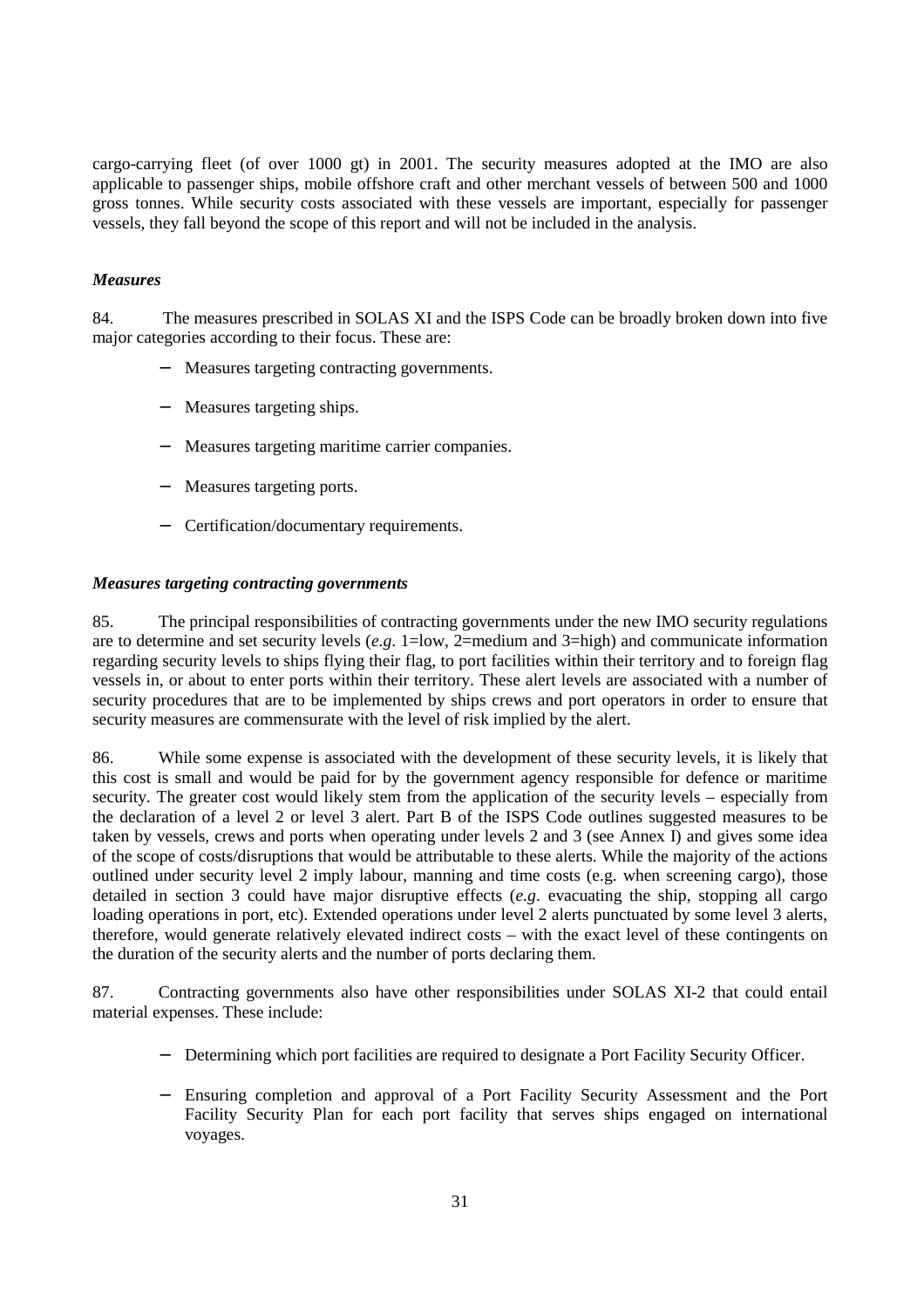cargo-carrying fleet (of over 1000 gt) in 2001. The security measures adopted at the IMO are also applicable to passenger ships, mobile offshore craft and other merchant vessels of between 500 and 1000 gross tonnes. While security costs associated with these vessels are important, especially for passenger vessels, they fall beyond the scope of this report and will not be included in the analysis.

# *Measures*

84. The measures prescribed in SOLAS XI and the ISPS Code can be broadly broken down into five major categories according to their focus. These are:

- − Measures targeting contracting governments.
- − Measures targeting ships.
- Measures targeting maritime carrier companies.
- − Measures targeting ports.
- − Certification/documentary requirements.

#### *Measures targeting contracting governments*

85. The principal responsibilities of contracting governments under the new IMO security regulations are to determine and set security levels (*e.g*. 1=low, 2=medium and 3=high) and communicate information regarding security levels to ships flying their flag, to port facilities within their territory and to foreign flag vessels in, or about to enter ports within their territory. These alert levels are associated with a number of security procedures that are to be implemented by ships crews and port operators in order to ensure that security measures are commensurate with the level of risk implied by the alert.

86. While some expense is associated with the development of these security levels, it is likely that this cost is small and would be paid for by the government agency responsible for defence or maritime security. The greater cost would likely stem from the application of the security levels – especially from the declaration of a level 2 or level 3 alert. Part B of the ISPS Code outlines suggested measures to be taken by vessels, crews and ports when operating under levels 2 and 3 (see Annex I) and gives some idea of the scope of costs/disruptions that would be attributable to these alerts. While the majority of the actions outlined under security level 2 imply labour, manning and time costs (e.g. when screening cargo), those detailed in section 3 could have major disruptive effects (*e.g*. evacuating the ship, stopping all cargo loading operations in port, etc). Extended operations under level 2 alerts punctuated by some level 3 alerts, therefore, would generate relatively elevated indirect costs – with the exact level of these contingents on the duration of the security alerts and the number of ports declaring them.

87. Contracting governments also have other responsibilities under SOLAS XI-2 that could entail material expenses. These include:

- − Determining which port facilities are required to designate a Port Facility Security Officer.
- Ensuring completion and approval of a Port Facility Security Assessment and the Port Facility Security Plan for each port facility that serves ships engaged on international voyages.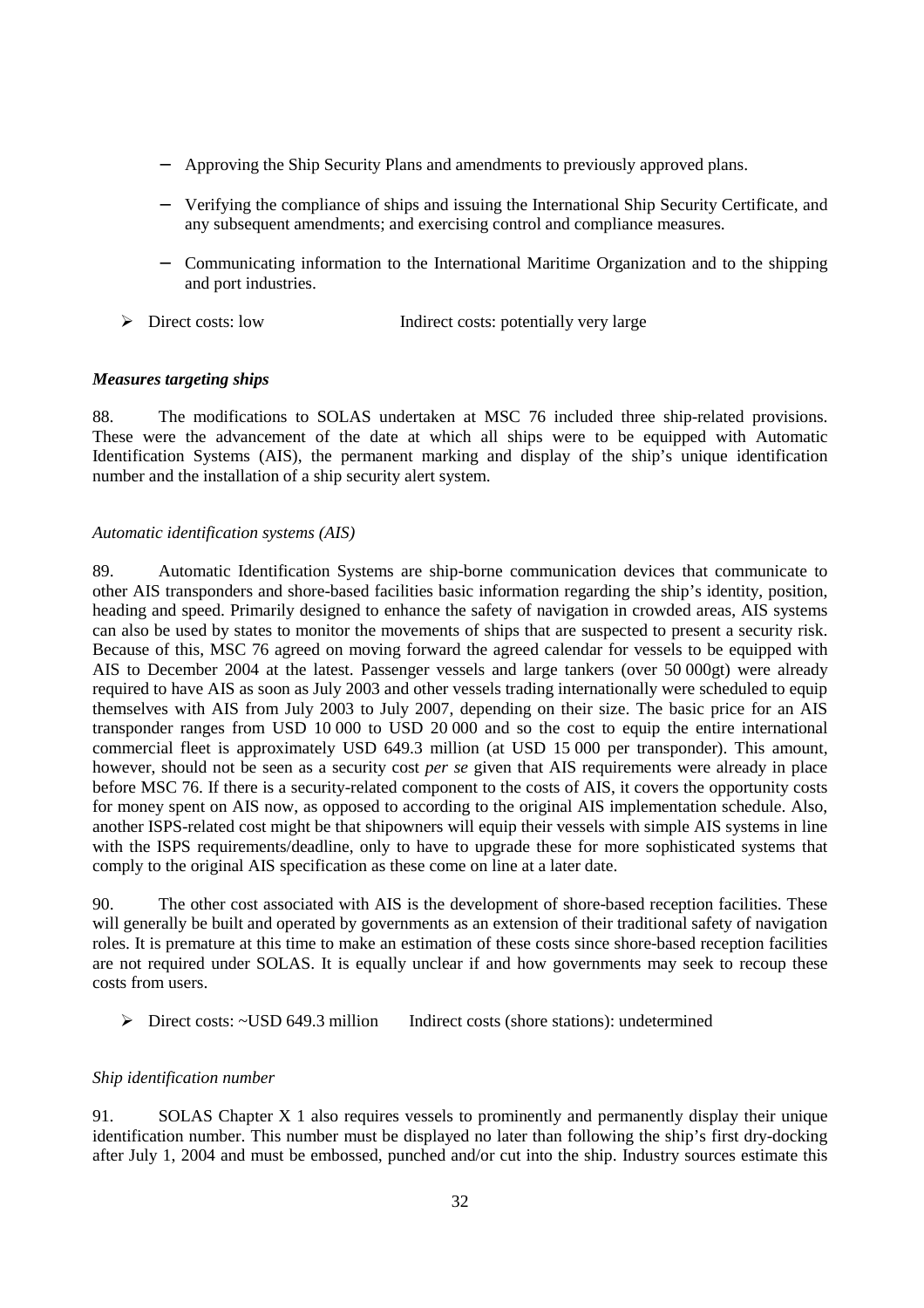- − Approving the Ship Security Plans and amendments to previously approved plans.
- − Verifying the compliance of ships and issuing the International Ship Security Certificate, and any subsequent amendments; and exercising control and compliance measures.
- − Communicating information to the International Maritime Organization and to the shipping and port industries.
- ¾ Direct costs: low Indirect costs: potentially very large

#### *Measures targeting ships*

88. The modifications to SOLAS undertaken at MSC 76 included three ship-related provisions. These were the advancement of the date at which all ships were to be equipped with Automatic Identification Systems (AIS), the permanent marking and display of the ship's unique identification number and the installation of a ship security alert system.

#### *Automatic identification systems (AIS)*

89. Automatic Identification Systems are ship-borne communication devices that communicate to other AIS transponders and shore-based facilities basic information regarding the ship's identity, position, heading and speed. Primarily designed to enhance the safety of navigation in crowded areas, AIS systems can also be used by states to monitor the movements of ships that are suspected to present a security risk. Because of this, MSC 76 agreed on moving forward the agreed calendar for vessels to be equipped with AIS to December 2004 at the latest. Passenger vessels and large tankers (over 50 000gt) were already required to have AIS as soon as July 2003 and other vessels trading internationally were scheduled to equip themselves with AIS from July 2003 to July 2007, depending on their size. The basic price for an AIS transponder ranges from USD 10 000 to USD 20 000 and so the cost to equip the entire international commercial fleet is approximately USD 649.3 million (at USD 15 000 per transponder). This amount, however, should not be seen as a security cost *per se* given that AIS requirements were already in place before MSC 76. If there is a security-related component to the costs of AIS, it covers the opportunity costs for money spent on AIS now, as opposed to according to the original AIS implementation schedule. Also, another ISPS-related cost might be that shipowners will equip their vessels with simple AIS systems in line with the ISPS requirements/deadline, only to have to upgrade these for more sophisticated systems that comply to the original AIS specification as these come on line at a later date.

90. The other cost associated with AIS is the development of shore-based reception facilities. These will generally be built and operated by governments as an extension of their traditional safety of navigation roles. It is premature at this time to make an estimation of these costs since shore-based reception facilities are not required under SOLAS. It is equally unclear if and how governments may seek to recoup these costs from users.

¾ Direct costs: ~USD 649.3 million Indirect costs (shore stations): undetermined

# *Ship identification number*

91. SOLAS Chapter X 1 also requires vessels to prominently and permanently display their unique identification number. This number must be displayed no later than following the ship's first dry-docking after July 1, 2004 and must be embossed, punched and/or cut into the ship. Industry sources estimate this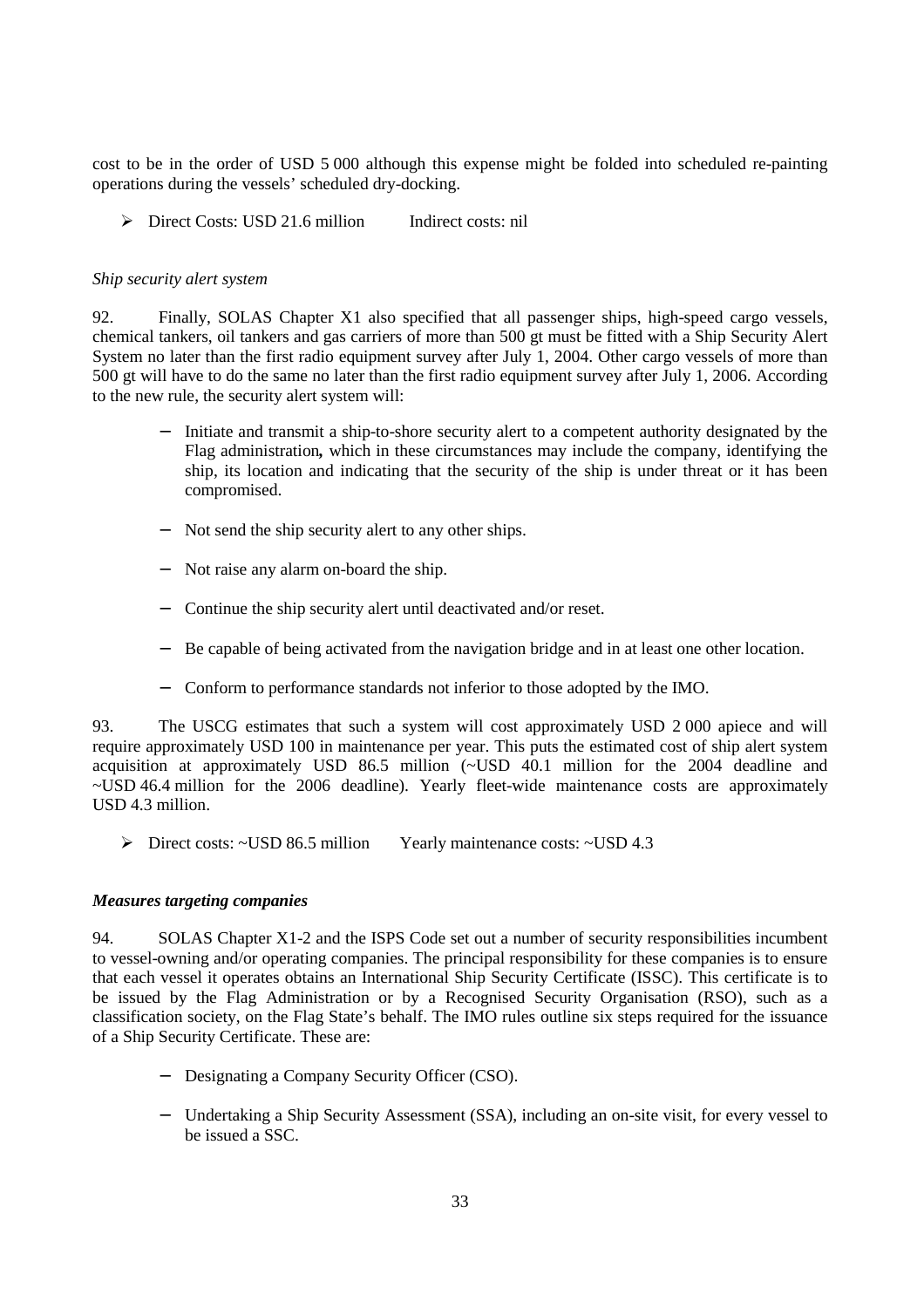cost to be in the order of USD 5 000 although this expense might be folded into scheduled re-painting operations during the vessels' scheduled dry-docking.

¾ Direct Costs: USD 21.6 million Indirect costs: nil

#### *Ship security alert system*

92. Finally, SOLAS Chapter X1 also specified that all passenger ships, high-speed cargo vessels, chemical tankers, oil tankers and gas carriers of more than 500 gt must be fitted with a Ship Security Alert System no later than the first radio equipment survey after July 1, 2004. Other cargo vessels of more than 500 gt will have to do the same no later than the first radio equipment survey after July 1, 2006. According to the new rule, the security alert system will:

- − Initiate and transmit a ship-to-shore security alert to a competent authority designated by the Flag administration*,* which in these circumstances may include the company, identifying the ship, its location and indicating that the security of the ship is under threat or it has been compromised.
- − Not send the ship security alert to any other ships.
- − Not raise any alarm on-board the ship.
- − Continue the ship security alert until deactivated and/or reset.
- − Be capable of being activated from the navigation bridge and in at least one other location.
- − Conform to performance standards not inferior to those adopted by the IMO.

93. The USCG estimates that such a system will cost approximately USD 2 000 apiece and will require approximately USD 100 in maintenance per year. This puts the estimated cost of ship alert system acquisition at approximately USD 86.5 million (~USD 40.1 million for the 2004 deadline and ~USD 46.4 million for the 2006 deadline). Yearly fleet-wide maintenance costs are approximately USD 4.3 million.

¾ Direct costs: ~USD 86.5 million Yearly maintenance costs: ~USD 4.3

#### *Measures targeting companies*

94. SOLAS Chapter X1-2 and the ISPS Code set out a number of security responsibilities incumbent to vessel-owning and/or operating companies. The principal responsibility for these companies is to ensure that each vessel it operates obtains an International Ship Security Certificate (ISSC). This certificate is to be issued by the Flag Administration or by a Recognised Security Organisation (RSO), such as a classification society, on the Flag State's behalf. The IMO rules outline six steps required for the issuance of a Ship Security Certificate. These are:

- − Designating a Company Security Officer (CSO).
- − Undertaking a Ship Security Assessment (SSA), including an on-site visit, for every vessel to be issued a SSC.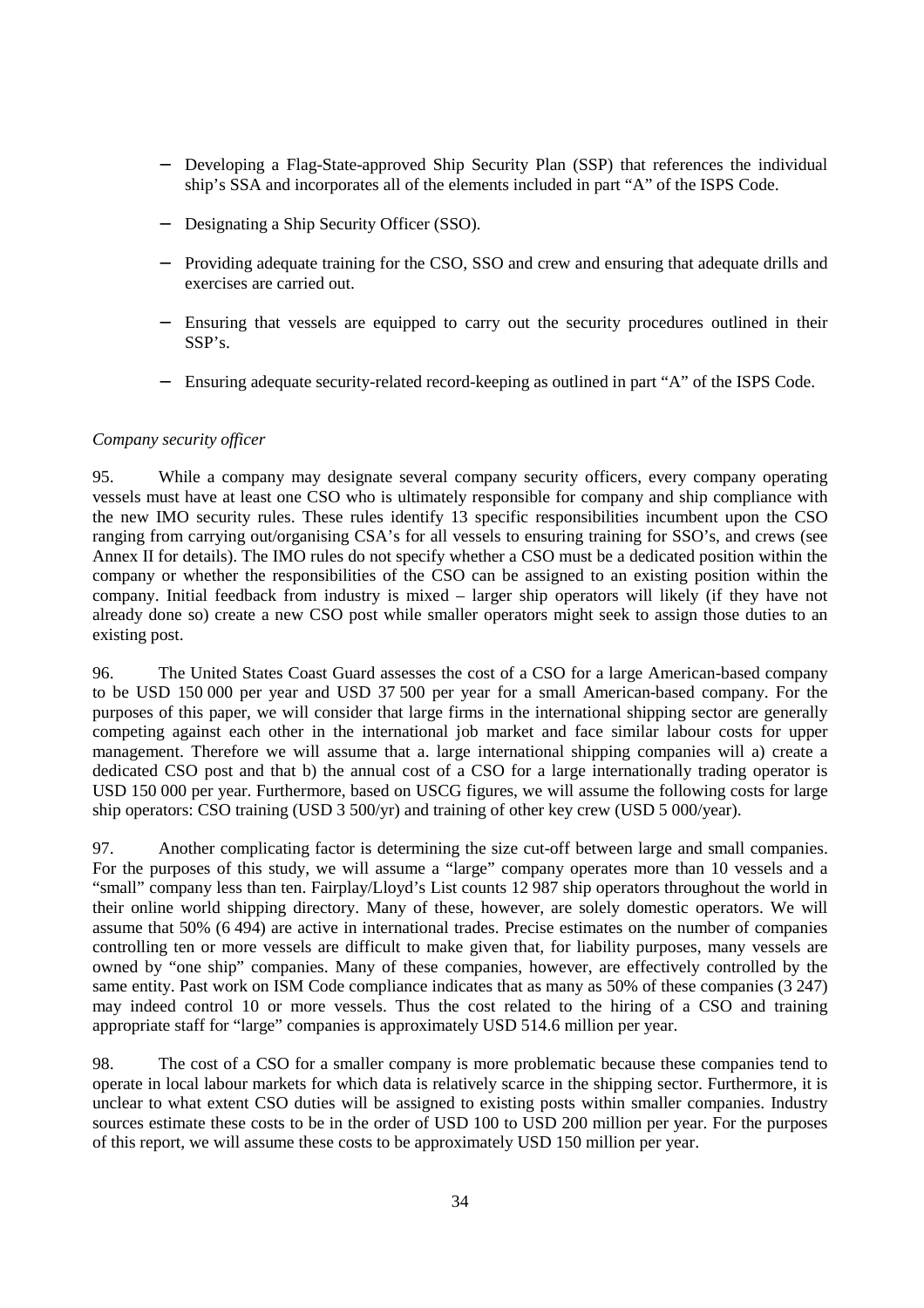- Developing a Flag-State-approved Ship Security Plan (SSP) that references the individual ship's SSA and incorporates all of the elements included in part "A" of the ISPS Code.
- − Designating a Ship Security Officer (SSO).
- Providing adequate training for the CSO, SSO and crew and ensuring that adequate drills and exercises are carried out.
- Ensuring that vessels are equipped to carry out the security procedures outlined in their SSP's.
- − Ensuring adequate security-related record-keeping as outlined in part "A" of the ISPS Code.

#### *Company security officer*

95. While a company may designate several company security officers, every company operating vessels must have at least one CSO who is ultimately responsible for company and ship compliance with the new IMO security rules. These rules identify 13 specific responsibilities incumbent upon the CSO ranging from carrying out/organising CSA's for all vessels to ensuring training for SSO's, and crews (see Annex II for details). The IMO rules do not specify whether a CSO must be a dedicated position within the company or whether the responsibilities of the CSO can be assigned to an existing position within the company. Initial feedback from industry is mixed – larger ship operators will likely (if they have not already done so) create a new CSO post while smaller operators might seek to assign those duties to an existing post.

96. The United States Coast Guard assesses the cost of a CSO for a large American-based company to be USD 150 000 per year and USD 37 500 per year for a small American-based company. For the purposes of this paper, we will consider that large firms in the international shipping sector are generally competing against each other in the international job market and face similar labour costs for upper management. Therefore we will assume that a. large international shipping companies will a) create a dedicated CSO post and that b) the annual cost of a CSO for a large internationally trading operator is USD 150 000 per year. Furthermore, based on USCG figures, we will assume the following costs for large ship operators: CSO training (USD 3 500/yr) and training of other key crew (USD 5 000/year).

97. Another complicating factor is determining the size cut-off between large and small companies. For the purposes of this study, we will assume a "large" company operates more than 10 vessels and a "small" company less than ten. Fairplay/Lloyd's List counts 12 987 ship operators throughout the world in their online world shipping directory. Many of these, however, are solely domestic operators. We will assume that 50% (6 494) are active in international trades. Precise estimates on the number of companies controlling ten or more vessels are difficult to make given that, for liability purposes, many vessels are owned by "one ship" companies. Many of these companies, however, are effectively controlled by the same entity. Past work on ISM Code compliance indicates that as many as 50% of these companies (3 247) may indeed control 10 or more vessels. Thus the cost related to the hiring of a CSO and training appropriate staff for "large" companies is approximately USD 514.6 million per year.

98. The cost of a CSO for a smaller company is more problematic because these companies tend to operate in local labour markets for which data is relatively scarce in the shipping sector. Furthermore, it is unclear to what extent CSO duties will be assigned to existing posts within smaller companies. Industry sources estimate these costs to be in the order of USD 100 to USD 200 million per year. For the purposes of this report, we will assume these costs to be approximately USD 150 million per year.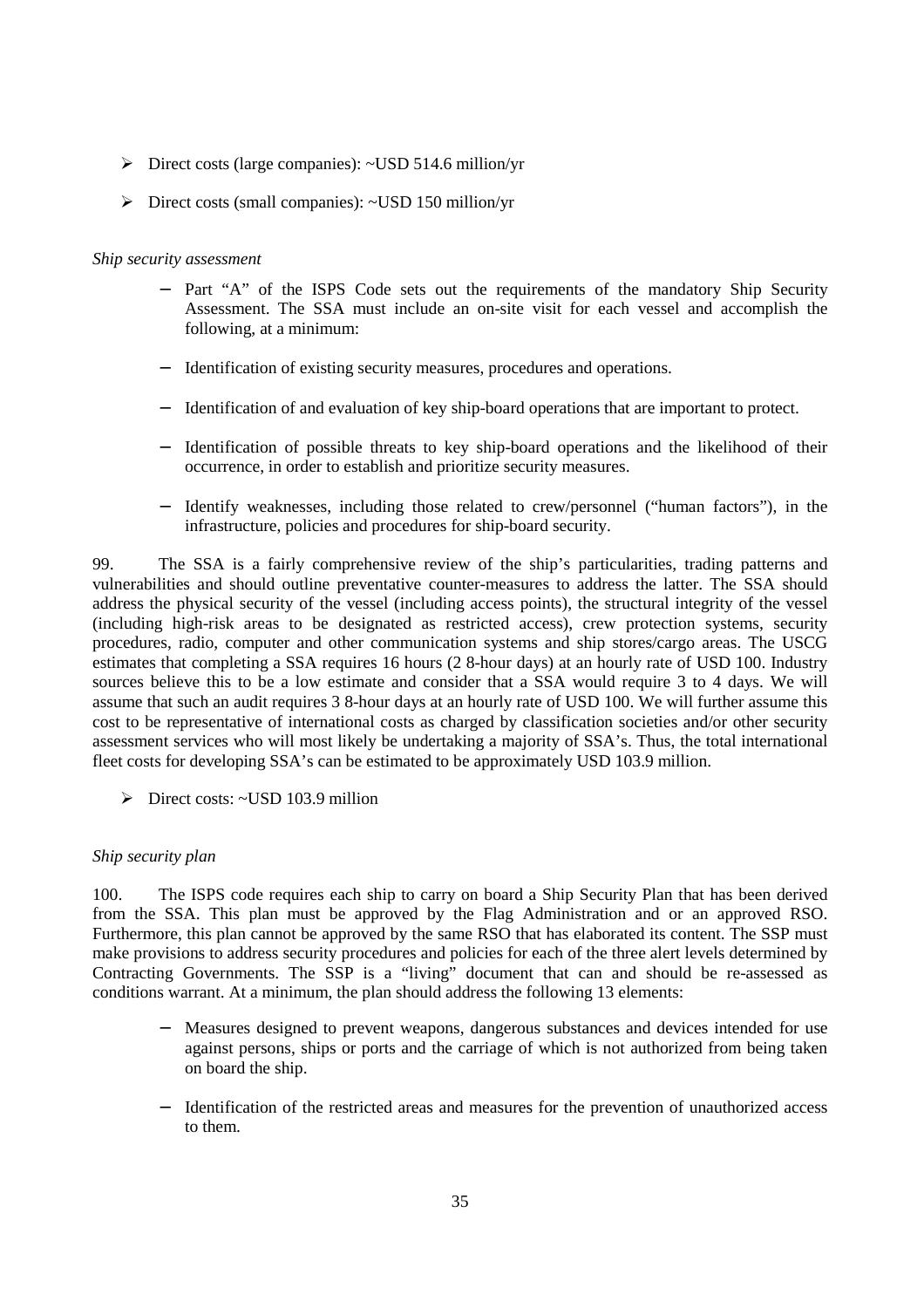- $\triangleright$  Direct costs (large companies): ~USD 514.6 million/yr
- ¾ Direct costs (small companies): ~USD 150 million/yr

# *Ship security assessment*

- Part "A" of the ISPS Code sets out the requirements of the mandatory Ship Security Assessment. The SSA must include an on-site visit for each vessel and accomplish the following, at a minimum:
- Identification of existing security measures, procedures and operations.
- − Identification of and evaluation of key ship-board operations that are important to protect.
- − Identification of possible threats to key ship-board operations and the likelihood of their occurrence, in order to establish and prioritize security measures.
- − Identify weaknesses, including those related to crew/personnel ("human factors"), in the infrastructure, policies and procedures for ship-board security.

99. The SSA is a fairly comprehensive review of the ship's particularities, trading patterns and vulnerabilities and should outline preventative counter-measures to address the latter. The SSA should address the physical security of the vessel (including access points), the structural integrity of the vessel (including high-risk areas to be designated as restricted access), crew protection systems, security procedures, radio, computer and other communication systems and ship stores/cargo areas. The USCG estimates that completing a SSA requires 16 hours (2 8-hour days) at an hourly rate of USD 100. Industry sources believe this to be a low estimate and consider that a SSA would require 3 to 4 days. We will assume that such an audit requires 3 8-hour days at an hourly rate of USD 100. We will further assume this cost to be representative of international costs as charged by classification societies and/or other security assessment services who will most likely be undertaking a majority of SSA's. Thus, the total international fleet costs for developing SSA's can be estimated to be approximately USD 103.9 million.

¾ Direct costs: ~USD 103.9 million

# *Ship security plan*

100. The ISPS code requires each ship to carry on board a Ship Security Plan that has been derived from the SSA. This plan must be approved by the Flag Administration and or an approved RSO. Furthermore, this plan cannot be approved by the same RSO that has elaborated its content. The SSP must make provisions to address security procedures and policies for each of the three alert levels determined by Contracting Governments. The SSP is a "living" document that can and should be re-assessed as conditions warrant. At a minimum, the plan should address the following 13 elements:

- − Measures designed to prevent weapons, dangerous substances and devices intended for use against persons, ships or ports and the carriage of which is not authorized from being taken on board the ship.
- − Identification of the restricted areas and measures for the prevention of unauthorized access to them.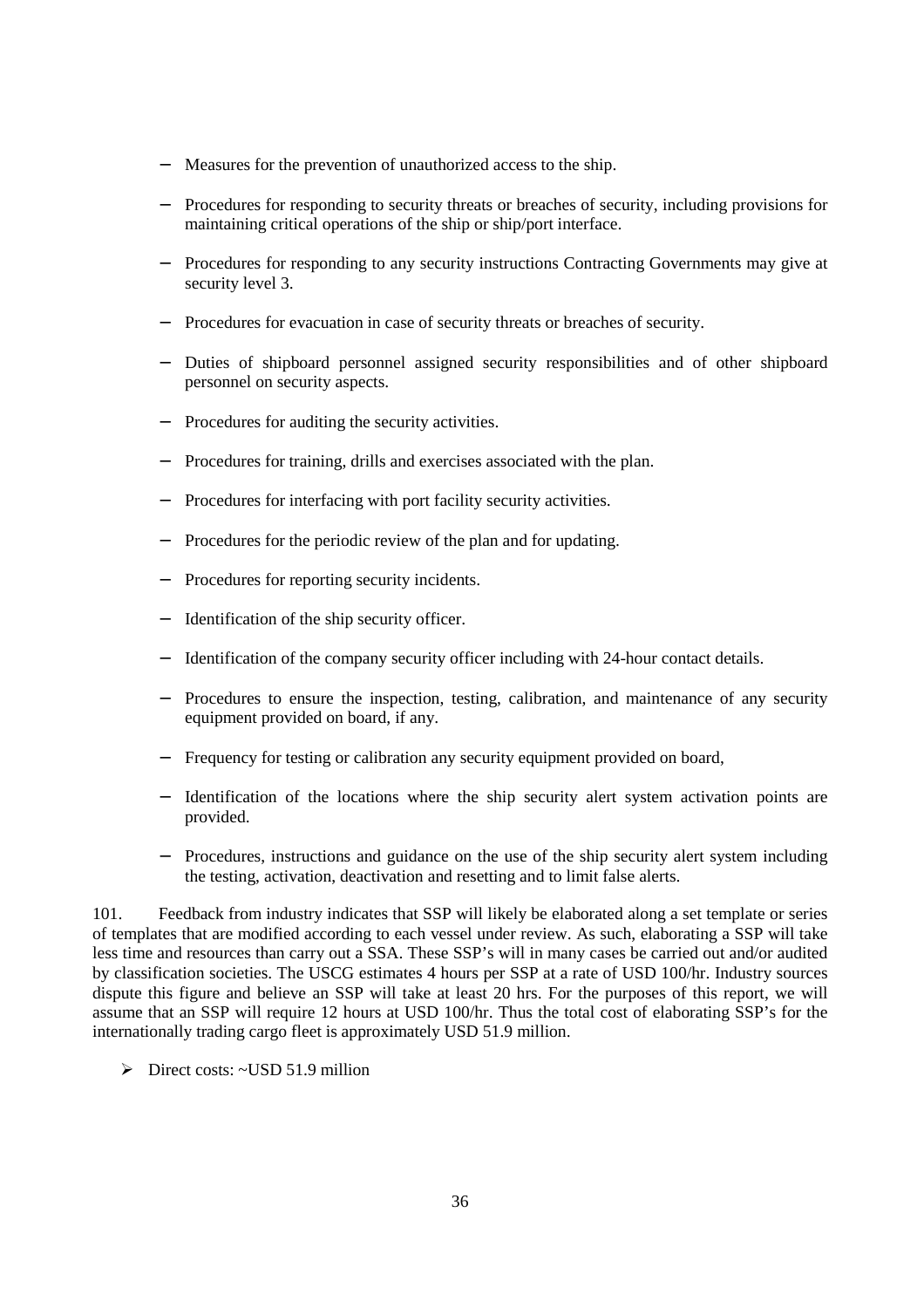- Measures for the prevention of unauthorized access to the ship.
- Procedures for responding to security threats or breaches of security, including provisions for maintaining critical operations of the ship or ship/port interface.
- Procedures for responding to any security instructions Contracting Governments may give at security level 3.
- Procedures for evacuation in case of security threats or breaches of security.
- − Duties of shipboard personnel assigned security responsibilities and of other shipboard personnel on security aspects.
- Procedures for auditing the security activities.
- Procedures for training, drills and exercises associated with the plan.
- Procedures for interfacing with port facility security activities.
- Procedures for the periodic review of the plan and for updating.
- Procedures for reporting security incidents.
- − Identification of the ship security officer.
- − Identification of the company security officer including with 24-hour contact details.
- Procedures to ensure the inspection, testing, calibration, and maintenance of any security equipment provided on board, if any.
- Frequency for testing or calibration any security equipment provided on board,
- Identification of the locations where the ship security alert system activation points are provided.
- Procedures, instructions and guidance on the use of the ship security alert system including the testing, activation, deactivation and resetting and to limit false alerts.

101. Feedback from industry indicates that SSP will likely be elaborated along a set template or series of templates that are modified according to each vessel under review. As such, elaborating a SSP will take less time and resources than carry out a SSA. These SSP's will in many cases be carried out and/or audited by classification societies. The USCG estimates 4 hours per SSP at a rate of USD 100/hr. Industry sources dispute this figure and believe an SSP will take at least 20 hrs. For the purposes of this report, we will assume that an SSP will require 12 hours at USD 100/hr. Thus the total cost of elaborating SSP's for the internationally trading cargo fleet is approximately USD 51.9 million.

 $\triangleright$  Direct costs: ~USD 51.9 million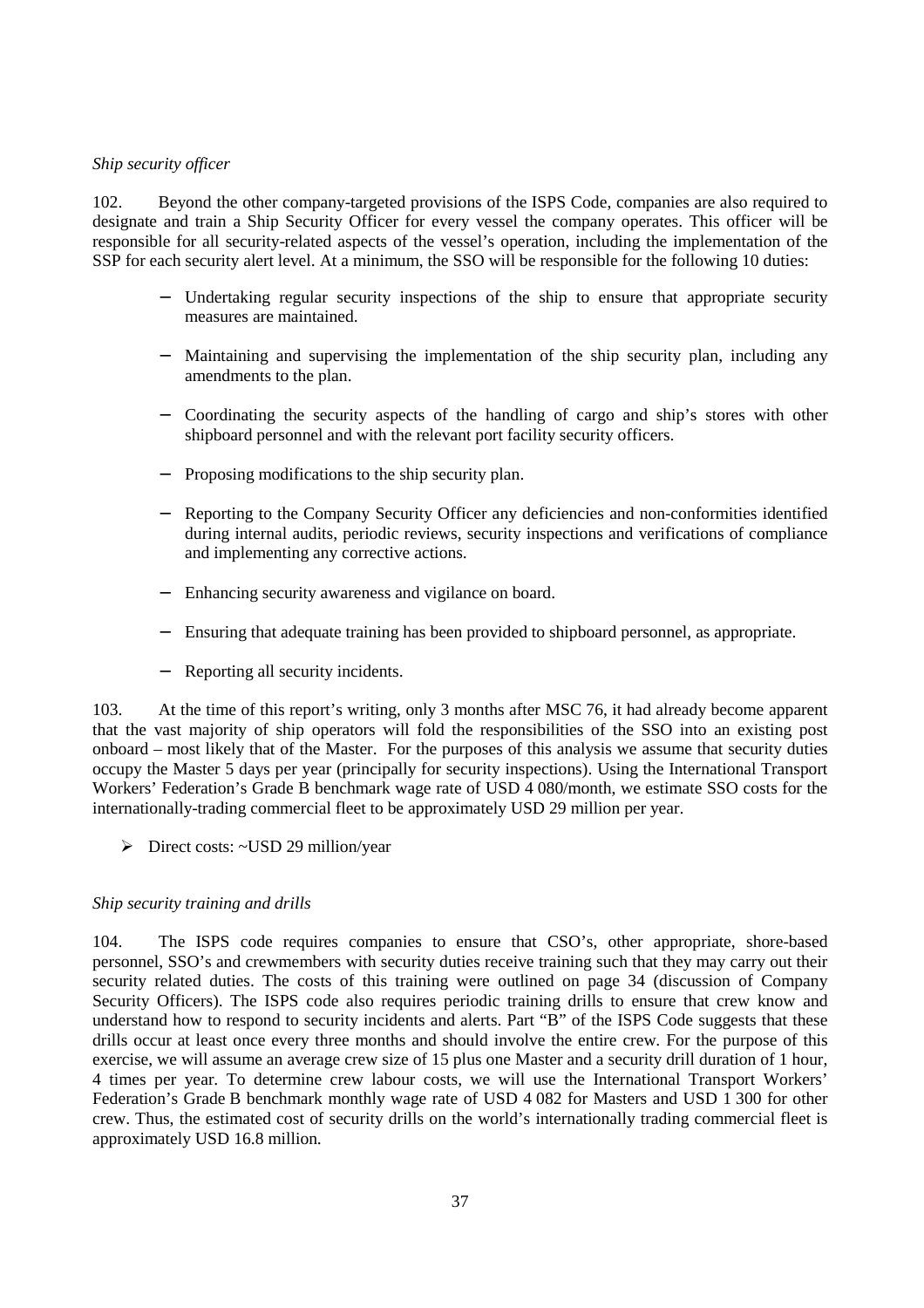# *Ship security officer*

102. Beyond the other company-targeted provisions of the ISPS Code, companies are also required to designate and train a Ship Security Officer for every vessel the company operates. This officer will be responsible for all security-related aspects of the vessel's operation, including the implementation of the SSP for each security alert level. At a minimum, the SSO will be responsible for the following 10 duties:

- − Undertaking regular security inspections of the ship to ensure that appropriate security measures are maintained.
- Maintaining and supervising the implementation of the ship security plan, including any amendments to the plan.
- − Coordinating the security aspects of the handling of cargo and ship's stores with other shipboard personnel and with the relevant port facility security officers.
- Proposing modifications to the ship security plan.
- Reporting to the Company Security Officer any deficiencies and non-conformities identified during internal audits, periodic reviews, security inspections and verifications of compliance and implementing any corrective actions.
- Enhancing security awareness and vigilance on board.
- Ensuring that adequate training has been provided to shipboard personnel, as appropriate.
- Reporting all security incidents.

103. At the time of this report's writing, only 3 months after MSC 76, it had already become apparent that the vast majority of ship operators will fold the responsibilities of the SSO into an existing post onboard – most likely that of the Master. For the purposes of this analysis we assume that security duties occupy the Master 5 days per year (principally for security inspections). Using the International Transport Workers' Federation's Grade B benchmark wage rate of USD 4 080/month, we estimate SSO costs for the internationally-trading commercial fleet to be approximately USD 29 million per year.

¾ Direct costs: ~USD 29 million/year

#### *Ship security training and drills*

104. The ISPS code requires companies to ensure that CSO's, other appropriate, shore-based personnel, SSO's and crewmembers with security duties receive training such that they may carry out their security related duties. The costs of this training were outlined on page 34 (discussion of Company Security Officers). The ISPS code also requires periodic training drills to ensure that crew know and understand how to respond to security incidents and alerts. Part "B" of the ISPS Code suggests that these drills occur at least once every three months and should involve the entire crew. For the purpose of this exercise, we will assume an average crew size of 15 plus one Master and a security drill duration of 1 hour, 4 times per year. To determine crew labour costs, we will use the International Transport Workers' Federation's Grade B benchmark monthly wage rate of USD 4 082 for Masters and USD 1 300 for other crew. Thus, the estimated cost of security drills on the world's internationally trading commercial fleet is approximately USD 16.8 million.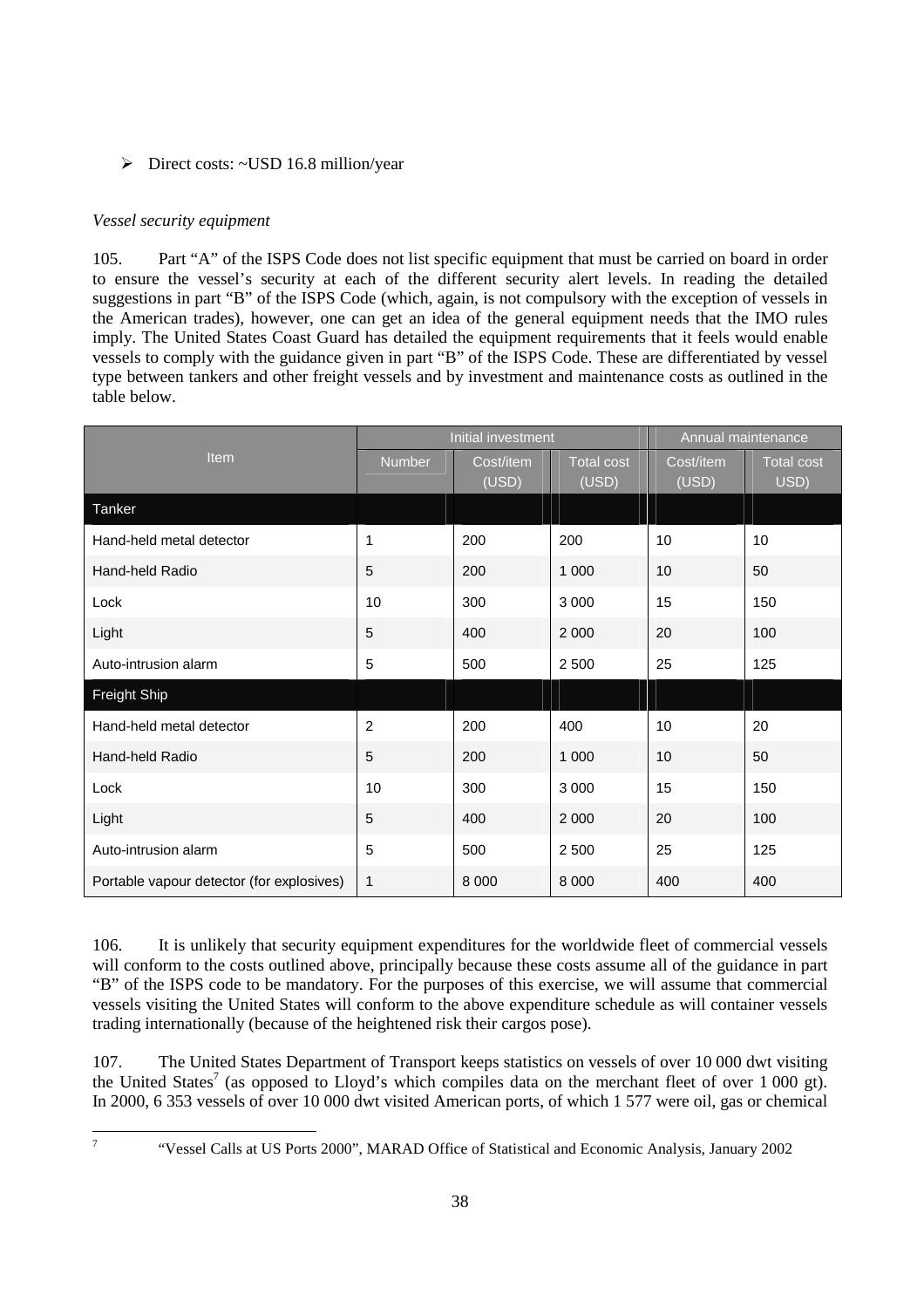# ¾ Direct costs: ~USD 16.8 million/year

# *Vessel security equipment*

105. Part "A" of the ISPS Code does not list specific equipment that must be carried on board in order to ensure the vessel's security at each of the different security alert levels. In reading the detailed suggestions in part "B" of the ISPS Code (which, again, is not compulsory with the exception of vessels in the American trades), however, one can get an idea of the general equipment needs that the IMO rules imply. The United States Coast Guard has detailed the equipment requirements that it feels would enable vessels to comply with the guidance given in part "B" of the ISPS Code. These are differentiated by vessel type between tankers and other freight vessels and by investment and maintenance costs as outlined in the table below.

|                                           |                | Initial investment | Annual maintenance         |                    |                           |
|-------------------------------------------|----------------|--------------------|----------------------------|--------------------|---------------------------|
| Item                                      | <b>Number</b>  | Cost/item<br>(USD) | <b>Total cost</b><br>(USD) | Cost/item<br>(USD) | <b>Total cost</b><br>USD) |
| Tanker                                    |                |                    |                            |                    |                           |
| Hand-held metal detector                  | 1              | 200                | 200                        | 10                 | 10                        |
| Hand-held Radio                           | 5              | 200                | 1 0 0 0                    | 10                 | 50                        |
| Lock                                      | 10             | 300                | 3 0 0 0                    | 15                 | 150                       |
| Light                                     | 5              | 400                | 2 0 0 0                    | 20                 | 100                       |
| Auto-intrusion alarm                      | 5              | 500                | 2 500                      | 25                 | 125                       |
| <b>Freight Ship</b>                       |                |                    |                            |                    |                           |
| Hand-held metal detector                  | $\overline{c}$ | 200                | 400                        | 10                 | 20                        |
| Hand-held Radio                           | 5              | 200                | 1 0 0 0                    | 10                 | 50                        |
| Lock                                      | 10             | 300                | 3 0 0 0                    | 15                 | 150                       |
| Light                                     | 5              | 400                | 2 0 0 0                    | 20                 | 100                       |
| Auto-intrusion alarm                      | 5              | 500                | 2 5 0 0                    | 25                 | 125                       |
| Portable vapour detector (for explosives) | 1              | 8 0 0 0            | 8 0 0 0                    | 400                | 400                       |

106. It is unlikely that security equipment expenditures for the worldwide fleet of commercial vessels will conform to the costs outlined above, principally because these costs assume all of the guidance in part "B" of the ISPS code to be mandatory. For the purposes of this exercise, we will assume that commercial vessels visiting the United States will conform to the above expenditure schedule as will container vessels trading internationally (because of the heightened risk their cargos pose).

107. The United States Department of Transport keeps statistics on vessels of over 10 000 dwt visiting the United States<sup>7</sup> (as opposed to Lloyd's which compiles data on the merchant fleet of over 1 000 gt). In 2000, 6 353 vessels of over 10 000 dwt visited American ports, of which 1 577 were oil, gas or chemical

<sup>-</sup>7

 <sup>&</sup>quot;Vessel Calls at US Ports 2000", MARAD Office of Statistical and Economic Analysis, January 2002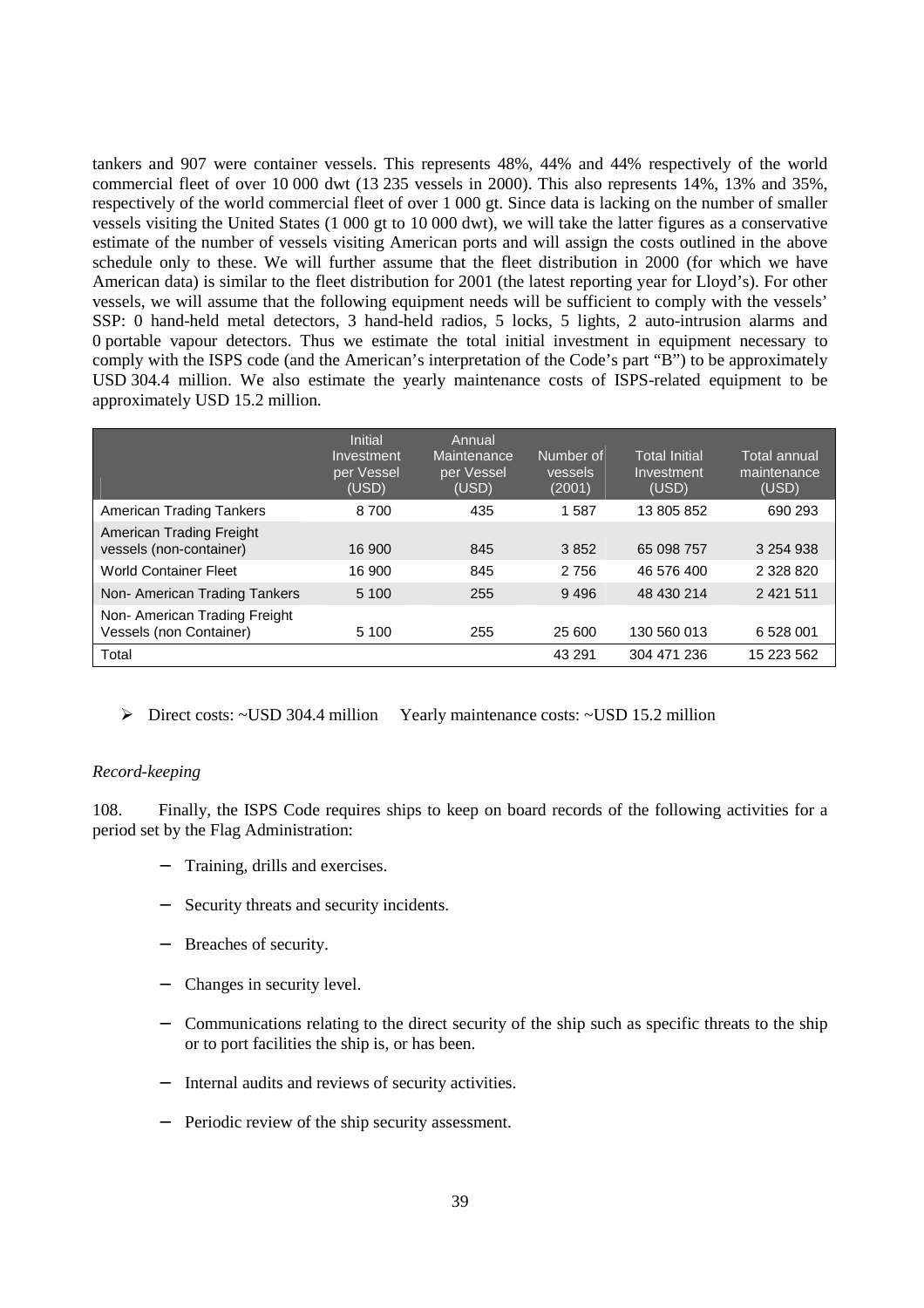tankers and 907 were container vessels. This represents 48%, 44% and 44% respectively of the world commercial fleet of over 10 000 dwt (13 235 vessels in 2000). This also represents 14%, 13% and 35%, respectively of the world commercial fleet of over 1 000 gt. Since data is lacking on the number of smaller vessels visiting the United States (1 000 gt to 10 000 dwt), we will take the latter figures as a conservative estimate of the number of vessels visiting American ports and will assign the costs outlined in the above schedule only to these. We will further assume that the fleet distribution in 2000 (for which we have American data) is similar to the fleet distribution for 2001 (the latest reporting year for Lloyd's). For other vessels, we will assume that the following equipment needs will be sufficient to comply with the vessels' SSP: 0 hand-held metal detectors, 3 hand-held radios, 5 locks, 5 lights, 2 auto-intrusion alarms and 0 portable vapour detectors. Thus we estimate the total initial investment in equipment necessary to comply with the ISPS code (and the American's interpretation of the Code's part "B") to be approximately USD 304.4 million. We also estimate the yearly maintenance costs of ISPS-related equipment to be approximately USD 15.2 million.

|                                                          | <b>Initial</b><br>Investment<br>per Vessel<br>(USD) | Annual<br>Maintenance<br>per Vessel<br>(USD) | Number of<br>vessels<br>(2001) | <b>Total Initial</b><br>Investment<br>(USD) | <b>Total annual</b><br>maintenance<br>(USD) |
|----------------------------------------------------------|-----------------------------------------------------|----------------------------------------------|--------------------------------|---------------------------------------------|---------------------------------------------|
| American Trading Tankers                                 | 8700                                                | 435                                          | 1587                           | 13 805 852                                  | 690 293                                     |
| American Trading Freight<br>vessels (non-container)      | 16 900                                              | 845                                          | 3852                           | 65 098 757                                  | 3 254 938                                   |
| <b>World Container Fleet</b>                             | 16 900                                              | 845                                          | 2756                           | 46 576 400                                  | 2 328 820                                   |
| Non- American Trading Tankers                            | 5 100                                               | 255                                          | 9496                           | 48 430 214                                  | 2 4 2 1 5 1 1                               |
| Non- American Trading Freight<br>Vessels (non Container) | 5 100                                               | 255                                          | 25 600                         | 130 560 013                                 | 6 528 001                                   |
| Total                                                    |                                                     |                                              | 43 291                         | 304 471 236                                 | 15 223 562                                  |

¾ Direct costs: ~USD 304.4 million Yearly maintenance costs: ~USD 15.2 million

#### *Record-keeping*

108. Finally, the ISPS Code requires ships to keep on board records of the following activities for a period set by the Flag Administration:

- Training, drills and exercises.
- Security threats and security incidents.
- Breaches of security.
- − Changes in security level.
- − Communications relating to the direct security of the ship such as specific threats to the ship or to port facilities the ship is, or has been.
- Internal audits and reviews of security activities.
- − Periodic review of the ship security assessment.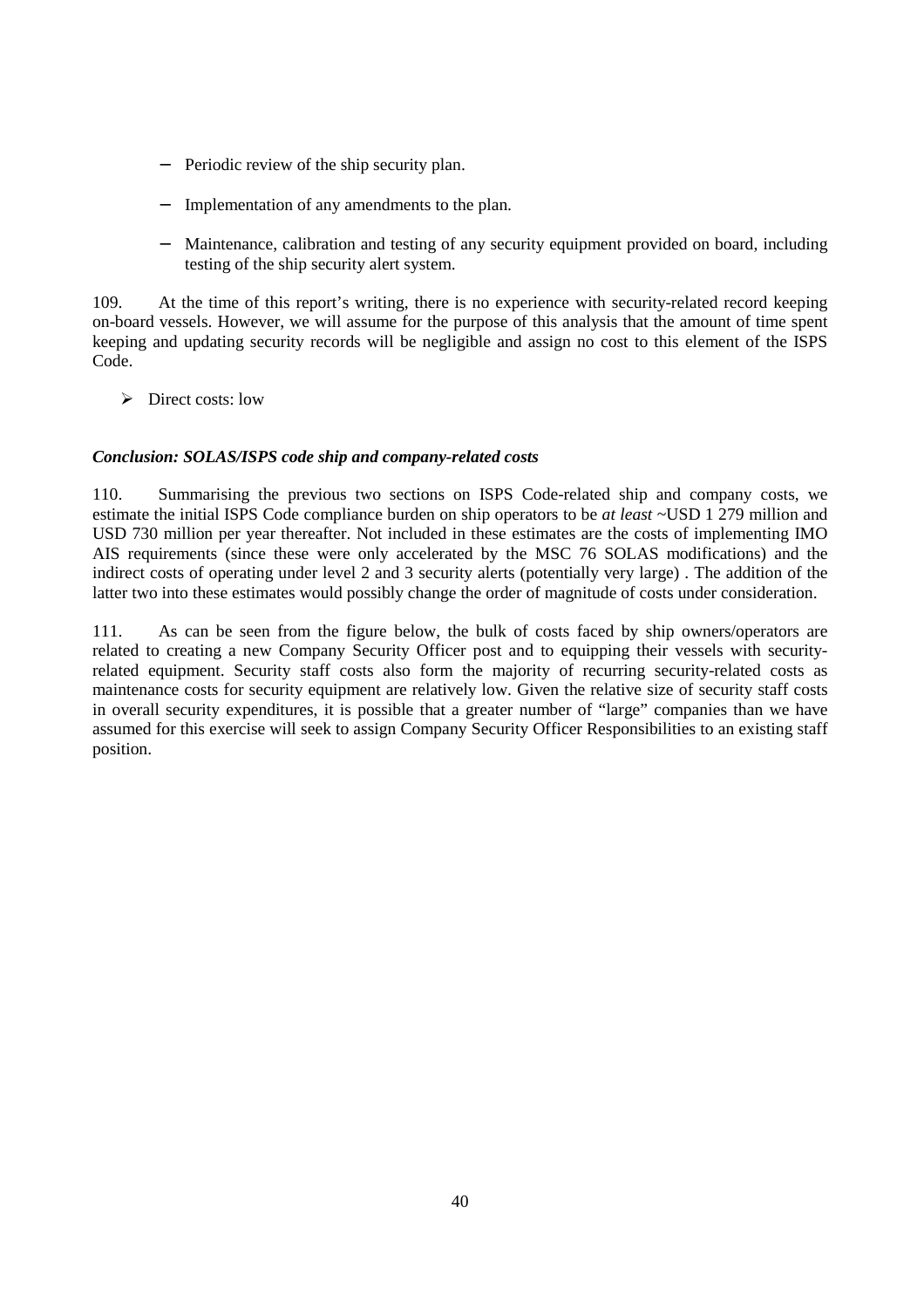- Periodic review of the ship security plan.
- Implementation of any amendments to the plan.
- − Maintenance, calibration and testing of any security equipment provided on board, including testing of the ship security alert system.

109. At the time of this report's writing, there is no experience with security-related record keeping on-board vessels. However, we will assume for the purpose of this analysis that the amount of time spent keeping and updating security records will be negligible and assign no cost to this element of the ISPS Code.

 $\triangleright$  Direct costs: low

# *Conclusion: SOLAS/ISPS code ship and company-related costs*

110. Summarising the previous two sections on ISPS Code-related ship and company costs, we estimate the initial ISPS Code compliance burden on ship operators to be *at least* ~USD 1 279 million and USD 730 million per year thereafter. Not included in these estimates are the costs of implementing IMO AIS requirements (since these were only accelerated by the MSC 76 SOLAS modifications) and the indirect costs of operating under level 2 and 3 security alerts (potentially very large) . The addition of the latter two into these estimates would possibly change the order of magnitude of costs under consideration.

111. As can be seen from the figure below, the bulk of costs faced by ship owners/operators are related to creating a new Company Security Officer post and to equipping their vessels with securityrelated equipment. Security staff costs also form the majority of recurring security-related costs as maintenance costs for security equipment are relatively low. Given the relative size of security staff costs in overall security expenditures, it is possible that a greater number of "large" companies than we have assumed for this exercise will seek to assign Company Security Officer Responsibilities to an existing staff position.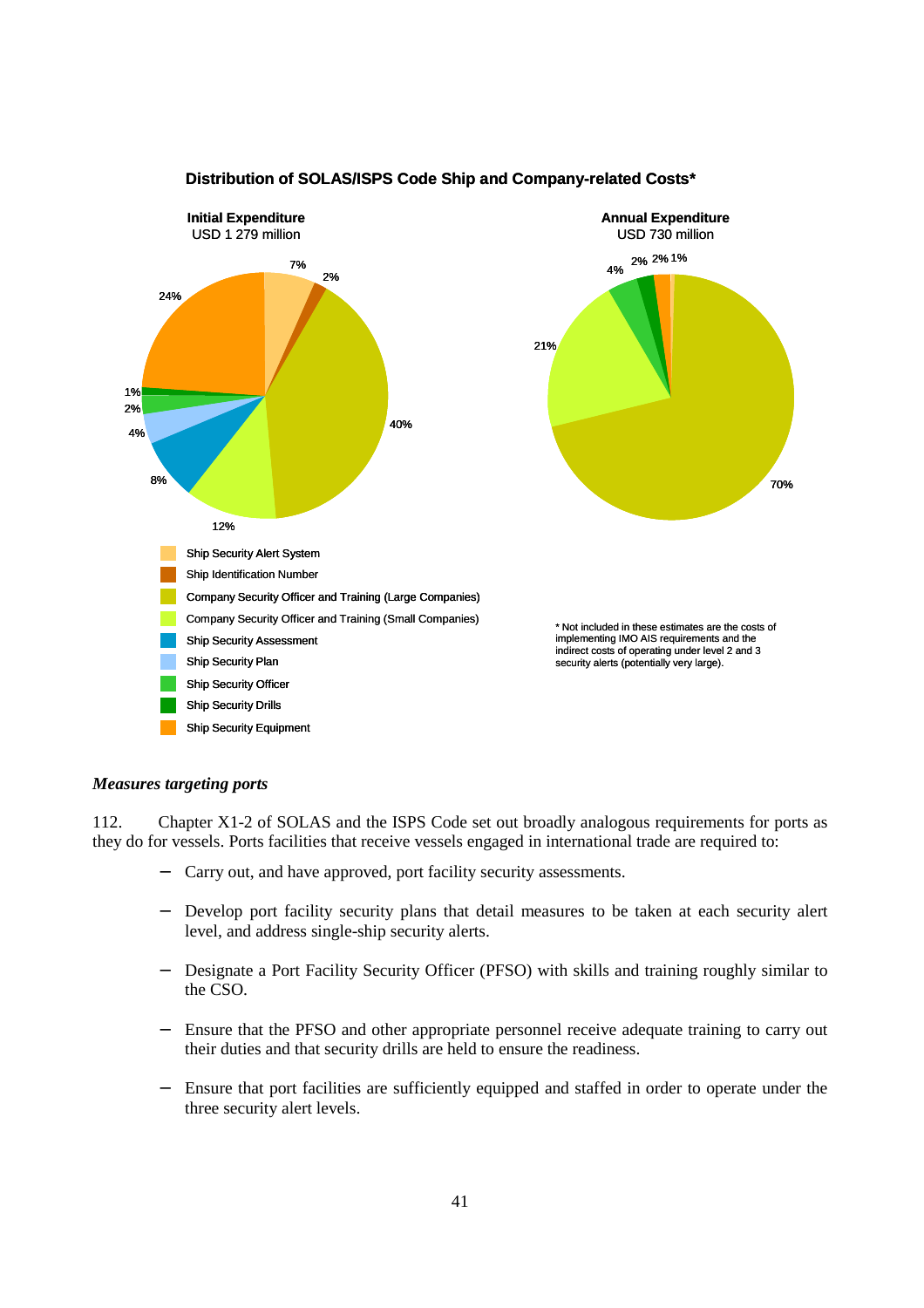

# **Distribution of SOLAS/ISPS Code Ship and Company-related Costs\***

#### *Measures targeting ports*

112. Chapter X1-2 of SOLAS and the ISPS Code set out broadly analogous requirements for ports as they do for vessels. Ports facilities that receive vessels engaged in international trade are required to:

- Carry out, and have approved, port facility security assessments.
- Develop port facility security plans that detail measures to be taken at each security alert level, and address single-ship security alerts.
- − Designate a Port Facility Security Officer (PFSO) with skills and training roughly similar to the CSO.
- − Ensure that the PFSO and other appropriate personnel receive adequate training to carry out their duties and that security drills are held to ensure the readiness.
- Ensure that port facilities are sufficiently equipped and staffed in order to operate under the three security alert levels.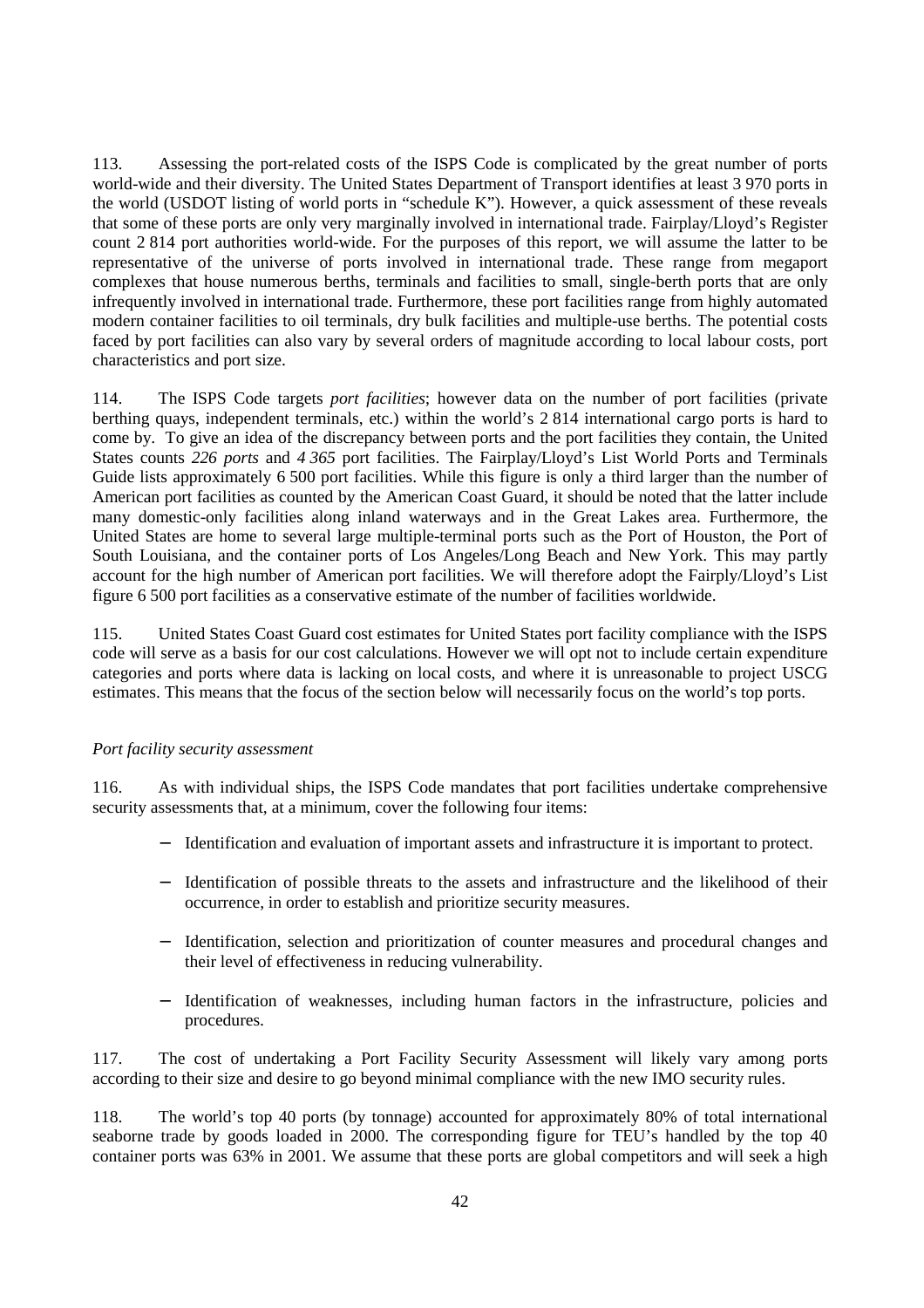113. Assessing the port-related costs of the ISPS Code is complicated by the great number of ports world-wide and their diversity. The United States Department of Transport identifies at least 3 970 ports in the world (USDOT listing of world ports in "schedule K"). However, a quick assessment of these reveals that some of these ports are only very marginally involved in international trade. Fairplay/Lloyd's Register count 2 814 port authorities world-wide. For the purposes of this report, we will assume the latter to be representative of the universe of ports involved in international trade. These range from megaport complexes that house numerous berths, terminals and facilities to small, single-berth ports that are only infrequently involved in international trade. Furthermore, these port facilities range from highly automated modern container facilities to oil terminals, dry bulk facilities and multiple-use berths. The potential costs faced by port facilities can also vary by several orders of magnitude according to local labour costs, port characteristics and port size.

114. The ISPS Code targets *port facilities*; however data on the number of port facilities (private berthing quays, independent terminals, etc.) within the world's 2 814 international cargo ports is hard to come by. To give an idea of the discrepancy between ports and the port facilities they contain, the United States counts *226 ports* and *4 365* port facilities. The Fairplay/Lloyd's List World Ports and Terminals Guide lists approximately 6 500 port facilities. While this figure is only a third larger than the number of American port facilities as counted by the American Coast Guard, it should be noted that the latter include many domestic-only facilities along inland waterways and in the Great Lakes area. Furthermore, the United States are home to several large multiple-terminal ports such as the Port of Houston, the Port of South Louisiana, and the container ports of Los Angeles/Long Beach and New York. This may partly account for the high number of American port facilities. We will therefore adopt the Fairply/Lloyd's List figure 6 500 port facilities as a conservative estimate of the number of facilities worldwide.

115. United States Coast Guard cost estimates for United States port facility compliance with the ISPS code will serve as a basis for our cost calculations. However we will opt not to include certain expenditure categories and ports where data is lacking on local costs, and where it is unreasonable to project USCG estimates. This means that the focus of the section below will necessarily focus on the world's top ports.

#### *Port facility security assessment*

116. As with individual ships, the ISPS Code mandates that port facilities undertake comprehensive security assessments that, at a minimum, cover the following four items:

- − Identification and evaluation of important assets and infrastructure it is important to protect.
- − Identification of possible threats to the assets and infrastructure and the likelihood of their occurrence, in order to establish and prioritize security measures.
- − Identification, selection and prioritization of counter measures and procedural changes and their level of effectiveness in reducing vulnerability.
- − Identification of weaknesses, including human factors in the infrastructure, policies and procedures.

117. The cost of undertaking a Port Facility Security Assessment will likely vary among ports according to their size and desire to go beyond minimal compliance with the new IMO security rules.

118. The world's top 40 ports (by tonnage) accounted for approximately 80% of total international seaborne trade by goods loaded in 2000. The corresponding figure for TEU's handled by the top 40 container ports was 63% in 2001. We assume that these ports are global competitors and will seek a high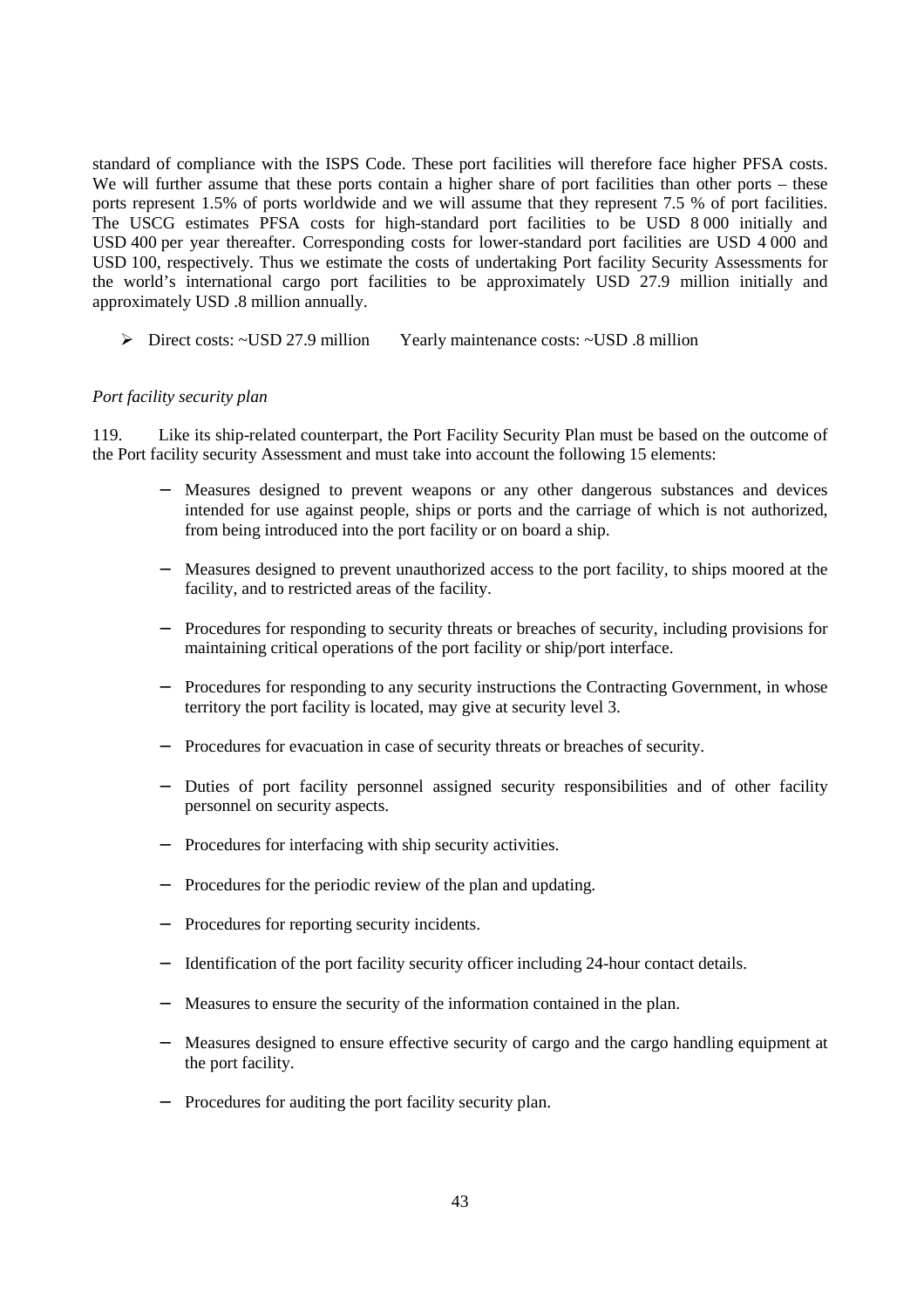standard of compliance with the ISPS Code. These port facilities will therefore face higher PFSA costs. We will further assume that these ports contain a higher share of port facilities than other ports – these ports represent 1.5% of ports worldwide and we will assume that they represent 7.5 % of port facilities. The USCG estimates PFSA costs for high-standard port facilities to be USD 8 000 initially and USD 400 per year thereafter. Corresponding costs for lower-standard port facilities are USD 4 000 and USD 100, respectively. Thus we estimate the costs of undertaking Port facility Security Assessments for the world's international cargo port facilities to be approximately USD 27.9 million initially and approximately USD .8 million annually.

¾ Direct costs: ~USD 27.9 million Yearly maintenance costs: ~USD .8 million

# *Port facility security plan*

119. Like its ship-related counterpart, the Port Facility Security Plan must be based on the outcome of the Port facility security Assessment and must take into account the following 15 elements:

- − Measures designed to prevent weapons or any other dangerous substances and devices intended for use against people, ships or ports and the carriage of which is not authorized, from being introduced into the port facility or on board a ship.
- − Measures designed to prevent unauthorized access to the port facility, to ships moored at the facility, and to restricted areas of the facility.
- Procedures for responding to security threats or breaches of security, including provisions for maintaining critical operations of the port facility or ship/port interface.
- − Procedures for responding to any security instructions the Contracting Government, in whose territory the port facility is located, may give at security level 3.
- Procedures for evacuation in case of security threats or breaches of security.
- Duties of port facility personnel assigned security responsibilities and of other facility personnel on security aspects.
- Procedures for interfacing with ship security activities.
- Procedures for the periodic review of the plan and updating.
- Procedures for reporting security incidents.
- − Identification of the port facility security officer including 24-hour contact details.
- − Measures to ensure the security of the information contained in the plan.
- − Measures designed to ensure effective security of cargo and the cargo handling equipment at the port facility.
- − Procedures for auditing the port facility security plan.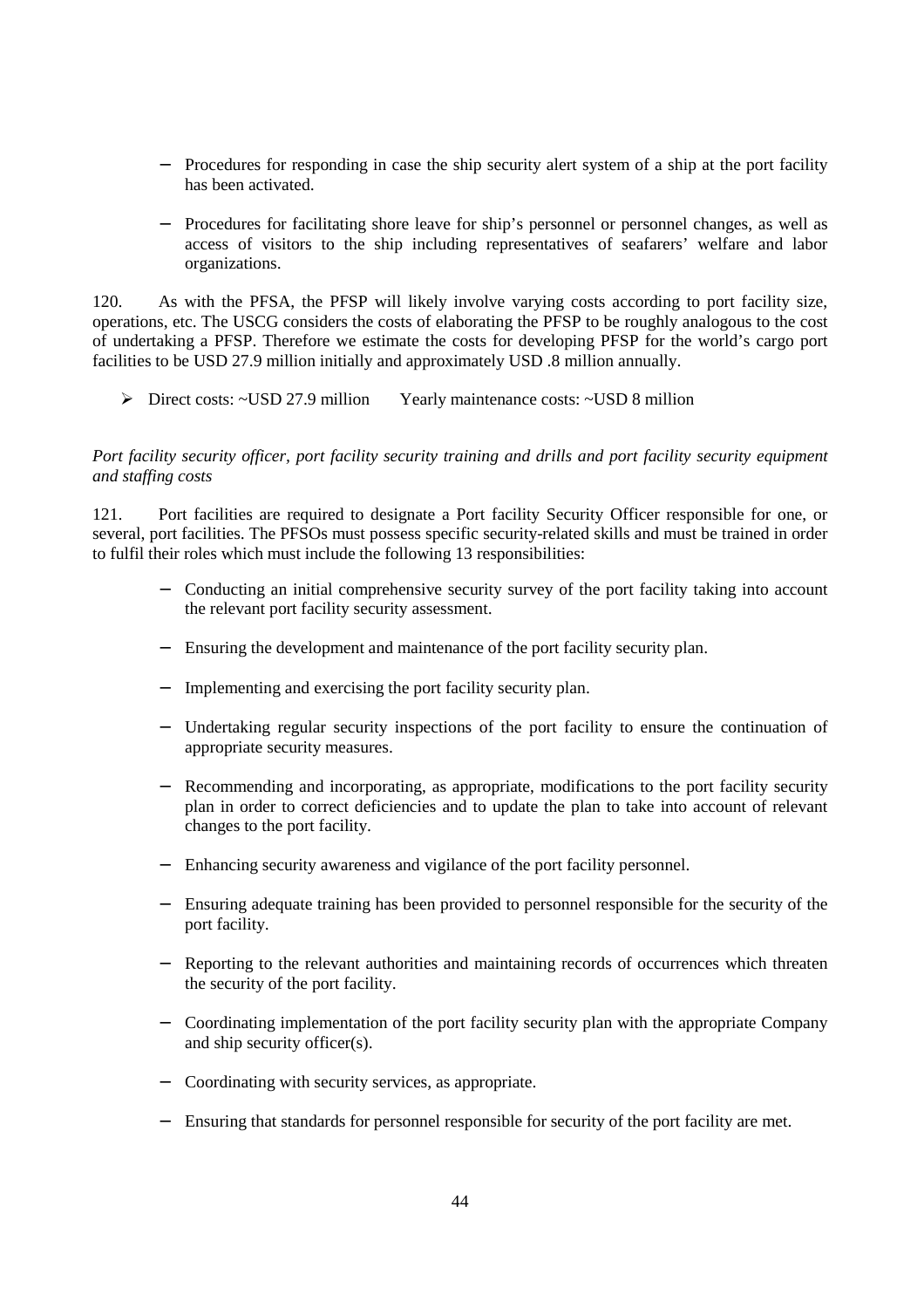- − Procedures for responding in case the ship security alert system of a ship at the port facility has been activated.
- − Procedures for facilitating shore leave for ship's personnel or personnel changes, as well as access of visitors to the ship including representatives of seafarers' welfare and labor organizations.

120. As with the PFSA, the PFSP will likely involve varying costs according to port facility size, operations, etc. The USCG considers the costs of elaborating the PFSP to be roughly analogous to the cost of undertaking a PFSP. Therefore we estimate the costs for developing PFSP for the world's cargo port facilities to be USD 27.9 million initially and approximately USD .8 million annually.

¾ Direct costs: ~USD 27.9 million Yearly maintenance costs: ~USD 8 million

# *Port facility security officer, port facility security training and drills and port facility security equipment and staffing costs*

121. Port facilities are required to designate a Port facility Security Officer responsible for one, or several, port facilities. The PFSOs must possess specific security-related skills and must be trained in order to fulfil their roles which must include the following 13 responsibilities:

- Conducting an initial comprehensive security survey of the port facility taking into account the relevant port facility security assessment.
- − Ensuring the development and maintenance of the port facility security plan.
- − Implementing and exercising the port facility security plan.
- − Undertaking regular security inspections of the port facility to ensure the continuation of appropriate security measures.
- Recommending and incorporating, as appropriate, modifications to the port facility security plan in order to correct deficiencies and to update the plan to take into account of relevant changes to the port facility.
- Enhancing security awareness and vigilance of the port facility personnel.
- Ensuring adequate training has been provided to personnel responsible for the security of the port facility.
- Reporting to the relevant authorities and maintaining records of occurrences which threaten the security of the port facility.
- − Coordinating implementation of the port facility security plan with the appropriate Company and ship security officer(s).
- − Coordinating with security services, as appropriate.
- − Ensuring that standards for personnel responsible for security of the port facility are met.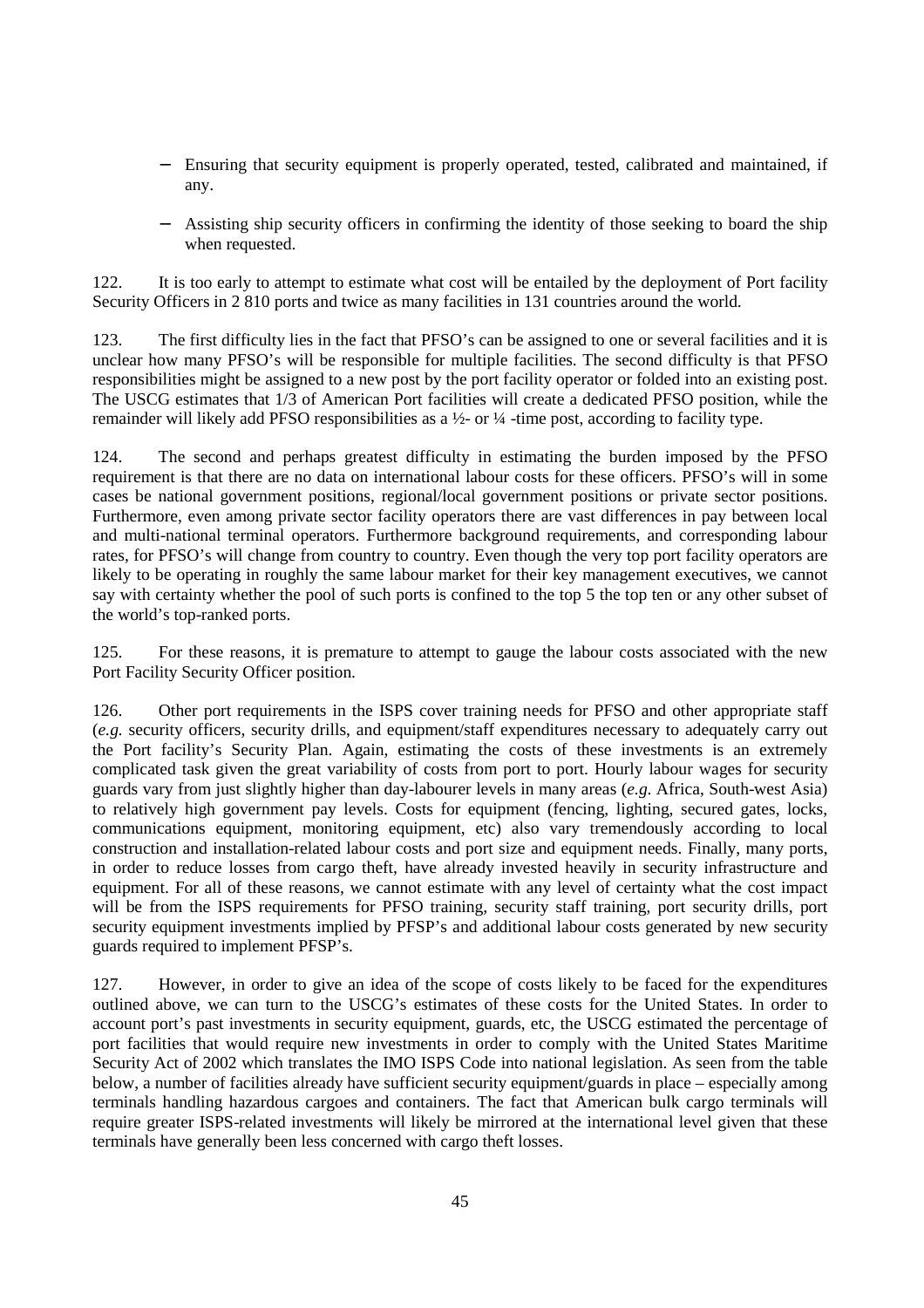- Ensuring that security equipment is properly operated, tested, calibrated and maintained, if any.
- − Assisting ship security officers in confirming the identity of those seeking to board the ship when requested.

122. It is too early to attempt to estimate what cost will be entailed by the deployment of Port facility Security Officers in 2 810 ports and twice as many facilities in 131 countries around the world.

123. The first difficulty lies in the fact that PFSO's can be assigned to one or several facilities and it is unclear how many PFSO's will be responsible for multiple facilities. The second difficulty is that PFSO responsibilities might be assigned to a new post by the port facility operator or folded into an existing post. The USCG estimates that 1/3 of American Port facilities will create a dedicated PFSO position, while the remainder will likely add PFSO responsibilities as a ½- or ¼ -time post, according to facility type.

124. The second and perhaps greatest difficulty in estimating the burden imposed by the PFSO requirement is that there are no data on international labour costs for these officers. PFSO's will in some cases be national government positions, regional/local government positions or private sector positions. Furthermore, even among private sector facility operators there are vast differences in pay between local and multi-national terminal operators. Furthermore background requirements, and corresponding labour rates, for PFSO's will change from country to country. Even though the very top port facility operators are likely to be operating in roughly the same labour market for their key management executives, we cannot say with certainty whether the pool of such ports is confined to the top 5 the top ten or any other subset of the world's top-ranked ports.

125. For these reasons, it is premature to attempt to gauge the labour costs associated with the new Port Facility Security Officer position.

126. Other port requirements in the ISPS cover training needs for PFSO and other appropriate staff (*e.g.* security officers, security drills, and equipment/staff expenditures necessary to adequately carry out the Port facility's Security Plan. Again, estimating the costs of these investments is an extremely complicated task given the great variability of costs from port to port. Hourly labour wages for security guards vary from just slightly higher than day-labourer levels in many areas (*e.g*. Africa, South-west Asia) to relatively high government pay levels. Costs for equipment (fencing, lighting, secured gates, locks, communications equipment, monitoring equipment, etc) also vary tremendously according to local construction and installation-related labour costs and port size and equipment needs. Finally, many ports, in order to reduce losses from cargo theft, have already invested heavily in security infrastructure and equipment. For all of these reasons, we cannot estimate with any level of certainty what the cost impact will be from the ISPS requirements for PFSO training, security staff training, port security drills, port security equipment investments implied by PFSP's and additional labour costs generated by new security guards required to implement PFSP's.

127. However, in order to give an idea of the scope of costs likely to be faced for the expenditures outlined above, we can turn to the USCG's estimates of these costs for the United States. In order to account port's past investments in security equipment, guards, etc, the USCG estimated the percentage of port facilities that would require new investments in order to comply with the United States Maritime Security Act of 2002 which translates the IMO ISPS Code into national legislation. As seen from the table below, a number of facilities already have sufficient security equipment/guards in place – especially among terminals handling hazardous cargoes and containers. The fact that American bulk cargo terminals will require greater ISPS-related investments will likely be mirrored at the international level given that these terminals have generally been less concerned with cargo theft losses.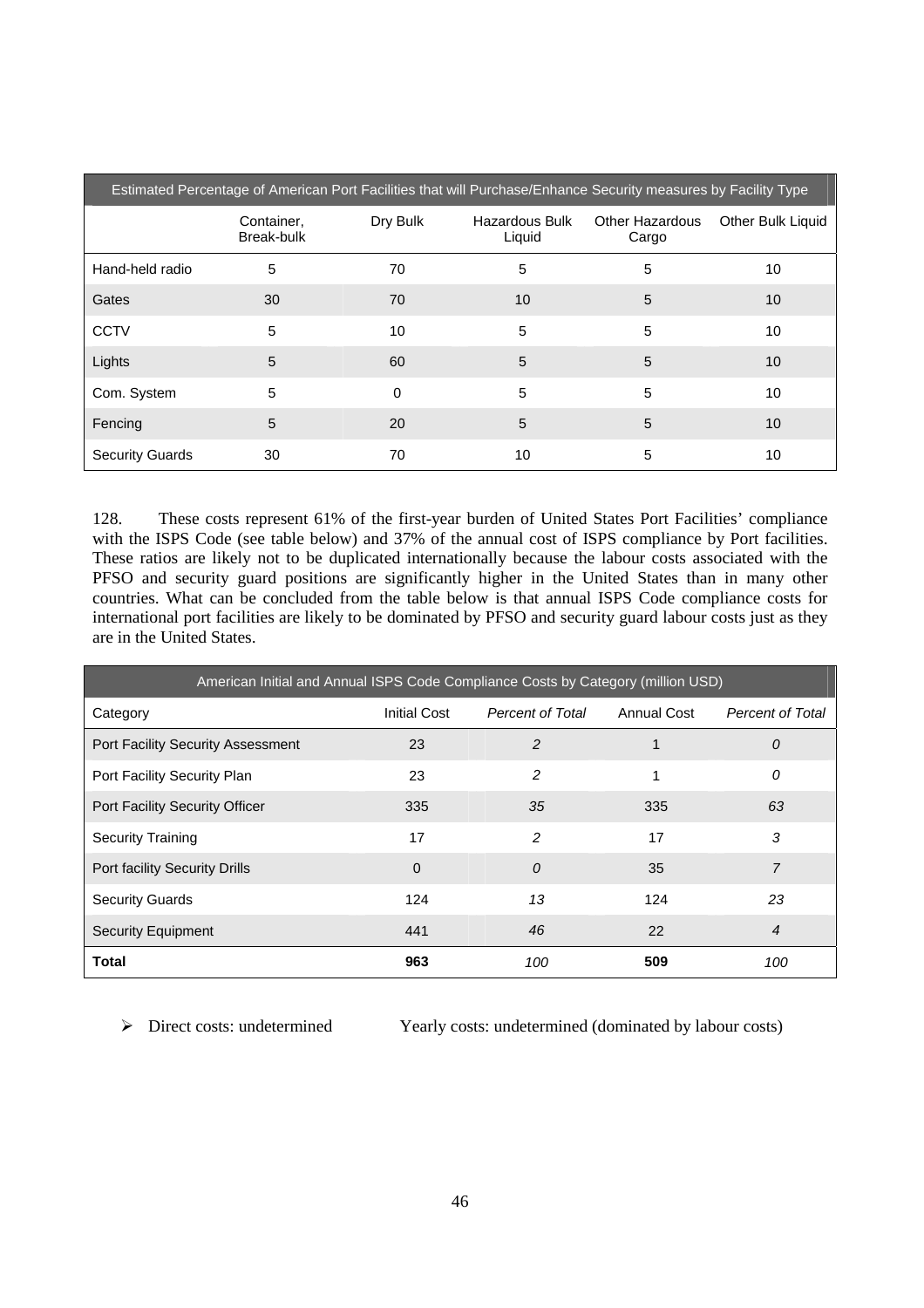| Estimated Percentage of American Port Facilities that will Purchase/Enhance Security measures by Facility Type |                          |          |                          |                                 |                   |  |
|----------------------------------------------------------------------------------------------------------------|--------------------------|----------|--------------------------|---------------------------------|-------------------|--|
|                                                                                                                | Container,<br>Break-bulk | Dry Bulk | Hazardous Bulk<br>Liquid | <b>Other Hazardous</b><br>Cargo | Other Bulk Liquid |  |
| Hand-held radio                                                                                                | 5                        | 70       | 5                        | 5                               | 10                |  |
| Gates                                                                                                          | 30                       | 70       | 10                       | 5                               | 10                |  |
| <b>CCTV</b>                                                                                                    | 5                        | 10       | 5                        | 5                               | 10                |  |
| Lights                                                                                                         | 5                        | 60       | 5                        | 5                               | 10                |  |
| Com. System                                                                                                    | 5                        | $\Omega$ | 5                        | 5                               | 10                |  |
| Fencing                                                                                                        | 5                        | 20       | 5                        | 5                               | 10                |  |
| <b>Security Guards</b>                                                                                         | 30                       | 70       | 10                       | 5                               | 10                |  |

128. These costs represent 61% of the first-year burden of United States Port Facilities' compliance with the ISPS Code (see table below) and 37% of the annual cost of ISPS compliance by Port facilities. These ratios are likely not to be duplicated internationally because the labour costs associated with the PFSO and security guard positions are significantly higher in the United States than in many other countries. What can be concluded from the table below is that annual ISPS Code compliance costs for international port facilities are likely to be dominated by PFSO and security guard labour costs just as they are in the United States.

| American Initial and Annual ISPS Code Compliance Costs by Category (million USD) |                     |                         |             |                         |  |  |
|----------------------------------------------------------------------------------|---------------------|-------------------------|-------------|-------------------------|--|--|
| Category                                                                         | <b>Initial Cost</b> | <b>Percent of Total</b> | Annual Cost | <b>Percent of Total</b> |  |  |
| <b>Port Facility Security Assessment</b>                                         | 23                  | 2                       | 1           | $\theta$                |  |  |
| Port Facility Security Plan                                                      | 23                  | $\overline{c}$          | 1           | 0                       |  |  |
| Port Facility Security Officer                                                   | 335                 | 35                      | 335         | 63                      |  |  |
| <b>Security Training</b>                                                         | 17                  | $\mathcal{P}$           | 17          | 3                       |  |  |
| Port facility Security Drills                                                    | $\Omega$            | $\theta$                | 35          | 7                       |  |  |
| <b>Security Guards</b>                                                           | 124                 | 13                      | 124         | 23                      |  |  |
| <b>Security Equipment</b>                                                        | 441                 | 46                      | 22          | $\overline{4}$          |  |  |
| <b>Total</b>                                                                     | 963                 | 100                     | 509         | 100                     |  |  |

¾ Direct costs: undetermined Yearly costs: undetermined (dominated by labour costs)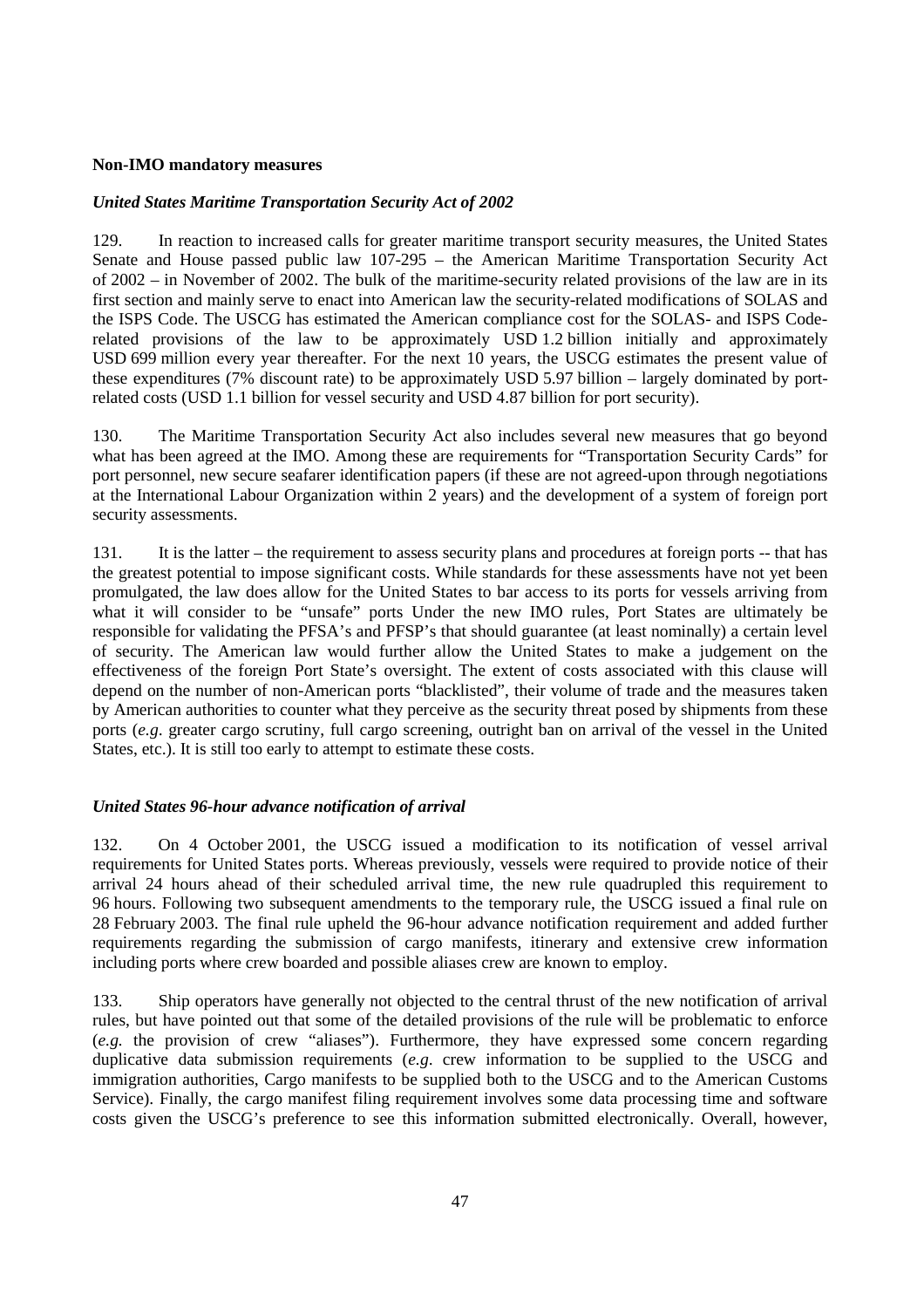### **Non-IMO mandatory measures**

# *United States Maritime Transportation Security Act of 2002*

129. In reaction to increased calls for greater maritime transport security measures, the United States Senate and House passed public law 107-295 – the American Maritime Transportation Security Act of 2002 – in November of 2002. The bulk of the maritime-security related provisions of the law are in its first section and mainly serve to enact into American law the security-related modifications of SOLAS and the ISPS Code. The USCG has estimated the American compliance cost for the SOLAS- and ISPS Coderelated provisions of the law to be approximately USD 1.2 billion initially and approximately USD 699 million every year thereafter. For the next 10 years, the USCG estimates the present value of these expenditures (7% discount rate) to be approximately USD 5.97 billion – largely dominated by portrelated costs (USD 1.1 billion for vessel security and USD 4.87 billion for port security).

130. The Maritime Transportation Security Act also includes several new measures that go beyond what has been agreed at the IMO. Among these are requirements for "Transportation Security Cards" for port personnel, new secure seafarer identification papers (if these are not agreed-upon through negotiations at the International Labour Organization within 2 years) and the development of a system of foreign port security assessments.

131. It is the latter – the requirement to assess security plans and procedures at foreign ports -- that has the greatest potential to impose significant costs. While standards for these assessments have not yet been promulgated, the law does allow for the United States to bar access to its ports for vessels arriving from what it will consider to be "unsafe" ports Under the new IMO rules, Port States are ultimately be responsible for validating the PFSA's and PFSP's that should guarantee (at least nominally) a certain level of security. The American law would further allow the United States to make a judgement on the effectiveness of the foreign Port State's oversight. The extent of costs associated with this clause will depend on the number of non-American ports "blacklisted", their volume of trade and the measures taken by American authorities to counter what they perceive as the security threat posed by shipments from these ports (*e.g*. greater cargo scrutiny, full cargo screening, outright ban on arrival of the vessel in the United States, etc.). It is still too early to attempt to estimate these costs.

#### *United States 96-hour advance notification of arrival*

132. On 4 October 2001, the USCG issued a modification to its notification of vessel arrival requirements for United States ports. Whereas previously, vessels were required to provide notice of their arrival 24 hours ahead of their scheduled arrival time, the new rule quadrupled this requirement to 96 hours. Following two subsequent amendments to the temporary rule, the USCG issued a final rule on 28 February 2003. The final rule upheld the 96-hour advance notification requirement and added further requirements regarding the submission of cargo manifests, itinerary and extensive crew information including ports where crew boarded and possible aliases crew are known to employ.

133. Ship operators have generally not objected to the central thrust of the new notification of arrival rules, but have pointed out that some of the detailed provisions of the rule will be problematic to enforce (*e.g.* the provision of crew "aliases"). Furthermore, they have expressed some concern regarding duplicative data submission requirements (*e.g*. crew information to be supplied to the USCG and immigration authorities, Cargo manifests to be supplied both to the USCG and to the American Customs Service). Finally, the cargo manifest filing requirement involves some data processing time and software costs given the USCG's preference to see this information submitted electronically. Overall, however,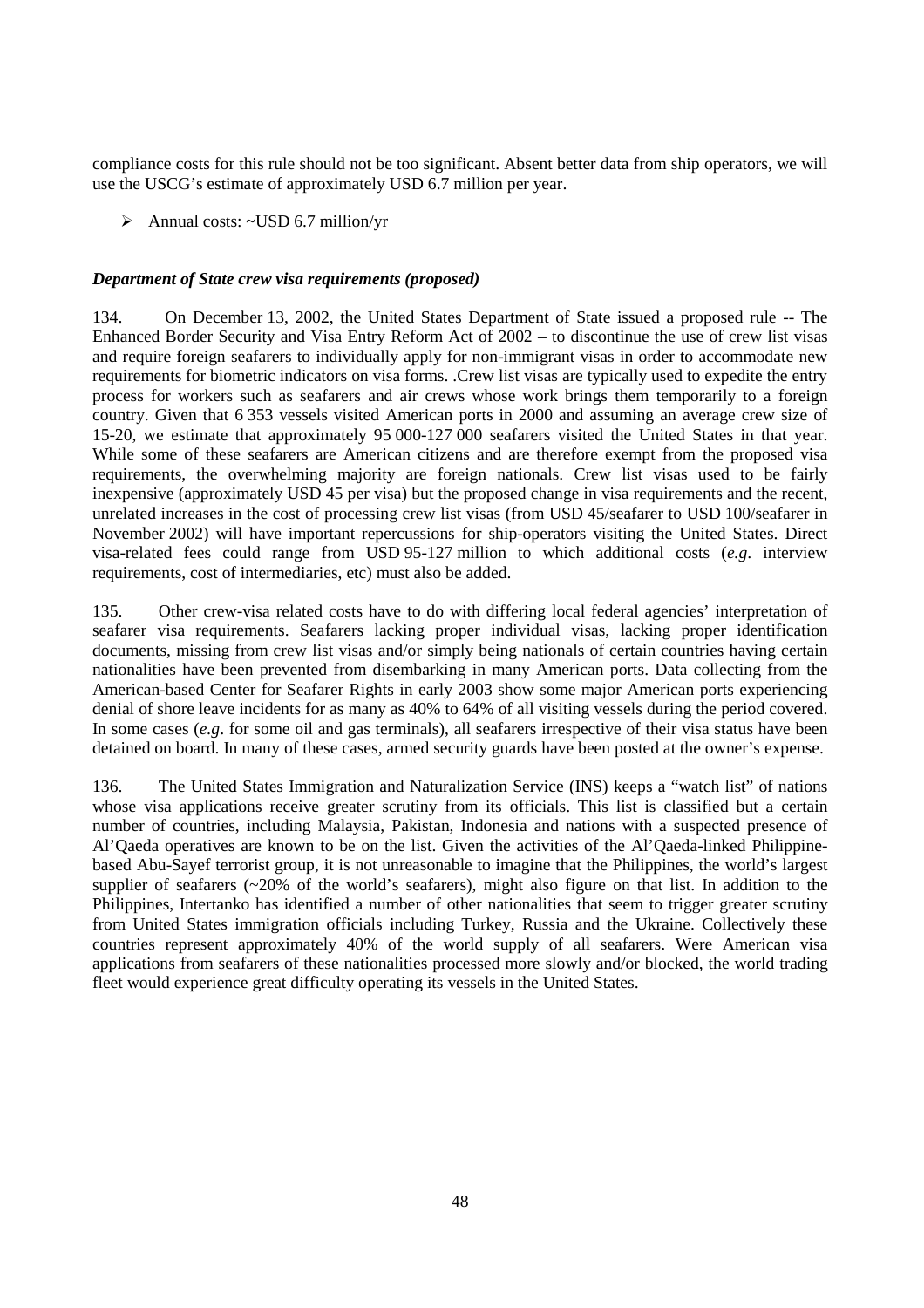compliance costs for this rule should not be too significant. Absent better data from ship operators, we will use the USCG's estimate of approximately USD 6.7 million per year.

 $\triangleright$  Annual costs: ~USD 6.7 million/yr

# *Department of State crew visa requirements (proposed)*

134. On December 13, 2002, the United States Department of State issued a proposed rule -- The Enhanced Border Security and Visa Entry Reform Act of 2002 – to discontinue the use of crew list visas and require foreign seafarers to individually apply for non-immigrant visas in order to accommodate new requirements for biometric indicators on visa forms. .Crew list visas are typically used to expedite the entry process for workers such as seafarers and air crews whose work brings them temporarily to a foreign country. Given that 6 353 vessels visited American ports in 2000 and assuming an average crew size of 15-20, we estimate that approximately 95 000-127 000 seafarers visited the United States in that year. While some of these seafarers are American citizens and are therefore exempt from the proposed visa requirements, the overwhelming majority are foreign nationals. Crew list visas used to be fairly inexpensive (approximately USD 45 per visa) but the proposed change in visa requirements and the recent, unrelated increases in the cost of processing crew list visas (from USD 45/seafarer to USD 100/seafarer in November 2002) will have important repercussions for ship-operators visiting the United States. Direct visa-related fees could range from USD 95-127 million to which additional costs (*e.g*. interview requirements, cost of intermediaries, etc) must also be added.

135. Other crew-visa related costs have to do with differing local federal agencies' interpretation of seafarer visa requirements. Seafarers lacking proper individual visas, lacking proper identification documents, missing from crew list visas and/or simply being nationals of certain countries having certain nationalities have been prevented from disembarking in many American ports. Data collecting from the American-based Center for Seafarer Rights in early 2003 show some major American ports experiencing denial of shore leave incidents for as many as 40% to 64% of all visiting vessels during the period covered. In some cases (*e.g*. for some oil and gas terminals), all seafarers irrespective of their visa status have been detained on board. In many of these cases, armed security guards have been posted at the owner's expense.

136. The United States Immigration and Naturalization Service (INS) keeps a "watch list" of nations whose visa applications receive greater scrutiny from its officials. This list is classified but a certain number of countries, including Malaysia, Pakistan, Indonesia and nations with a suspected presence of Al'Qaeda operatives are known to be on the list. Given the activities of the Al'Qaeda-linked Philippinebased Abu-Sayef terrorist group, it is not unreasonable to imagine that the Philippines, the world's largest supplier of seafarers ( $\approx$ 20% of the world's seafarers), might also figure on that list. In addition to the Philippines, Intertanko has identified a number of other nationalities that seem to trigger greater scrutiny from United States immigration officials including Turkey, Russia and the Ukraine. Collectively these countries represent approximately 40% of the world supply of all seafarers. Were American visa applications from seafarers of these nationalities processed more slowly and/or blocked, the world trading fleet would experience great difficulty operating its vessels in the United States.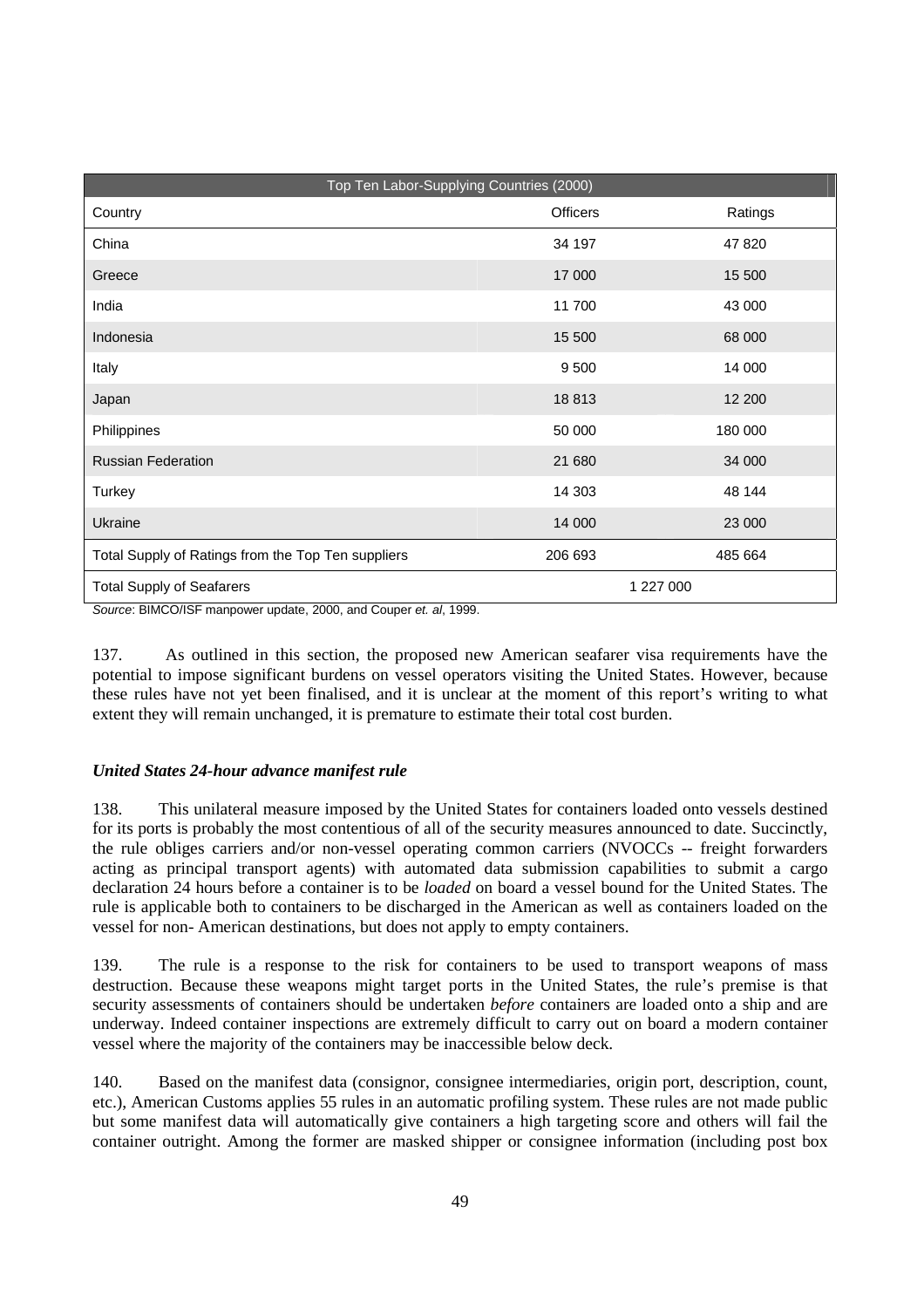|                                                    | Top Ten Labor-Supplying Countries (2000) |           |  |
|----------------------------------------------------|------------------------------------------|-----------|--|
| Country                                            | <b>Officers</b>                          | Ratings   |  |
| China                                              | 34 197                                   | 47 820    |  |
| Greece                                             | 17 000                                   | 15 500    |  |
| India                                              | 11700                                    | 43 000    |  |
| Indonesia                                          | 15 500                                   | 68 000    |  |
| Italy                                              | 9 5 0 0                                  | 14 000    |  |
| Japan                                              | 18813                                    | 12 200    |  |
| Philippines                                        | 50 000                                   | 180 000   |  |
| <b>Russian Federation</b>                          | 21 680                                   | 34 000    |  |
| Turkey                                             | 14 30 3                                  | 48 144    |  |
| Ukraine                                            | 14 000                                   | 23 000    |  |
| Total Supply of Ratings from the Top Ten suppliers | 206 693                                  | 485 664   |  |
| <b>Total Supply of Seafarers</b>                   |                                          | 1 227 000 |  |

Source: BIMCO/ISF manpower update, 2000, and Couper et. al, 1999.

137. As outlined in this section, the proposed new American seafarer visa requirements have the potential to impose significant burdens on vessel operators visiting the United States. However, because these rules have not yet been finalised, and it is unclear at the moment of this report's writing to what extent they will remain unchanged, it is premature to estimate their total cost burden.

# *United States 24-hour advance manifest rule*

138. This unilateral measure imposed by the United States for containers loaded onto vessels destined for its ports is probably the most contentious of all of the security measures announced to date. Succinctly, the rule obliges carriers and/or non-vessel operating common carriers (NVOCCs -- freight forwarders acting as principal transport agents) with automated data submission capabilities to submit a cargo declaration 24 hours before a container is to be *loaded* on board a vessel bound for the United States. The rule is applicable both to containers to be discharged in the American as well as containers loaded on the vessel for non- American destinations, but does not apply to empty containers.

139. The rule is a response to the risk for containers to be used to transport weapons of mass destruction. Because these weapons might target ports in the United States, the rule's premise is that security assessments of containers should be undertaken *before* containers are loaded onto a ship and are underway. Indeed container inspections are extremely difficult to carry out on board a modern container vessel where the majority of the containers may be inaccessible below deck.

140. Based on the manifest data (consignor, consignee intermediaries, origin port, description, count, etc.), American Customs applies 55 rules in an automatic profiling system. These rules are not made public but some manifest data will automatically give containers a high targeting score and others will fail the container outright. Among the former are masked shipper or consignee information (including post box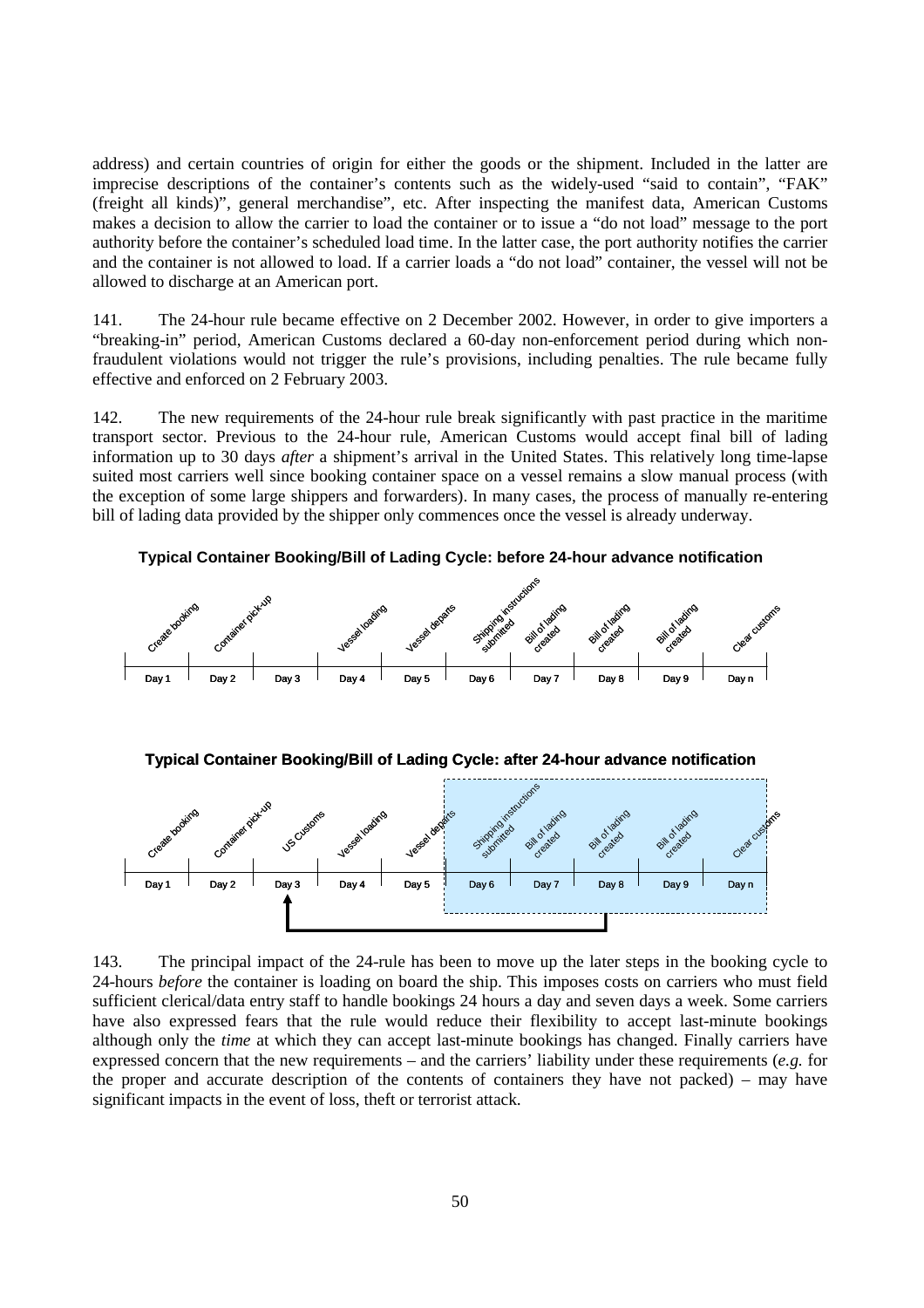address) and certain countries of origin for either the goods or the shipment. Included in the latter are imprecise descriptions of the container's contents such as the widely-used "said to contain", "FAK" (freight all kinds)", general merchandise", etc. After inspecting the manifest data, American Customs makes a decision to allow the carrier to load the container or to issue a "do not load" message to the port authority before the container's scheduled load time. In the latter case, the port authority notifies the carrier and the container is not allowed to load. If a carrier loads a "do not load" container, the vessel will not be allowed to discharge at an American port.

141. The 24-hour rule became effective on 2 December 2002. However, in order to give importers a "breaking-in" period, American Customs declared a 60-day non-enforcement period during which nonfraudulent violations would not trigger the rule's provisions, including penalties. The rule became fully effective and enforced on 2 February 2003.

142. The new requirements of the 24-hour rule break significantly with past practice in the maritime transport sector. Previous to the 24-hour rule, American Customs would accept final bill of lading information up to 30 days *after* a shipment's arrival in the United States. This relatively long time-lapse suited most carriers well since booking container space on a vessel remains a slow manual process (with the exception of some large shippers and forwarders). In many cases, the process of manually re-entering bill of lading data provided by the shipper only commences once the vessel is already underway.





143. The principal impact of the 24-rule has been to move up the later steps in the booking cycle to 24-hours *before* the container is loading on board the ship. This imposes costs on carriers who must field sufficient clerical/data entry staff to handle bookings 24 hours a day and seven days a week. Some carriers have also expressed fears that the rule would reduce their flexibility to accept last-minute bookings although only the *time* at which they can accept last-minute bookings has changed. Finally carriers have expressed concern that the new requirements – and the carriers' liability under these requirements (*e.g.* for the proper and accurate description of the contents of containers they have not packed) – may have significant impacts in the event of loss, theft or terrorist attack.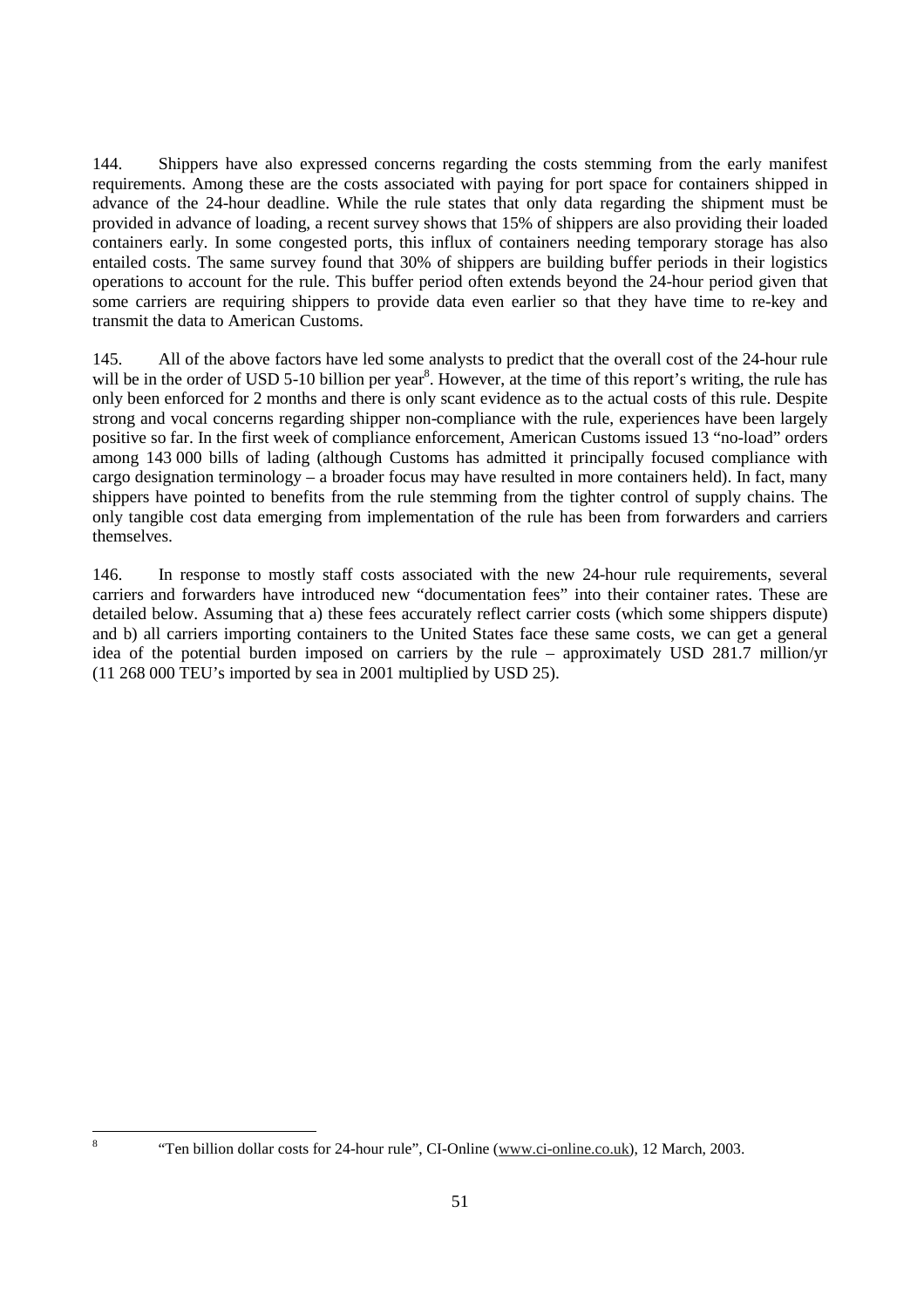144. Shippers have also expressed concerns regarding the costs stemming from the early manifest requirements. Among these are the costs associated with paying for port space for containers shipped in advance of the 24-hour deadline. While the rule states that only data regarding the shipment must be provided in advance of loading, a recent survey shows that 15% of shippers are also providing their loaded containers early. In some congested ports, this influx of containers needing temporary storage has also entailed costs. The same survey found that 30% of shippers are building buffer periods in their logistics operations to account for the rule. This buffer period often extends beyond the 24-hour period given that some carriers are requiring shippers to provide data even earlier so that they have time to re-key and transmit the data to American Customs.

145. All of the above factors have led some analysts to predict that the overall cost of the 24-hour rule will be in the order of USD 5-10 billion per year<sup>8</sup>. However, at the time of this report's writing, the rule has only been enforced for 2 months and there is only scant evidence as to the actual costs of this rule. Despite strong and vocal concerns regarding shipper non-compliance with the rule, experiences have been largely positive so far. In the first week of compliance enforcement, American Customs issued 13 "no-load" orders among 143 000 bills of lading (although Customs has admitted it principally focused compliance with cargo designation terminology – a broader focus may have resulted in more containers held). In fact, many shippers have pointed to benefits from the rule stemming from the tighter control of supply chains. The only tangible cost data emerging from implementation of the rule has been from forwarders and carriers themselves.

146. In response to mostly staff costs associated with the new 24-hour rule requirements, several carriers and forwarders have introduced new "documentation fees" into their container rates. These are detailed below. Assuming that a) these fees accurately reflect carrier costs (which some shippers dispute) and b) all carriers importing containers to the United States face these same costs, we can get a general idea of the potential burden imposed on carriers by the rule – approximately USD 281.7 million/yr (11 268 000 TEU's imported by sea in 2001 multiplied by USD 25).

8

 <sup>&</sup>quot;Ten billion dollar costs for 24-hour rule", CI-Online (www.ci-online.co.uk), 12 March, 2003.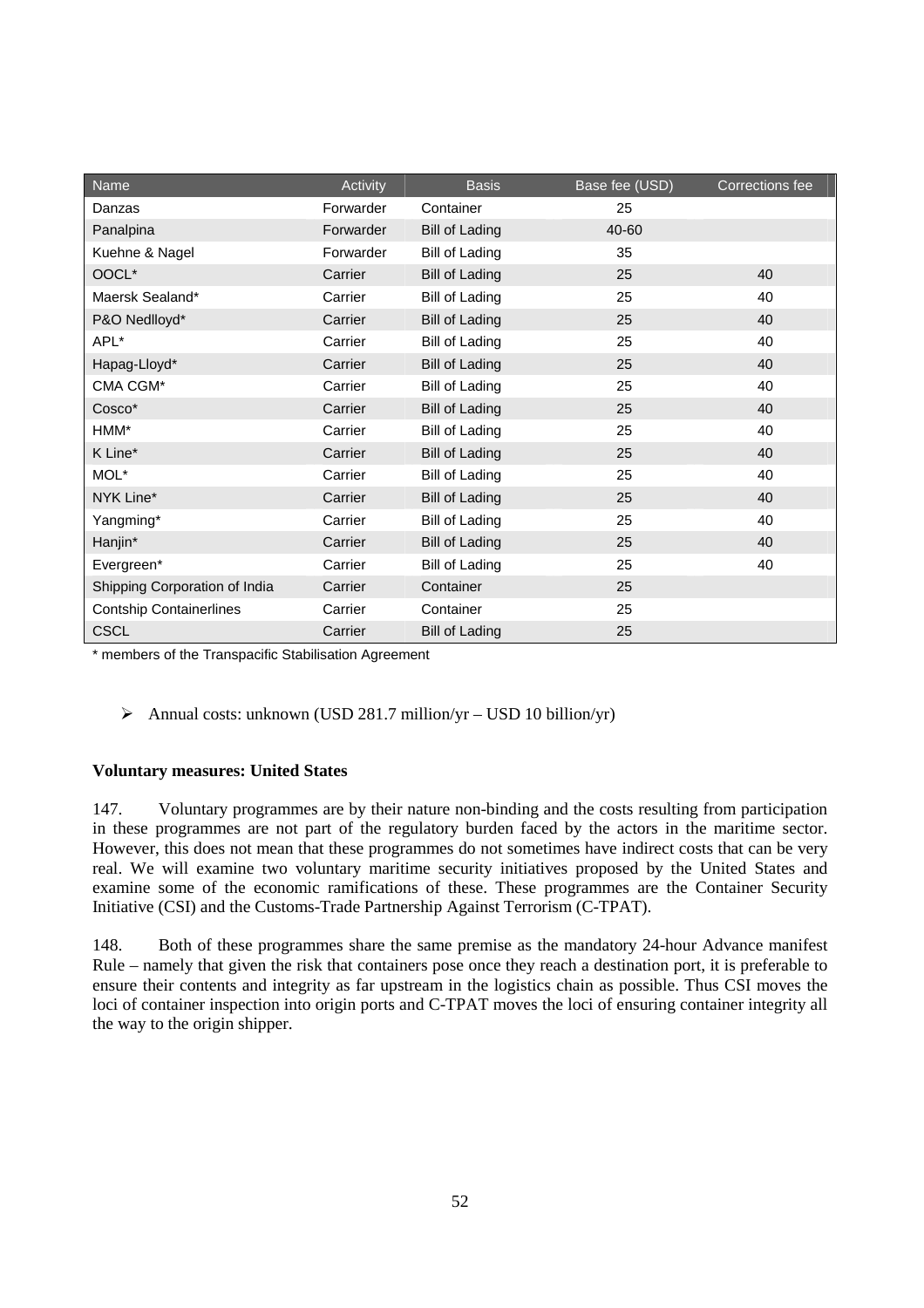| Name                           | Activity  | <b>Basis</b>          | Base fee (USD) | Corrections fee |
|--------------------------------|-----------|-----------------------|----------------|-----------------|
| Danzas                         | Forwarder | Container             | 25             |                 |
| Panalpina                      | Forwarder | <b>Bill of Lading</b> | 40-60          |                 |
| Kuehne & Nagel                 | Forwarder | <b>Bill of Lading</b> | 35             |                 |
| OOCL*                          | Carrier   | <b>Bill of Lading</b> | 25             | 40              |
| Maersk Sealand*                | Carrier   | <b>Bill of Lading</b> | 25             | 40              |
| P&O Nedlloyd*                  | Carrier   | <b>Bill of Lading</b> | 25             | 40              |
| APL*                           | Carrier   | Bill of Lading        | 25             | 40              |
| Hapag-Lloyd*                   | Carrier   | <b>Bill of Lading</b> | 25             | 40              |
| CMA CGM*                       | Carrier   | <b>Bill of Lading</b> | 25             | 40              |
| Cosco*                         | Carrier   | <b>Bill of Lading</b> | 25             | 40              |
| HMM*                           | Carrier   | <b>Bill of Lading</b> | 25             | 40              |
| K Line*                        | Carrier   | <b>Bill of Lading</b> | 25             | 40              |
| MOL*                           | Carrier   | <b>Bill of Lading</b> | 25             | 40              |
| NYK Line*                      | Carrier   | <b>Bill of Lading</b> | 25             | 40              |
| Yangming*                      | Carrier   | Bill of Lading        | 25             | 40              |
| Hanjin*                        | Carrier   | <b>Bill of Lading</b> | 25             | 40              |
| Evergreen*                     | Carrier   | <b>Bill of Lading</b> | 25             | 40              |
| Shipping Corporation of India  | Carrier   | Container             | 25             |                 |
| <b>Contship Containerlines</b> | Carrier   | Container             | 25             |                 |
| <b>CSCL</b>                    | Carrier   | <b>Bill of Lading</b> | 25             |                 |

\* members of the Transpacific Stabilisation Agreement

 $\triangleright$  Annual costs: unknown (USD 281.7 million/yr – USD 10 billion/yr)

#### **Voluntary measures: United States**

147. Voluntary programmes are by their nature non-binding and the costs resulting from participation in these programmes are not part of the regulatory burden faced by the actors in the maritime sector. However, this does not mean that these programmes do not sometimes have indirect costs that can be very real. We will examine two voluntary maritime security initiatives proposed by the United States and examine some of the economic ramifications of these. These programmes are the Container Security Initiative (CSI) and the Customs-Trade Partnership Against Terrorism (C-TPAT).

148. Both of these programmes share the same premise as the mandatory 24-hour Advance manifest Rule – namely that given the risk that containers pose once they reach a destination port, it is preferable to ensure their contents and integrity as far upstream in the logistics chain as possible. Thus CSI moves the loci of container inspection into origin ports and C-TPAT moves the loci of ensuring container integrity all the way to the origin shipper.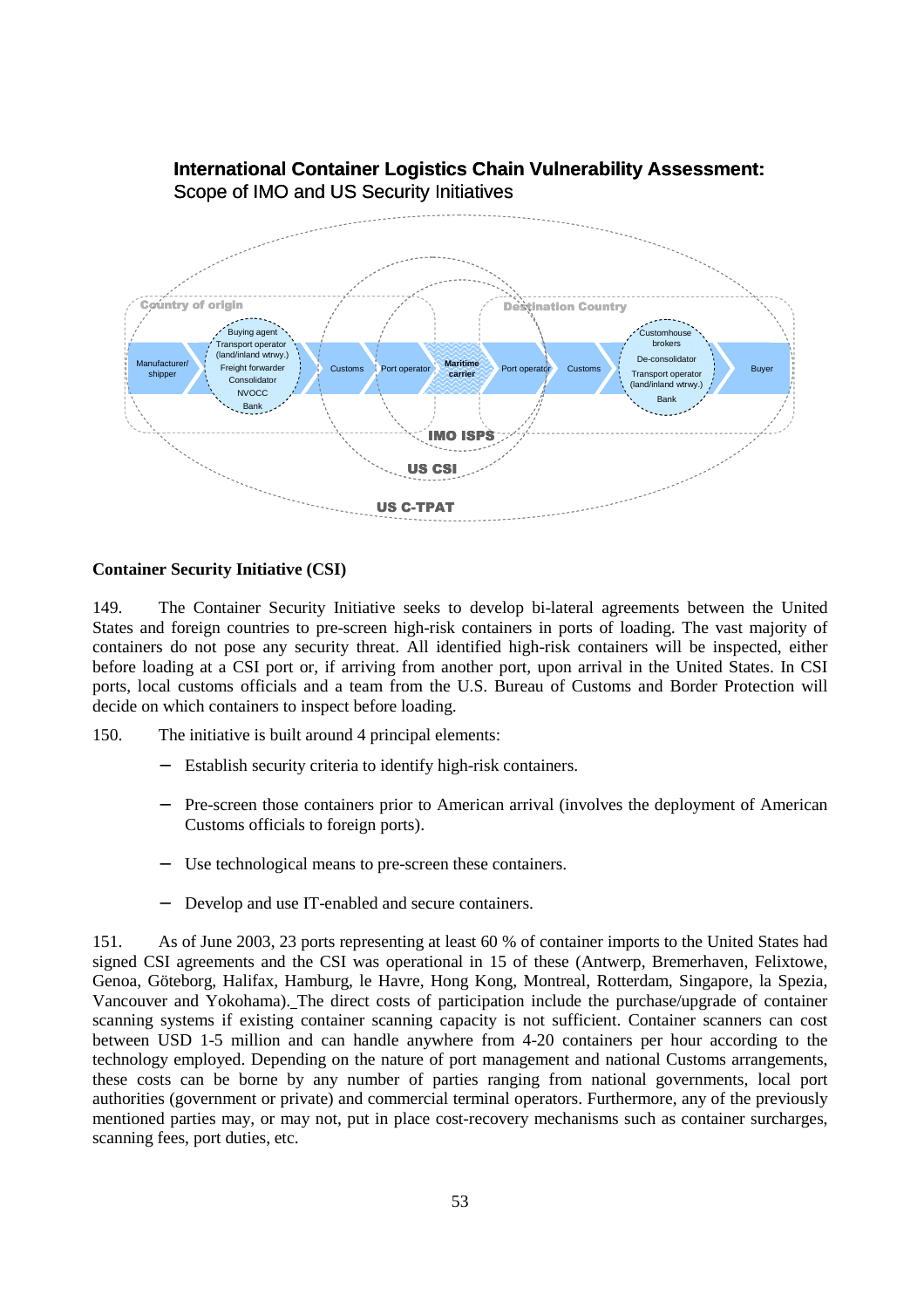

# **International Container Logistics Chain Vulnerability Assessment:** Scope of IMO and US Security Initiatives

# **Container Security Initiative (CSI)**

149. The Container Security Initiative seeks to develop bi-lateral agreements between the United States and foreign countries to pre-screen high-risk containers in ports of loading. The vast majority of containers do not pose any security threat. All identified high-risk containers will be inspected, either before loading at a CSI port or, if arriving from another port, upon arrival in the United States. In CSI ports, local customs officials and a team from the U.S. Bureau of Customs and Border Protection will decide on which containers to inspect before loading.

150. The initiative is built around 4 principal elements:

- Establish security criteria to identify high-risk containers.
- − Pre-screen those containers prior to American arrival (involves the deployment of American Customs officials to foreign ports).
- Use technological means to pre-screen these containers.
- Develop and use IT-enabled and secure containers.

151. As of June 2003, 23 ports representing at least 60 % of container imports to the United States had signed CSI agreements and the CSI was operational in 15 of these (Antwerp, Bremerhaven, Felixtowe, Genoa, Göteborg, Halifax, Hamburg, le Havre, Hong Kong, Montreal, Rotterdam, Singapore, la Spezia, Vancouver and Yokohama). The direct costs of participation include the purchase/upgrade of container scanning systems if existing container scanning capacity is not sufficient. Container scanners can cost between USD 1-5 million and can handle anywhere from 4-20 containers per hour according to the technology employed. Depending on the nature of port management and national Customs arrangements, these costs can be borne by any number of parties ranging from national governments, local port authorities (government or private) and commercial terminal operators. Furthermore, any of the previously mentioned parties may, or may not, put in place cost-recovery mechanisms such as container surcharges, scanning fees, port duties, etc.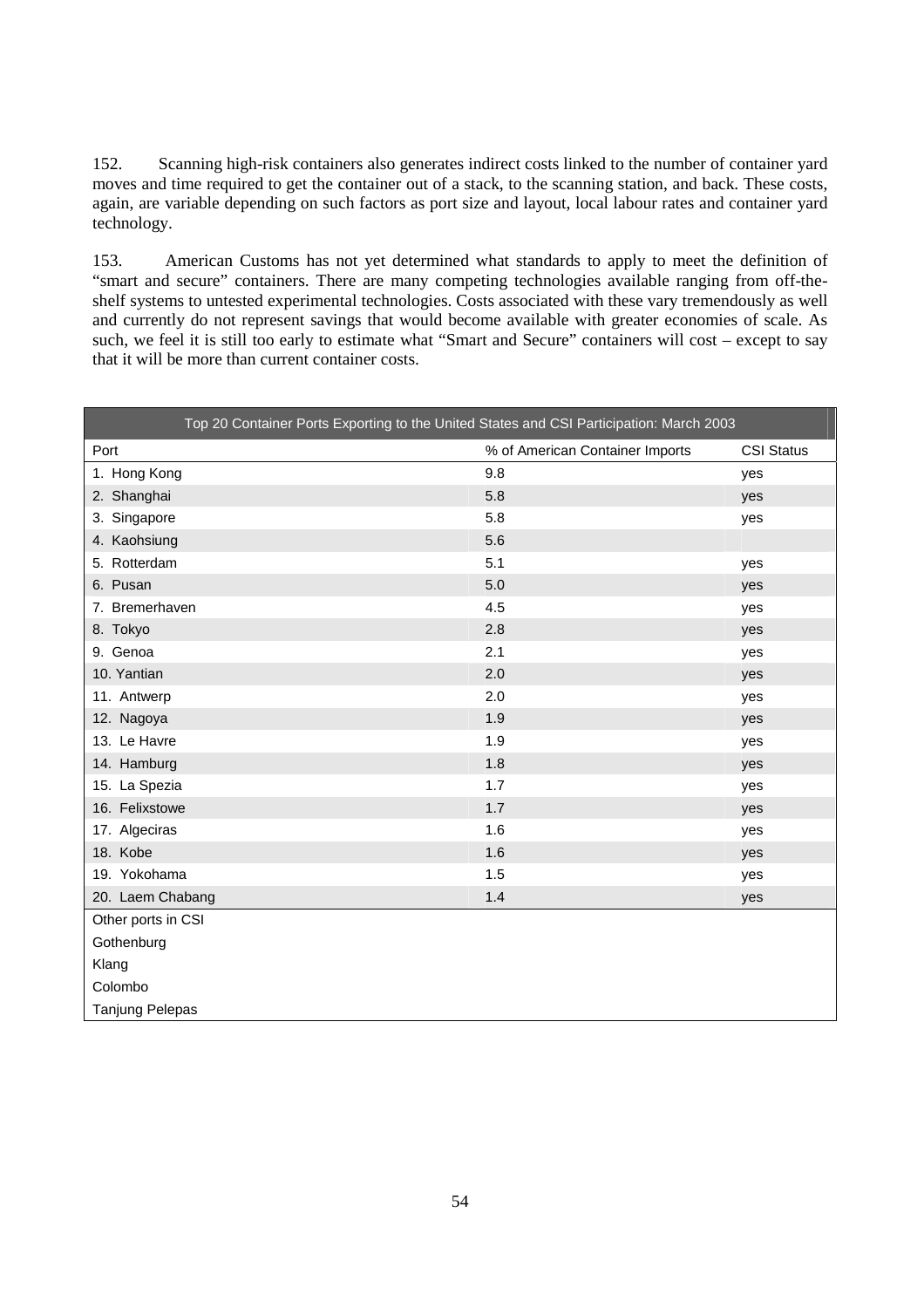152. Scanning high-risk containers also generates indirect costs linked to the number of container yard moves and time required to get the container out of a stack, to the scanning station, and back. These costs, again, are variable depending on such factors as port size and layout, local labour rates and container yard technology.

153. American Customs has not yet determined what standards to apply to meet the definition of "smart and secure" containers. There are many competing technologies available ranging from off-theshelf systems to untested experimental technologies. Costs associated with these vary tremendously as well and currently do not represent savings that would become available with greater economies of scale. As such, we feel it is still too early to estimate what "Smart and Secure" containers will cost – except to say that it will be more than current container costs.

| Top 20 Container Ports Exporting to the United States and CSI Participation: March 2003 |                                 |                   |
|-----------------------------------------------------------------------------------------|---------------------------------|-------------------|
| Port                                                                                    | % of American Container Imports | <b>CSI Status</b> |
| 1. Hong Kong                                                                            | 9.8                             | yes               |
| 2. Shanghai                                                                             | 5.8                             | yes               |
| 3. Singapore                                                                            | 5.8                             | yes               |
| 4. Kaohsiung                                                                            | 5.6                             |                   |
| 5. Rotterdam                                                                            | 5.1                             | yes               |
| 6. Pusan                                                                                | 5.0                             | yes               |
| 7. Bremerhaven                                                                          | 4.5                             | yes               |
| 8. Tokyo                                                                                | 2.8                             | yes               |
| 9. Genoa                                                                                | 2.1                             | yes               |
| 10. Yantian                                                                             | 2.0                             | yes               |
| 11. Antwerp                                                                             | 2.0                             | yes               |
| 12. Nagoya                                                                              | 1.9                             | yes               |
| 13. Le Havre                                                                            | 1.9                             | yes               |
| 14. Hamburg                                                                             | 1.8                             | yes               |
| 15. La Spezia                                                                           | 1.7                             | yes               |
| 16. Felixstowe                                                                          | 1.7                             | yes               |
| 17. Algeciras                                                                           | 1.6                             | yes               |
| 18. Kobe                                                                                | 1.6                             | yes               |
| 19. Yokohama                                                                            | 1.5                             | yes               |
| 20. Laem Chabang                                                                        | 1.4                             | yes               |
| Other ports in CSI                                                                      |                                 |                   |
| Gothenburg                                                                              |                                 |                   |
| Klang                                                                                   |                                 |                   |
| Colombo                                                                                 |                                 |                   |
| Tanjung Pelepas                                                                         |                                 |                   |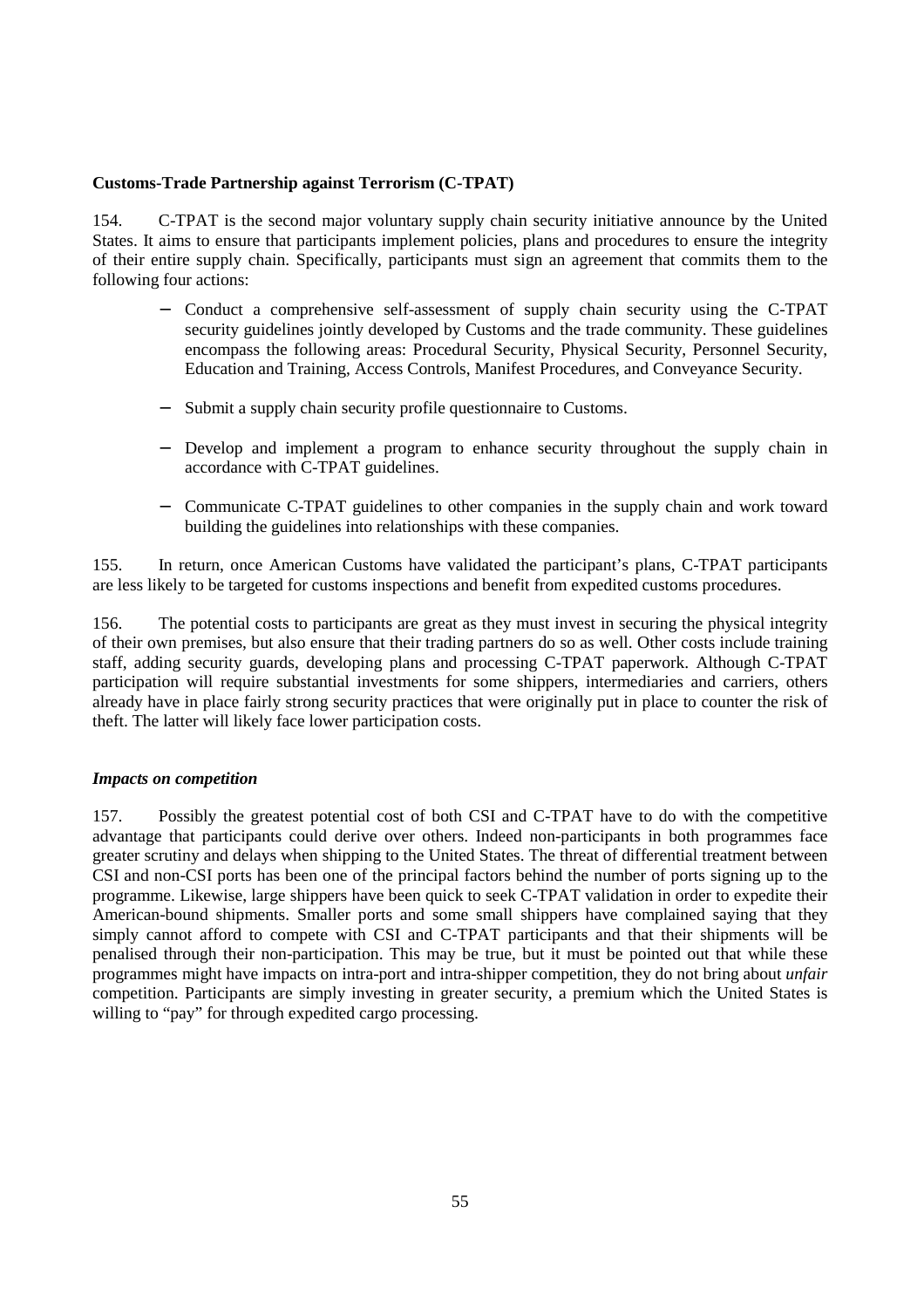# **Customs-Trade Partnership against Terrorism (C-TPAT)**

154. C-TPAT is the second major voluntary supply chain security initiative announce by the United States. It aims to ensure that participants implement policies, plans and procedures to ensure the integrity of their entire supply chain. Specifically, participants must sign an agreement that commits them to the following four actions:

- − Conduct a comprehensive self-assessment of supply chain security using the C-TPAT security guidelines jointly developed by Customs and the trade community. These guidelines encompass the following areas: Procedural Security, Physical Security, Personnel Security, Education and Training, Access Controls, Manifest Procedures, and Conveyance Security.
- Submit a supply chain security profile questionnaire to Customs.
- − Develop and implement a program to enhance security throughout the supply chain in accordance with C-TPAT guidelines.
- − Communicate C-TPAT guidelines to other companies in the supply chain and work toward building the guidelines into relationships with these companies.

155. In return, once American Customs have validated the participant's plans, C-TPAT participants are less likely to be targeted for customs inspections and benefit from expedited customs procedures.

156. The potential costs to participants are great as they must invest in securing the physical integrity of their own premises, but also ensure that their trading partners do so as well. Other costs include training staff, adding security guards, developing plans and processing C-TPAT paperwork. Although C-TPAT participation will require substantial investments for some shippers, intermediaries and carriers, others already have in place fairly strong security practices that were originally put in place to counter the risk of theft. The latter will likely face lower participation costs.

#### *Impacts on competition*

157. Possibly the greatest potential cost of both CSI and C-TPAT have to do with the competitive advantage that participants could derive over others. Indeed non-participants in both programmes face greater scrutiny and delays when shipping to the United States. The threat of differential treatment between CSI and non-CSI ports has been one of the principal factors behind the number of ports signing up to the programme. Likewise, large shippers have been quick to seek C-TPAT validation in order to expedite their American-bound shipments. Smaller ports and some small shippers have complained saying that they simply cannot afford to compete with CSI and C-TPAT participants and that their shipments will be penalised through their non-participation. This may be true, but it must be pointed out that while these programmes might have impacts on intra-port and intra-shipper competition, they do not bring about *unfair* competition. Participants are simply investing in greater security, a premium which the United States is willing to "pay" for through expedited cargo processing.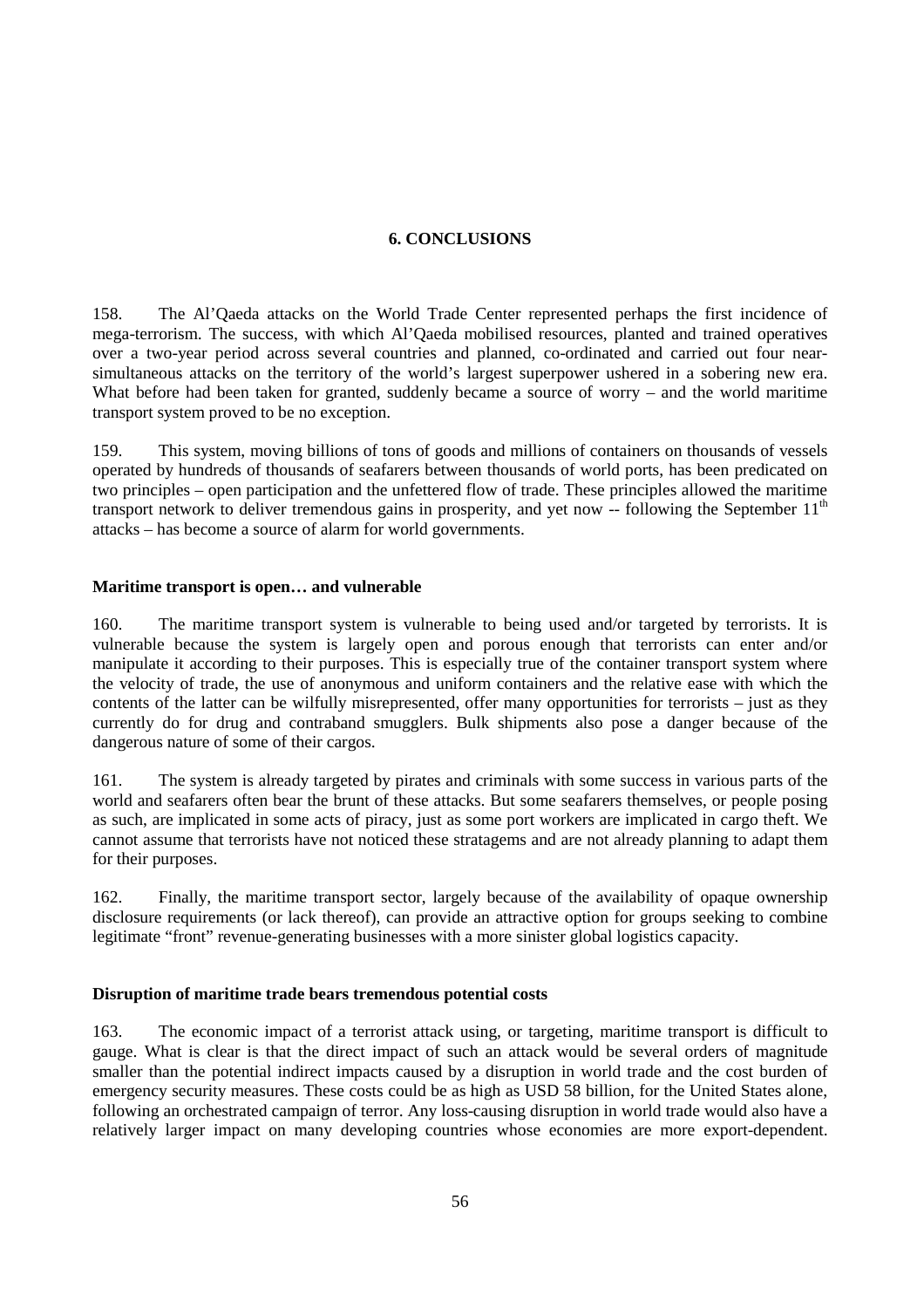# **6. CONCLUSIONS**

158. The Al'Qaeda attacks on the World Trade Center represented perhaps the first incidence of mega-terrorism. The success, with which Al'Qaeda mobilised resources, planted and trained operatives over a two-year period across several countries and planned, co-ordinated and carried out four nearsimultaneous attacks on the territory of the world's largest superpower ushered in a sobering new era. What before had been taken for granted, suddenly became a source of worry – and the world maritime transport system proved to be no exception.

159. This system, moving billions of tons of goods and millions of containers on thousands of vessels operated by hundreds of thousands of seafarers between thousands of world ports, has been predicated on two principles – open participation and the unfettered flow of trade. These principles allowed the maritime transport network to deliver tremendous gains in prosperity, and yet now  $-$  following the September  $11<sup>th</sup>$ attacks – has become a source of alarm for world governments.

#### **Maritime transport is open… and vulnerable**

160. The maritime transport system is vulnerable to being used and/or targeted by terrorists. It is vulnerable because the system is largely open and porous enough that terrorists can enter and/or manipulate it according to their purposes. This is especially true of the container transport system where the velocity of trade, the use of anonymous and uniform containers and the relative ease with which the contents of the latter can be wilfully misrepresented, offer many opportunities for terrorists – just as they currently do for drug and contraband smugglers. Bulk shipments also pose a danger because of the dangerous nature of some of their cargos.

161. The system is already targeted by pirates and criminals with some success in various parts of the world and seafarers often bear the brunt of these attacks. But some seafarers themselves, or people posing as such, are implicated in some acts of piracy, just as some port workers are implicated in cargo theft. We cannot assume that terrorists have not noticed these stratagems and are not already planning to adapt them for their purposes.

162. Finally, the maritime transport sector, largely because of the availability of opaque ownership disclosure requirements (or lack thereof), can provide an attractive option for groups seeking to combine legitimate "front" revenue-generating businesses with a more sinister global logistics capacity.

#### **Disruption of maritime trade bears tremendous potential costs**

163. The economic impact of a terrorist attack using, or targeting, maritime transport is difficult to gauge. What is clear is that the direct impact of such an attack would be several orders of magnitude smaller than the potential indirect impacts caused by a disruption in world trade and the cost burden of emergency security measures. These costs could be as high as USD 58 billion, for the United States alone, following an orchestrated campaign of terror. Any loss-causing disruption in world trade would also have a relatively larger impact on many developing countries whose economies are more export-dependent.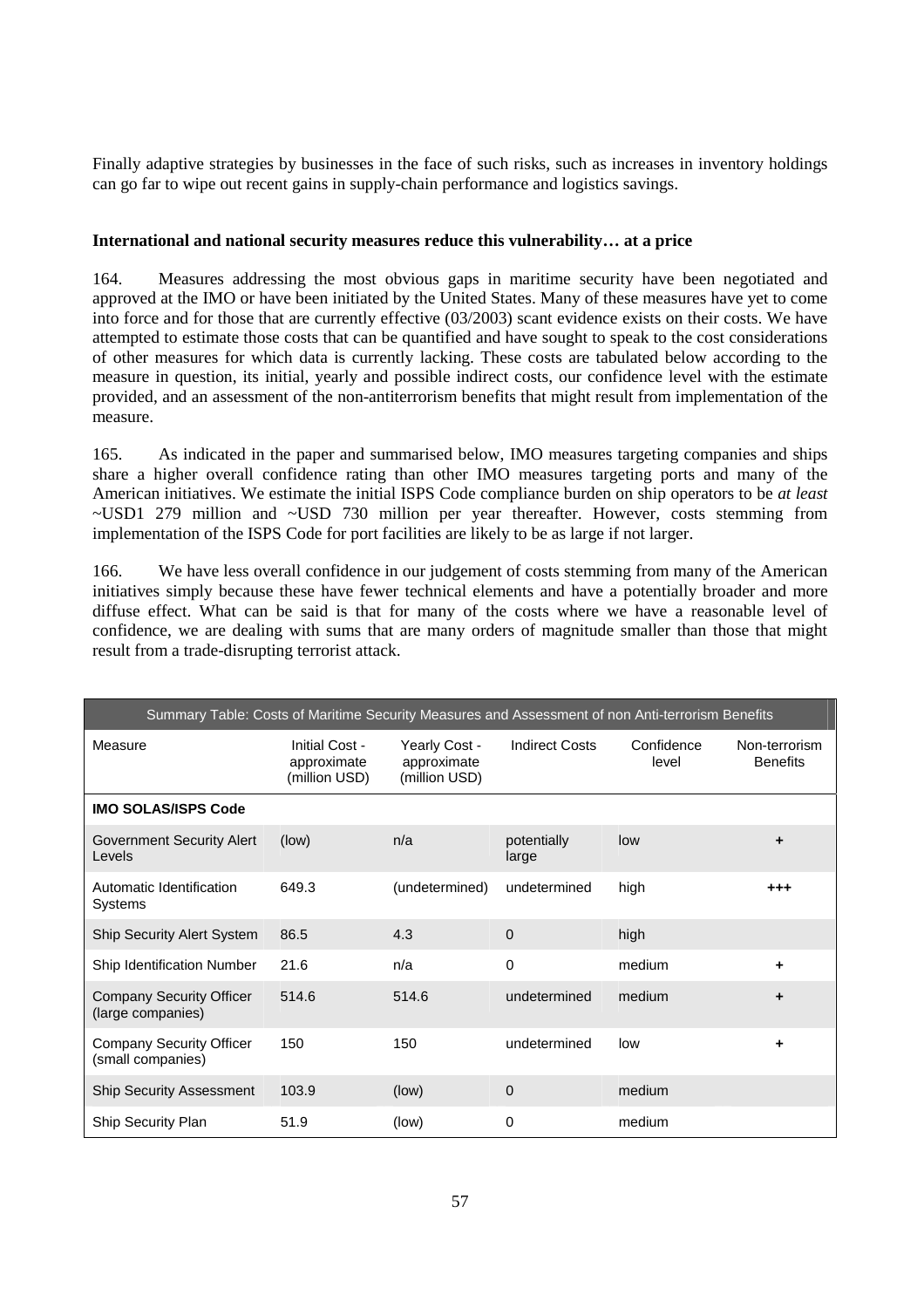Finally adaptive strategies by businesses in the face of such risks, such as increases in inventory holdings can go far to wipe out recent gains in supply-chain performance and logistics savings.

# **International and national security measures reduce this vulnerability… at a price**

164. Measures addressing the most obvious gaps in maritime security have been negotiated and approved at the IMO or have been initiated by the United States. Many of these measures have yet to come into force and for those that are currently effective (03/2003) scant evidence exists on their costs. We have attempted to estimate those costs that can be quantified and have sought to speak to the cost considerations of other measures for which data is currently lacking. These costs are tabulated below according to the measure in question, its initial, yearly and possible indirect costs, our confidence level with the estimate provided, and an assessment of the non-antiterrorism benefits that might result from implementation of the measure.

165. As indicated in the paper and summarised below, IMO measures targeting companies and ships share a higher overall confidence rating than other IMO measures targeting ports and many of the American initiatives. We estimate the initial ISPS Code compliance burden on ship operators to be *at least* ~USD1 279 million and ~USD 730 million per year thereafter. However, costs stemming from implementation of the ISPS Code for port facilities are likely to be as large if not larger.

166. We have less overall confidence in our judgement of costs stemming from many of the American initiatives simply because these have fewer technical elements and have a potentially broader and more diffuse effect. What can be said is that for many of the costs where we have a reasonable level of confidence, we are dealing with sums that are many orders of magnitude smaller than those that might result from a trade-disrupting terrorist attack.

| Summary Table: Costs of Maritime Security Measures and Assessment of non Anti-terrorism Benefits |                                                |                                               |                       |                     |                                  |
|--------------------------------------------------------------------------------------------------|------------------------------------------------|-----------------------------------------------|-----------------------|---------------------|----------------------------------|
| Measure                                                                                          | Initial Cost -<br>approximate<br>(million USD) | Yearly Cost -<br>approximate<br>(million USD) | <b>Indirect Costs</b> | Confidence<br>level | Non-terrorism<br><b>Benefits</b> |
| <b>IMO SOLAS/ISPS Code</b>                                                                       |                                                |                                               |                       |                     |                                  |
| <b>Government Security Alert</b><br>Levels                                                       | (low)                                          | n/a                                           | potentially<br>large  | low                 | ٠                                |
| Automatic Identification<br>Systems                                                              | 649.3                                          | (undetermined)                                | undetermined          | high                | $^{++}$                          |
| <b>Ship Security Alert System</b>                                                                | 86.5                                           | 4.3                                           | $\overline{0}$        | high                |                                  |
| Ship Identification Number                                                                       | 21.6                                           | n/a                                           | $\Omega$              | medium              | ÷                                |
| <b>Company Security Officer</b><br>(large companies)                                             | 514.6                                          | 514.6                                         | undetermined          | medium              | ÷                                |
| <b>Company Security Officer</b><br>(small companies)                                             | 150                                            | 150                                           | undetermined          | low                 | ٠                                |
| <b>Ship Security Assessment</b>                                                                  | 103.9                                          | (low)                                         | $\overline{0}$        | medium              |                                  |
| <b>Ship Security Plan</b>                                                                        | 51.9                                           | (low)                                         | 0                     | medium              |                                  |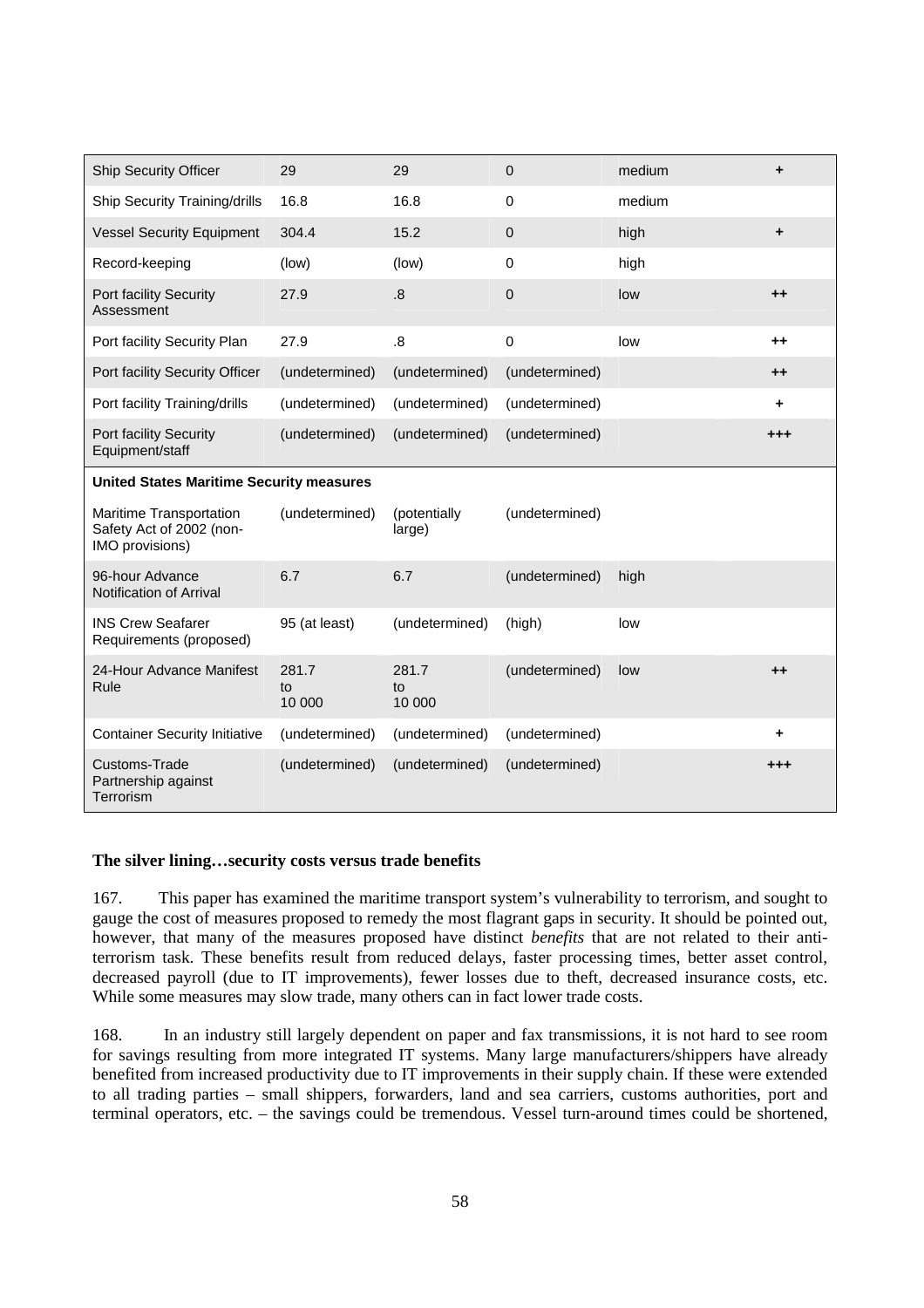| <b>Ship Security Officer</b>                                           | 29                    | 29                     | $\overline{0}$ | medium | ÷       |
|------------------------------------------------------------------------|-----------------------|------------------------|----------------|--------|---------|
| Ship Security Training/drills                                          | 16.8                  | 16.8                   | 0              | medium |         |
| <b>Vessel Security Equipment</b>                                       | 304.4                 | 15.2                   | $\mathbf 0$    | high   | ÷       |
| Record-keeping                                                         | (low)                 | (low)                  | $\mathbf 0$    | high   |         |
| Port facility Security<br>Assessment                                   | 27.9                  | 8.5                    | 0              | low    | $++$    |
| Port facility Security Plan                                            | 27.9                  | 8.5                    | $\mathbf 0$    | low    | $++$    |
| Port facility Security Officer                                         | (undetermined)        | (undetermined)         | (undetermined) |        | $++$    |
| Port facility Training/drills                                          | (undetermined)        | (undetermined)         | (undetermined) |        | ٠       |
| Port facility Security<br>Equipment/staff                              | (undetermined)        | (undetermined)         | (undetermined) |        | $^{++}$ |
| <b>United States Maritime Security measures</b>                        |                       |                        |                |        |         |
| Maritime Transportation<br>Safety Act of 2002 (non-<br>IMO provisions) | (undetermined)        | (potentially<br>large) | (undetermined) |        |         |
| 96-hour Advance<br>Notification of Arrival                             | 6.7                   | 6.7                    | (undetermined) | high   |         |
| <b>INS Crew Seafarer</b><br>Requirements (proposed)                    | 95 (at least)         | (undetermined)         | (high)         | low    |         |
| 24-Hour Advance Manifest<br>Rule                                       | 281.7<br>to<br>10 000 | 281.7<br>to<br>10 000  | (undetermined) | low    | $++$    |
| <b>Container Security Initiative</b>                                   | (undetermined)        | (undetermined)         | (undetermined) |        | ÷       |
| Customs-Trade<br>Partnership against<br>Terrorism                      | (undetermined)        | (undetermined)         | (undetermined) |        | $^{++}$ |

# **The silver lining…security costs versus trade benefits**

167. This paper has examined the maritime transport system's vulnerability to terrorism, and sought to gauge the cost of measures proposed to remedy the most flagrant gaps in security. It should be pointed out, however, that many of the measures proposed have distinct *benefits* that are not related to their antiterrorism task. These benefits result from reduced delays, faster processing times, better asset control, decreased payroll (due to IT improvements), fewer losses due to theft, decreased insurance costs, etc. While some measures may slow trade, many others can in fact lower trade costs.

168. In an industry still largely dependent on paper and fax transmissions, it is not hard to see room for savings resulting from more integrated IT systems. Many large manufacturers/shippers have already benefited from increased productivity due to IT improvements in their supply chain. If these were extended to all trading parties – small shippers, forwarders, land and sea carriers, customs authorities, port and terminal operators, etc. – the savings could be tremendous. Vessel turn-around times could be shortened,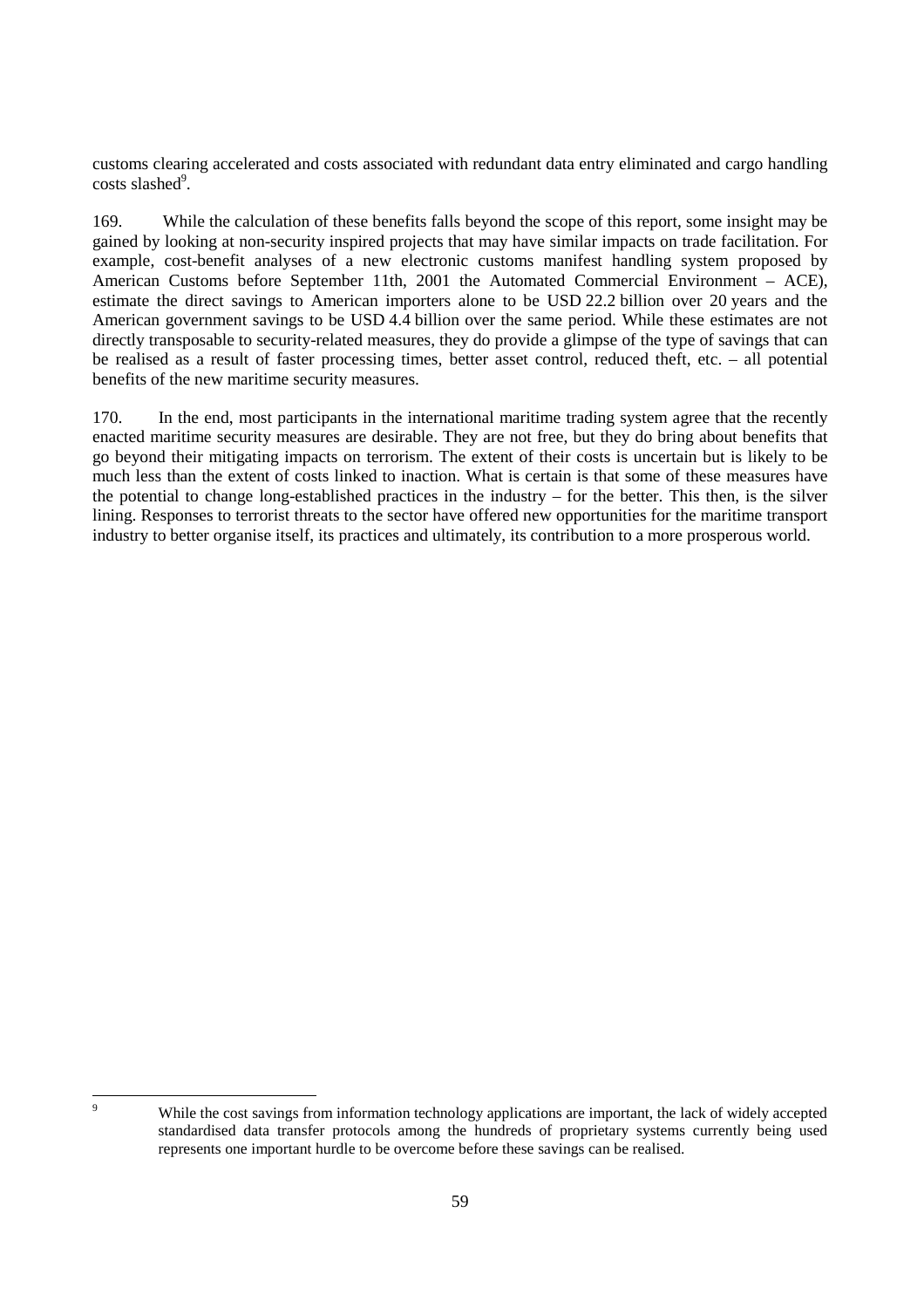customs clearing accelerated and costs associated with redundant data entry eliminated and cargo handling costs slashed<sup>9</sup>.

169. While the calculation of these benefits falls beyond the scope of this report, some insight may be gained by looking at non-security inspired projects that may have similar impacts on trade facilitation. For example, cost-benefit analyses of a new electronic customs manifest handling system proposed by American Customs before September 11th, 2001 the Automated Commercial Environment – ACE), estimate the direct savings to American importers alone to be USD 22.2 billion over 20 years and the American government savings to be USD 4.4 billion over the same period. While these estimates are not directly transposable to security-related measures, they do provide a glimpse of the type of savings that can be realised as a result of faster processing times, better asset control, reduced theft, etc. – all potential benefits of the new maritime security measures.

170. In the end, most participants in the international maritime trading system agree that the recently enacted maritime security measures are desirable. They are not free, but they do bring about benefits that go beyond their mitigating impacts on terrorism. The extent of their costs is uncertain but is likely to be much less than the extent of costs linked to inaction. What is certain is that some of these measures have the potential to change long-established practices in the industry – for the better. This then, is the silver lining. Responses to terrorist threats to the sector have offered new opportunities for the maritime transport industry to better organise itself, its practices and ultimately, its contribution to a more prosperous world.

 $\overline{9}$ 

While the cost savings from information technology applications are important, the lack of widely accepted standardised data transfer protocols among the hundreds of proprietary systems currently being used represents one important hurdle to be overcome before these savings can be realised.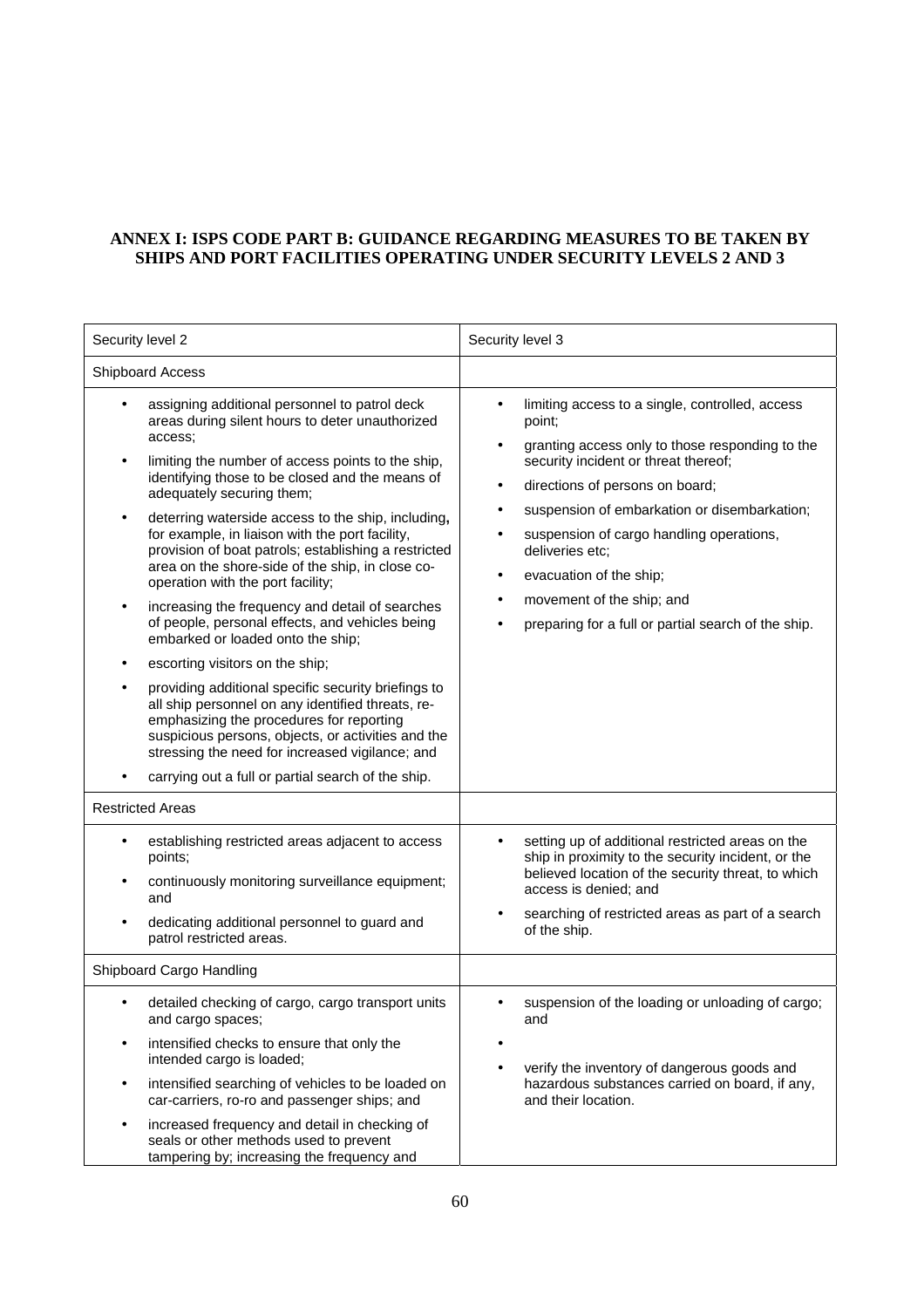# **ANNEX I: ISPS CODE PART B: GUIDANCE REGARDING MEASURES TO BE TAKEN BY SHIPS AND PORT FACILITIES OPERATING UNDER SECURITY LEVELS 2 AND 3**

| Security level 2         |                                                                                                                                                                                                                                                                                                                                                                                                                                                                                                                                                                                                                                                                                                                                                                                                                                                                                                                                                                                                                 | Security level 3                                                                                                                                                                                                                                                                                                                                                                                                                                                  |
|--------------------------|-----------------------------------------------------------------------------------------------------------------------------------------------------------------------------------------------------------------------------------------------------------------------------------------------------------------------------------------------------------------------------------------------------------------------------------------------------------------------------------------------------------------------------------------------------------------------------------------------------------------------------------------------------------------------------------------------------------------------------------------------------------------------------------------------------------------------------------------------------------------------------------------------------------------------------------------------------------------------------------------------------------------|-------------------------------------------------------------------------------------------------------------------------------------------------------------------------------------------------------------------------------------------------------------------------------------------------------------------------------------------------------------------------------------------------------------------------------------------------------------------|
| Shipboard Access         |                                                                                                                                                                                                                                                                                                                                                                                                                                                                                                                                                                                                                                                                                                                                                                                                                                                                                                                                                                                                                 |                                                                                                                                                                                                                                                                                                                                                                                                                                                                   |
| $\bullet$                | assigning additional personnel to patrol deck<br>areas during silent hours to deter unauthorized<br>access;<br>limiting the number of access points to the ship,<br>identifying those to be closed and the means of<br>adequately securing them;<br>deterring waterside access to the ship, including,<br>for example, in liaison with the port facility,<br>provision of boat patrols; establishing a restricted<br>area on the shore-side of the ship, in close co-<br>operation with the port facility;<br>increasing the frequency and detail of searches<br>of people, personal effects, and vehicles being<br>embarked or loaded onto the ship;<br>escorting visitors on the ship;<br>providing additional specific security briefings to<br>all ship personnel on any identified threats, re-<br>emphasizing the procedures for reporting<br>suspicious persons, objects, or activities and the<br>stressing the need for increased vigilance; and<br>carrying out a full or partial search of the ship. | limiting access to a single, controlled, access<br>point;<br>granting access only to those responding to the<br>$\bullet$<br>security incident or threat thereof;<br>directions of persons on board;<br>$\bullet$<br>suspension of embarkation or disembarkation;<br>٠<br>suspension of cargo handling operations,<br>deliveries etc;<br>evacuation of the ship;<br>$\bullet$<br>movement of the ship; and<br>preparing for a full or partial search of the ship. |
|                          | <b>Restricted Areas</b>                                                                                                                                                                                                                                                                                                                                                                                                                                                                                                                                                                                                                                                                                                                                                                                                                                                                                                                                                                                         |                                                                                                                                                                                                                                                                                                                                                                                                                                                                   |
| $\bullet$                | establishing restricted areas adjacent to access<br>points;<br>continuously monitoring surveillance equipment;<br>and<br>dedicating additional personnel to guard and<br>patrol restricted areas.                                                                                                                                                                                                                                                                                                                                                                                                                                                                                                                                                                                                                                                                                                                                                                                                               | setting up of additional restricted areas on the<br>ship in proximity to the security incident, or the<br>believed location of the security threat, to which<br>access is denied; and<br>searching of restricted areas as part of a search<br>of the ship.                                                                                                                                                                                                        |
| Shipboard Cargo Handling |                                                                                                                                                                                                                                                                                                                                                                                                                                                                                                                                                                                                                                                                                                                                                                                                                                                                                                                                                                                                                 |                                                                                                                                                                                                                                                                                                                                                                                                                                                                   |
|                          | detailed checking of cargo, cargo transport units<br>and cargo spaces;<br>intensified checks to ensure that only the<br>intended cargo is loaded;<br>intensified searching of vehicles to be loaded on<br>car-carriers, ro-ro and passenger ships; and<br>increased frequency and detail in checking of<br>seals or other methods used to prevent<br>tampering by; increasing the frequency and                                                                                                                                                                                                                                                                                                                                                                                                                                                                                                                                                                                                                 | suspension of the loading or unloading of cargo;<br>and<br>٠<br>verify the inventory of dangerous goods and<br>hazardous substances carried on board, if any,<br>and their location.                                                                                                                                                                                                                                                                              |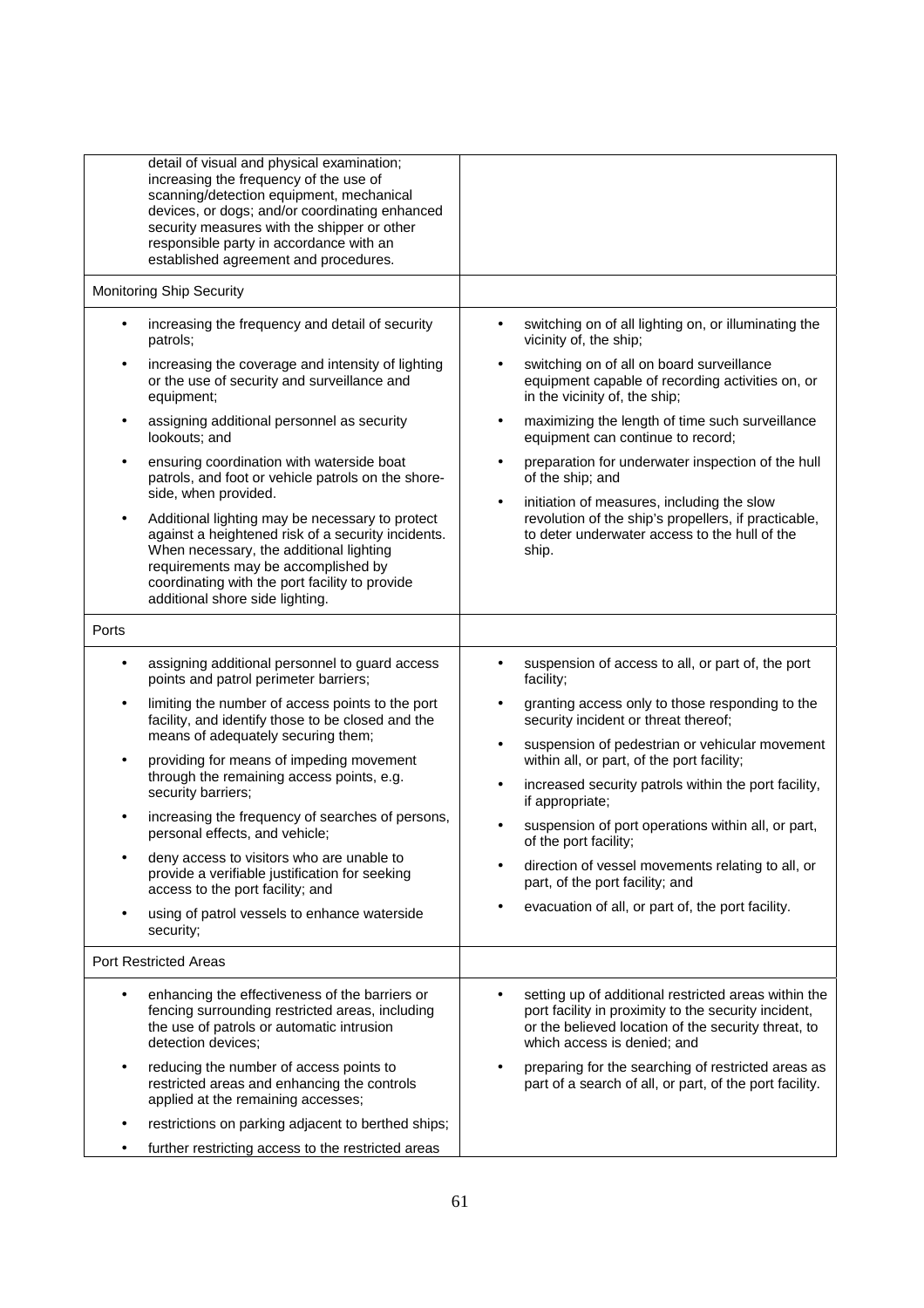| detail of visual and physical examination;<br>increasing the frequency of the use of<br>scanning/detection equipment, mechanical<br>devices, or dogs; and/or coordinating enhanced<br>security measures with the shipper or other<br>responsible party in accordance with an<br>established agreement and procedures.                                                  |                                                                                                                                                                                                                                                                                                                                                                                                                                       |
|------------------------------------------------------------------------------------------------------------------------------------------------------------------------------------------------------------------------------------------------------------------------------------------------------------------------------------------------------------------------|---------------------------------------------------------------------------------------------------------------------------------------------------------------------------------------------------------------------------------------------------------------------------------------------------------------------------------------------------------------------------------------------------------------------------------------|
| Monitoring Ship Security                                                                                                                                                                                                                                                                                                                                               |                                                                                                                                                                                                                                                                                                                                                                                                                                       |
| increasing the frequency and detail of security<br>$\bullet$<br>patrols;<br>increasing the coverage and intensity of lighting<br>٠<br>or the use of security and surveillance and<br>equipment;<br>assigning additional personnel as security<br>lookouts; and<br>ensuring coordination with waterside boat<br>٠<br>patrols, and foot or vehicle patrols on the shore- | switching on of all lighting on, or illuminating the<br>$\bullet$<br>vicinity of, the ship;<br>switching on of all on board surveillance<br>$\bullet$<br>equipment capable of recording activities on, or<br>in the vicinity of, the ship;<br>maximizing the length of time such surveillance<br>$\bullet$<br>equipment can continue to record;<br>preparation for underwater inspection of the hull<br>$\bullet$<br>of the ship; and |
| side, when provided.<br>Additional lighting may be necessary to protect<br>$\bullet$<br>against a heightened risk of a security incidents.<br>When necessary, the additional lighting<br>requirements may be accomplished by<br>coordinating with the port facility to provide<br>additional shore side lighting.                                                      | initiation of measures, including the slow<br>$\bullet$<br>revolution of the ship's propellers, if practicable,<br>to deter underwater access to the hull of the<br>ship.                                                                                                                                                                                                                                                             |
| Ports                                                                                                                                                                                                                                                                                                                                                                  |                                                                                                                                                                                                                                                                                                                                                                                                                                       |
| assigning additional personnel to guard access<br>$\bullet$<br>points and patrol perimeter barriers;<br>limiting the number of access points to the port<br>٠<br>facility, and identify those to be closed and the<br>means of adequately securing them;                                                                                                               | suspension of access to all, or part of, the port<br>facility;<br>granting access only to those responding to the<br>$\bullet$<br>security incident or threat thereof;                                                                                                                                                                                                                                                                |
| providing for means of impeding movement<br>$\bullet$<br>through the remaining access points, e.g.<br>security barriers;                                                                                                                                                                                                                                               | suspension of pedestrian or vehicular movement<br>$\bullet$<br>within all, or part, of the port facility;<br>increased security patrols within the port facility,<br>$\bullet$<br>if appropriate;                                                                                                                                                                                                                                     |
| increasing the frequency of searches of persons,<br>personal effects, and vehicle;                                                                                                                                                                                                                                                                                     | suspension of port operations within all, or part,<br>of the port facility;                                                                                                                                                                                                                                                                                                                                                           |
| deny access to visitors who are unable to<br>provide a verifiable justification for seeking<br>access to the port facility; and                                                                                                                                                                                                                                        | direction of vessel movements relating to all, or<br>part, of the port facility; and                                                                                                                                                                                                                                                                                                                                                  |
| using of patrol vessels to enhance waterside<br>security;                                                                                                                                                                                                                                                                                                              | evacuation of all, or part of, the port facility.                                                                                                                                                                                                                                                                                                                                                                                     |
| <b>Port Restricted Areas</b>                                                                                                                                                                                                                                                                                                                                           |                                                                                                                                                                                                                                                                                                                                                                                                                                       |
| enhancing the effectiveness of the barriers or<br>$\bullet$<br>fencing surrounding restricted areas, including<br>the use of patrols or automatic intrusion<br>detection devices;                                                                                                                                                                                      | setting up of additional restricted areas within the<br>port facility in proximity to the security incident,<br>or the believed location of the security threat, to<br>which access is denied; and                                                                                                                                                                                                                                    |
| reducing the number of access points to<br>٠<br>restricted areas and enhancing the controls<br>applied at the remaining accesses;                                                                                                                                                                                                                                      | preparing for the searching of restricted areas as<br>part of a search of all, or part, of the port facility.                                                                                                                                                                                                                                                                                                                         |
| restrictions on parking adjacent to berthed ships;                                                                                                                                                                                                                                                                                                                     |                                                                                                                                                                                                                                                                                                                                                                                                                                       |
| further restricting access to the restricted areas                                                                                                                                                                                                                                                                                                                     |                                                                                                                                                                                                                                                                                                                                                                                                                                       |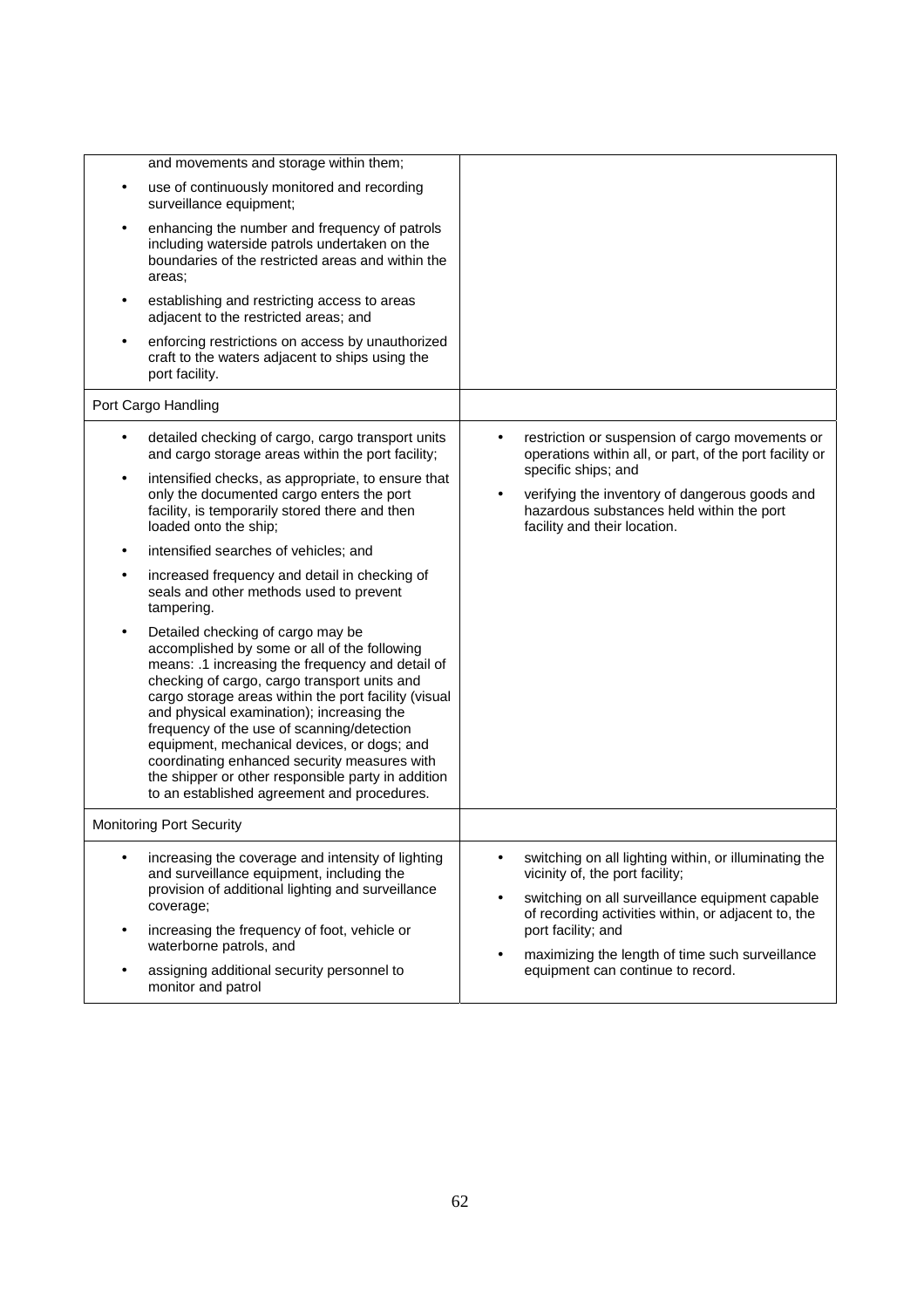| and movements and storage within them;                                                                                                                                                                                                                                                                                                                                                                                                                                                                                                                    |                                                                                                                                                                                                                                                                                          |
|-----------------------------------------------------------------------------------------------------------------------------------------------------------------------------------------------------------------------------------------------------------------------------------------------------------------------------------------------------------------------------------------------------------------------------------------------------------------------------------------------------------------------------------------------------------|------------------------------------------------------------------------------------------------------------------------------------------------------------------------------------------------------------------------------------------------------------------------------------------|
| use of continuously monitored and recording<br>$\bullet$<br>surveillance equipment;                                                                                                                                                                                                                                                                                                                                                                                                                                                                       |                                                                                                                                                                                                                                                                                          |
| enhancing the number and frequency of patrols<br>including waterside patrols undertaken on the<br>boundaries of the restricted areas and within the<br>areas:                                                                                                                                                                                                                                                                                                                                                                                             |                                                                                                                                                                                                                                                                                          |
| establishing and restricting access to areas<br>adjacent to the restricted areas; and                                                                                                                                                                                                                                                                                                                                                                                                                                                                     |                                                                                                                                                                                                                                                                                          |
| enforcing restrictions on access by unauthorized<br>craft to the waters adjacent to ships using the<br>port facility.                                                                                                                                                                                                                                                                                                                                                                                                                                     |                                                                                                                                                                                                                                                                                          |
| Port Cargo Handling                                                                                                                                                                                                                                                                                                                                                                                                                                                                                                                                       |                                                                                                                                                                                                                                                                                          |
| detailed checking of cargo, cargo transport units<br>$\bullet$<br>and cargo storage areas within the port facility;                                                                                                                                                                                                                                                                                                                                                                                                                                       | restriction or suspension of cargo movements or<br>operations within all, or part, of the port facility or                                                                                                                                                                               |
| intensified checks, as appropriate, to ensure that<br>only the documented cargo enters the port<br>facility, is temporarily stored there and then<br>loaded onto the ship;                                                                                                                                                                                                                                                                                                                                                                                | specific ships; and<br>verifying the inventory of dangerous goods and<br>hazardous substances held within the port<br>facility and their location.                                                                                                                                       |
| intensified searches of vehicles; and<br>$\bullet$                                                                                                                                                                                                                                                                                                                                                                                                                                                                                                        |                                                                                                                                                                                                                                                                                          |
| increased frequency and detail in checking of<br>seals and other methods used to prevent<br>tampering.                                                                                                                                                                                                                                                                                                                                                                                                                                                    |                                                                                                                                                                                                                                                                                          |
| Detailed checking of cargo may be<br>$\bullet$<br>accomplished by some or all of the following<br>means: .1 increasing the frequency and detail of<br>checking of cargo, cargo transport units and<br>cargo storage areas within the port facility (visual<br>and physical examination); increasing the<br>frequency of the use of scanning/detection<br>equipment, mechanical devices, or dogs; and<br>coordinating enhanced security measures with<br>the shipper or other responsible party in addition<br>to an established agreement and procedures. |                                                                                                                                                                                                                                                                                          |
| <b>Monitoring Port Security</b>                                                                                                                                                                                                                                                                                                                                                                                                                                                                                                                           |                                                                                                                                                                                                                                                                                          |
| increasing the coverage and intensity of lighting<br>and surveillance equipment, including the<br>provision of additional lighting and surveillance<br>coverage;<br>increasing the frequency of foot, vehicle or<br>$\bullet$<br>waterborne patrols, and                                                                                                                                                                                                                                                                                                  | switching on all lighting within, or illuminating the<br>vicinity of, the port facility;<br>switching on all surveillance equipment capable<br>$\bullet$<br>of recording activities within, or adjacent to, the<br>port facility; and<br>maximizing the length of time such surveillance |
| assigning additional security personnel to<br>monitor and patrol                                                                                                                                                                                                                                                                                                                                                                                                                                                                                          | equipment can continue to record.                                                                                                                                                                                                                                                        |